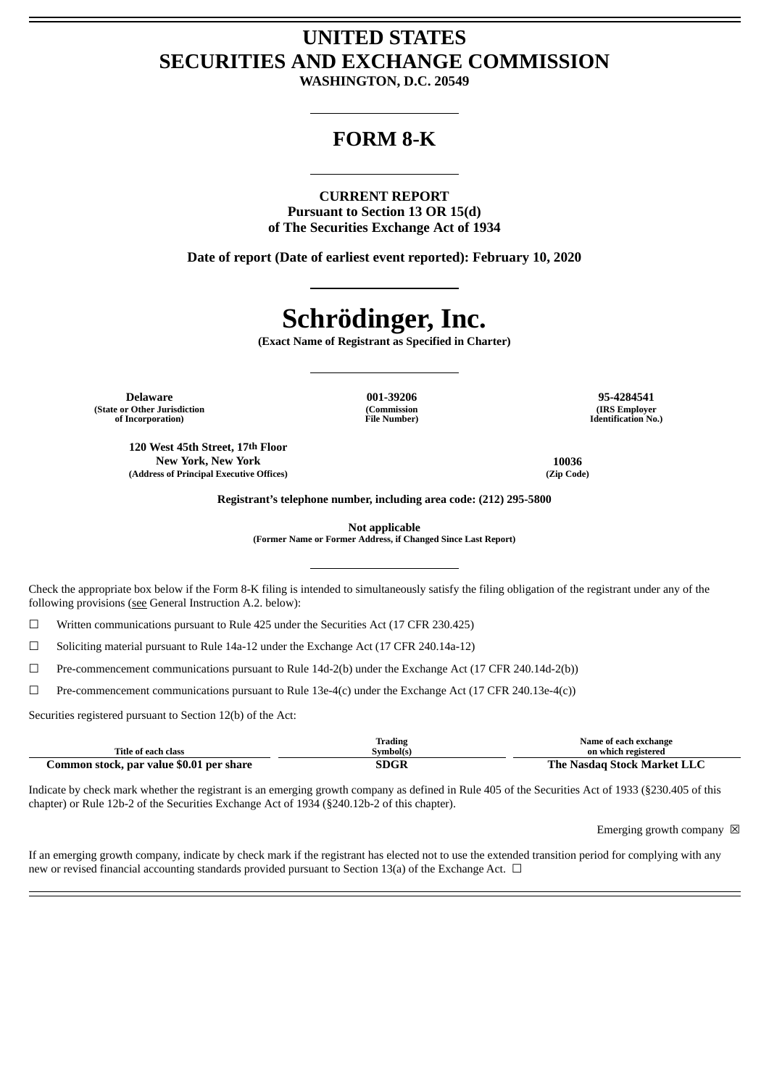# **UNITED STATES SECURITIES AND EXCHANGE COMMISSION**

**WASHINGTON, D.C. 20549**

# **FORM 8-K**

# **CURRENT REPORT**

**Pursuant to Section 13 OR 15(d) of The Securities Exchange Act of 1934**

**Date of report (Date of earliest event reported): February 10, 2020**

# **Schrödinger, Inc.**

**(Exact Name of Registrant as Specified in Charter)**

**Delaware 001-39206 95-4284541 (State or Other Jurisdiction of Incorporation)**

**(Commission File Number)**

**(IRS Employer Identification No.)**

**120 West 45th Street, 17th Floor New York, New York 10036 (Address of Principal Executive Offices) (Zip Code)**

**Registrant's telephone number, including area code: (212) 295-5800**

**Not applicable**

**(Former Name or Former Address, if Changed Since Last Report)**

Check the appropriate box below if the Form 8-K filing is intended to simultaneously satisfy the filing obligation of the registrant under any of the following provisions (see General Instruction A.2. below):

☐ Written communications pursuant to Rule 425 under the Securities Act (17 CFR 230.425)

☐ Soliciting material pursuant to Rule 14a-12 under the Exchange Act (17 CFR 240.14a-12)

☐ Pre-commencement communications pursuant to Rule 14d-2(b) under the Exchange Act (17 CFR 240.14d-2(b))

☐ Pre-commencement communications pursuant to Rule 13e-4(c) under the Exchange Act (17 CFR 240.13e-4(c))

Securities registered pursuant to Section 12(b) of the Act:

| Title of each class                      | Trading<br>Svmbol(s) | Name of each exchange<br>on which registered |
|------------------------------------------|----------------------|----------------------------------------------|
|                                          |                      |                                              |
| Common stock, par value \$0.01 per share | SDGR                 | The Nasdag Stock Market LLC                  |

Indicate by check mark whether the registrant is an emerging growth company as defined in Rule 405 of the Securities Act of 1933 (§230.405 of this chapter) or Rule 12b-2 of the Securities Exchange Act of 1934 (§240.12b-2 of this chapter).

Emerging growth company  $\boxtimes$ 

If an emerging growth company, indicate by check mark if the registrant has elected not to use the extended transition period for complying with any new or revised financial accounting standards provided pursuant to Section 13(a) of the Exchange Act.  $\Box$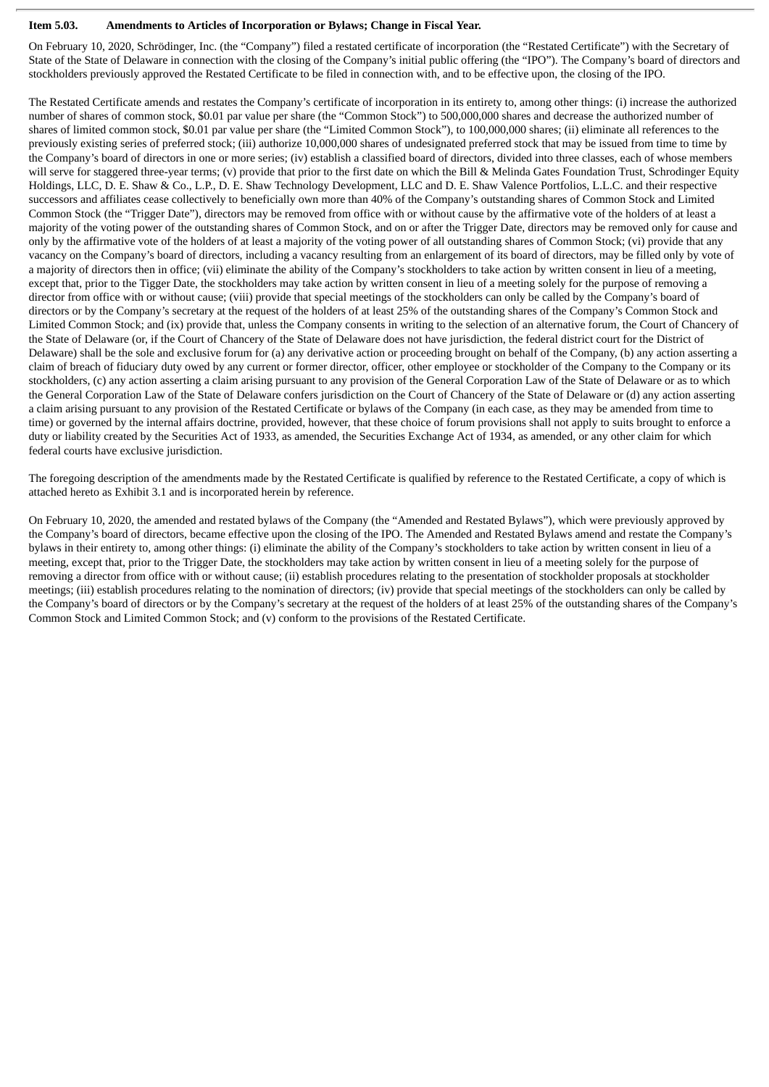#### **Item 5.03. Amendments to Articles of Incorporation or Bylaws; Change in Fiscal Year.**

On February 10, 2020, Schrödinger, Inc. (the "Company") filed a restated certificate of incorporation (the "Restated Certificate") with the Secretary of State of the State of Delaware in connection with the closing of the Company's initial public offering (the "IPO"). The Company's board of directors and stockholders previously approved the Restated Certificate to be filed in connection with, and to be effective upon, the closing of the IPO.

The Restated Certificate amends and restates the Company's certificate of incorporation in its entirety to, among other things: (i) increase the authorized number of shares of common stock, \$0.01 par value per share (the "Common Stock") to 500,000,000 shares and decrease the authorized number of shares of limited common stock, \$0.01 par value per share (the "Limited Common Stock"), to 100,000,000 shares; (ii) eliminate all references to the previously existing series of preferred stock; (iii) authorize 10,000,000 shares of undesignated preferred stock that may be issued from time to time by the Company's board of directors in one or more series; (iv) establish a classified board of directors, divided into three classes, each of whose members will serve for staggered three-year terms; (v) provide that prior to the first date on which the Bill & Melinda Gates Foundation Trust, Schrodinger Equity Holdings, LLC, D. E. Shaw & Co., L.P., D. E. Shaw Technology Development, LLC and D. E. Shaw Valence Portfolios, L.L.C. and their respective successors and affiliates cease collectively to beneficially own more than 40% of the Company's outstanding shares of Common Stock and Limited Common Stock (the "Trigger Date"), directors may be removed from office with or without cause by the affirmative vote of the holders of at least a majority of the voting power of the outstanding shares of Common Stock, and on or after the Trigger Date, directors may be removed only for cause and only by the affirmative vote of the holders of at least a majority of the voting power of all outstanding shares of Common Stock; (vi) provide that any vacancy on the Company's board of directors, including a vacancy resulting from an enlargement of its board of directors, may be filled only by vote of a majority of directors then in office; (vii) eliminate the ability of the Company's stockholders to take action by written consent in lieu of a meeting, except that, prior to the Tigger Date, the stockholders may take action by written consent in lieu of a meeting solely for the purpose of removing a director from office with or without cause; (viii) provide that special meetings of the stockholders can only be called by the Company's board of directors or by the Company's secretary at the request of the holders of at least 25% of the outstanding shares of the Company's Common Stock and Limited Common Stock; and (ix) provide that, unless the Company consents in writing to the selection of an alternative forum, the Court of Chancery of the State of Delaware (or, if the Court of Chancery of the State of Delaware does not have jurisdiction, the federal district court for the District of Delaware) shall be the sole and exclusive forum for (a) any derivative action or proceeding brought on behalf of the Company, (b) any action asserting a claim of breach of fiduciary duty owed by any current or former director, officer, other employee or stockholder of the Company to the Company or its stockholders, (c) any action asserting a claim arising pursuant to any provision of the General Corporation Law of the State of Delaware or as to which the General Corporation Law of the State of Delaware confers jurisdiction on the Court of Chancery of the State of Delaware or (d) any action asserting a claim arising pursuant to any provision of the Restated Certificate or bylaws of the Company (in each case, as they may be amended from time to time) or governed by the internal affairs doctrine, provided, however, that these choice of forum provisions shall not apply to suits brought to enforce a duty or liability created by the Securities Act of 1933, as amended, the Securities Exchange Act of 1934, as amended, or any other claim for which federal courts have exclusive jurisdiction.

The foregoing description of the amendments made by the Restated Certificate is qualified by reference to the Restated Certificate, a copy of which is attached hereto as Exhibit 3.1 and is incorporated herein by reference.

On February 10, 2020, the amended and restated bylaws of the Company (the "Amended and Restated Bylaws"), which were previously approved by the Company's board of directors, became effective upon the closing of the IPO. The Amended and Restated Bylaws amend and restate the Company's bylaws in their entirety to, among other things: (i) eliminate the ability of the Company's stockholders to take action by written consent in lieu of a meeting, except that, prior to the Trigger Date, the stockholders may take action by written consent in lieu of a meeting solely for the purpose of removing a director from office with or without cause; (ii) establish procedures relating to the presentation of stockholder proposals at stockholder meetings; (iii) establish procedures relating to the nomination of directors; (iv) provide that special meetings of the stockholders can only be called by the Company's board of directors or by the Company's secretary at the request of the holders of at least 25% of the outstanding shares of the Company's Common Stock and Limited Common Stock; and (v) conform to the provisions of the Restated Certificate.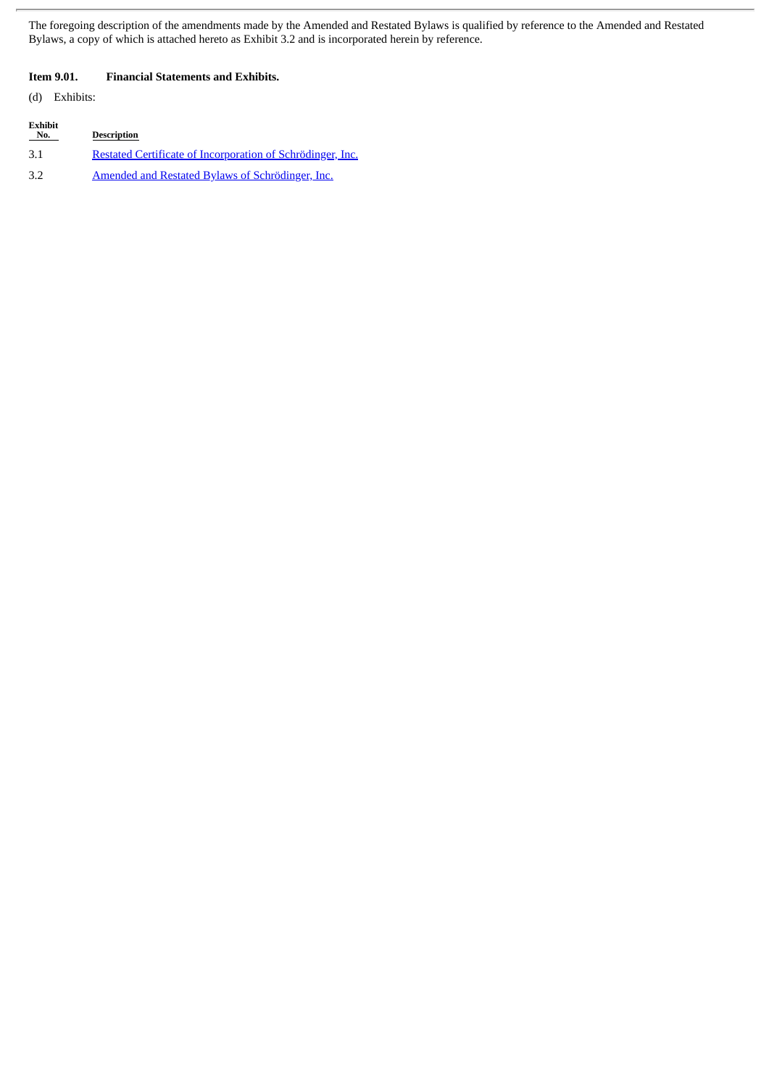The foregoing description of the amendments made by the Amended and Restated Bylaws is qualified by reference to the Amended and Restated Bylaws, a copy of which is attached hereto as Exhibit 3.2 and is incorporated herein by reference.

#### **Item 9.01. Financial Statements and Exhibits.**

(d) Exhibits:

| Exhibit<br>No. | <b>Description</b>                                                |
|----------------|-------------------------------------------------------------------|
| 3.1            | <u>Restated Certificate of Incorporation of Schrödinger, Inc.</u> |
| 3.2            | Amended and Restated Bylaws of Schrödinger, Inc.                  |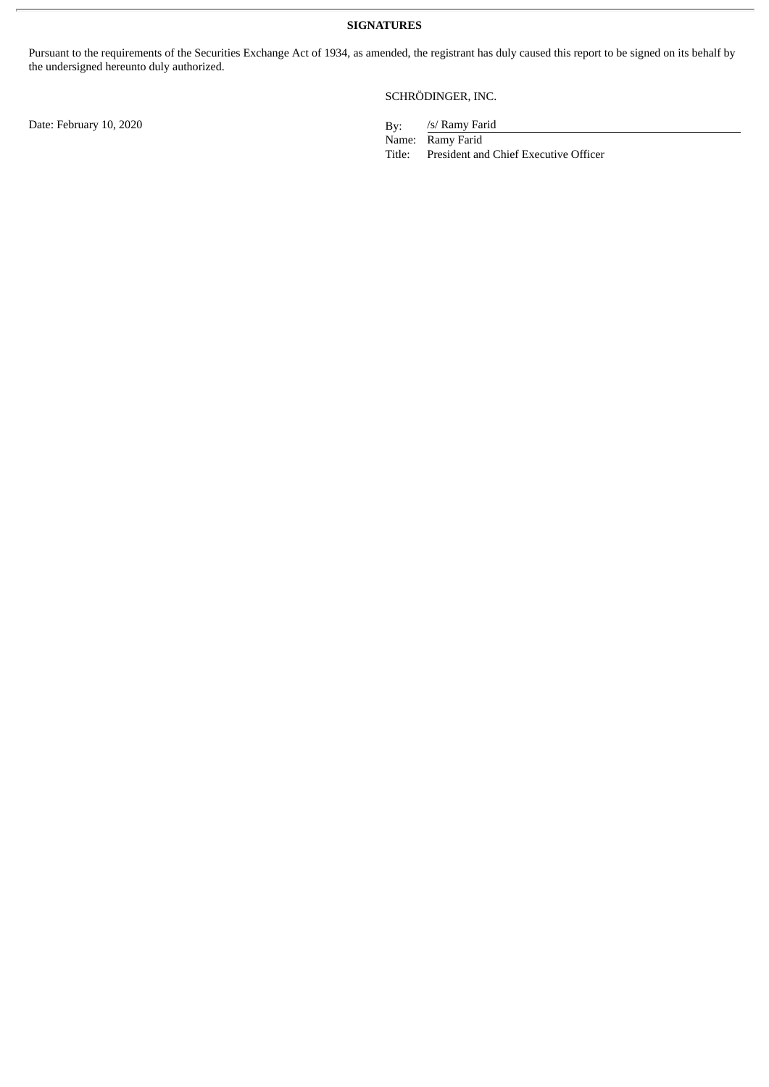Pursuant to the requirements of the Securities Exchange Act of 1934, as amended, the registrant has duly caused this report to be signed on its behalf by the undersigned hereunto duly authorized.

SCHRÖDINGER, INC.

/s/ Ramy Farid

Name: Ramy Farid<br>Title: President an President and Chief Executive Officer

Date: February 10, 2020 By: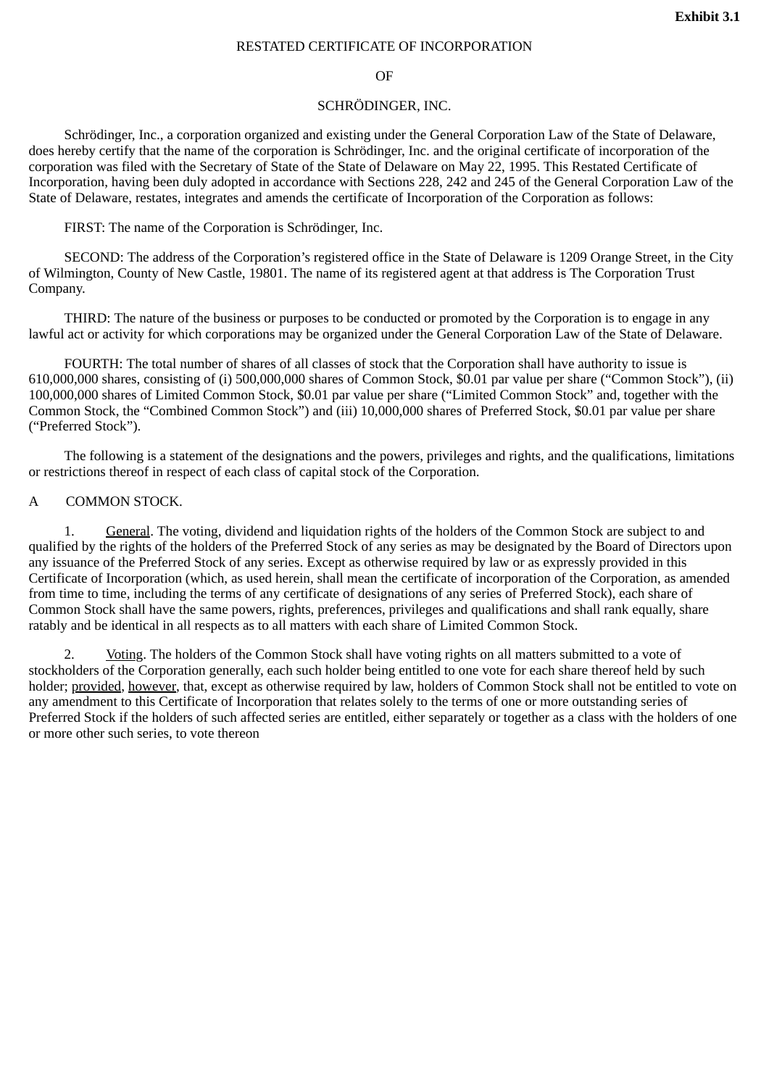#### RESTATED CERTIFICATE OF INCORPORATION

#### OF

#### SCHRÖDINGER, INC.

<span id="page-4-0"></span>Schrödinger, Inc., a corporation organized and existing under the General Corporation Law of the State of Delaware, does hereby certify that the name of the corporation is Schrödinger, Inc. and the original certificate of incorporation of the corporation was filed with the Secretary of State of the State of Delaware on May 22, 1995. This Restated Certificate of Incorporation, having been duly adopted in accordance with Sections 228, 242 and 245 of the General Corporation Law of the State of Delaware, restates, integrates and amends the certificate of Incorporation of the Corporation as follows:

FIRST: The name of the Corporation is Schrödinger, Inc.

SECOND: The address of the Corporation's registered office in the State of Delaware is 1209 Orange Street, in the City of Wilmington, County of New Castle, 19801. The name of its registered agent at that address is The Corporation Trust Company.

THIRD: The nature of the business or purposes to be conducted or promoted by the Corporation is to engage in any lawful act or activity for which corporations may be organized under the General Corporation Law of the State of Delaware.

FOURTH: The total number of shares of all classes of stock that the Corporation shall have authority to issue is 610,000,000 shares, consisting of (i) 500,000,000 shares of Common Stock, \$0.01 par value per share ("Common Stock"), (ii) 100,000,000 shares of Limited Common Stock, \$0.01 par value per share ("Limited Common Stock" and, together with the Common Stock, the "Combined Common Stock") and (iii) 10,000,000 shares of Preferred Stock, \$0.01 par value per share ("Preferred Stock").

The following is a statement of the designations and the powers, privileges and rights, and the qualifications, limitations or restrictions thereof in respect of each class of capital stock of the Corporation.

#### A COMMON STOCK.

1. General. The voting, dividend and liquidation rights of the holders of the Common Stock are subject to and qualified by the rights of the holders of the Preferred Stock of any series as may be designated by the Board of Directors upon any issuance of the Preferred Stock of any series. Except as otherwise required by law or as expressly provided in this Certificate of Incorporation (which, as used herein, shall mean the certificate of incorporation of the Corporation, as amended from time to time, including the terms of any certificate of designations of any series of Preferred Stock), each share of Common Stock shall have the same powers, rights, preferences, privileges and qualifications and shall rank equally, share ratably and be identical in all respects as to all matters with each share of Limited Common Stock.

2. Voting. The holders of the Common Stock shall have voting rights on all matters submitted to a vote of stockholders of the Corporation generally, each such holder being entitled to one vote for each share thereof held by such holder; provided, however, that, except as otherwise required by law, holders of Common Stock shall not be entitled to vote on any amendment to this Certificate of Incorporation that relates solely to the terms of one or more outstanding series of Preferred Stock if the holders of such affected series are entitled, either separately or together as a class with the holders of one or more other such series, to vote thereon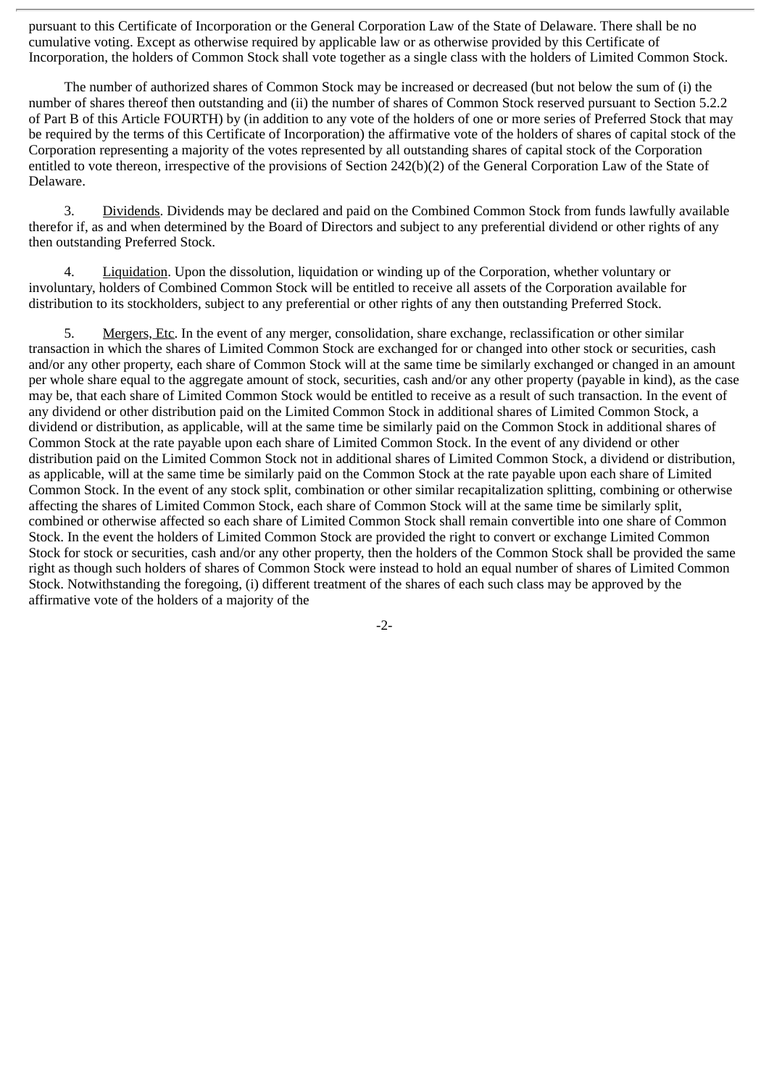pursuant to this Certificate of Incorporation or the General Corporation Law of the State of Delaware. There shall be no cumulative voting. Except as otherwise required by applicable law or as otherwise provided by this Certificate of Incorporation, the holders of Common Stock shall vote together as a single class with the holders of Limited Common Stock.

The number of authorized shares of Common Stock may be increased or decreased (but not below the sum of (i) the number of shares thereof then outstanding and (ii) the number of shares of Common Stock reserved pursuant to Section 5.2.2 of Part B of this Article FOURTH) by (in addition to any vote of the holders of one or more series of Preferred Stock that may be required by the terms of this Certificate of Incorporation) the affirmative vote of the holders of shares of capital stock of the Corporation representing a majority of the votes represented by all outstanding shares of capital stock of the Corporation entitled to vote thereon, irrespective of the provisions of Section 242(b)(2) of the General Corporation Law of the State of Delaware.

3. Dividends. Dividends may be declared and paid on the Combined Common Stock from funds lawfully available therefor if, as and when determined by the Board of Directors and subject to any preferential dividend or other rights of any then outstanding Preferred Stock.

4. Liquidation. Upon the dissolution, liquidation or winding up of the Corporation, whether voluntary or involuntary, holders of Combined Common Stock will be entitled to receive all assets of the Corporation available for distribution to its stockholders, subject to any preferential or other rights of any then outstanding Preferred Stock.

5. Mergers, Etc. In the event of any merger, consolidation, share exchange, reclassification or other similar transaction in which the shares of Limited Common Stock are exchanged for or changed into other stock or securities, cash and/or any other property, each share of Common Stock will at the same time be similarly exchanged or changed in an amount per whole share equal to the aggregate amount of stock, securities, cash and/or any other property (payable in kind), as the case may be, that each share of Limited Common Stock would be entitled to receive as a result of such transaction. In the event of any dividend or other distribution paid on the Limited Common Stock in additional shares of Limited Common Stock, a dividend or distribution, as applicable, will at the same time be similarly paid on the Common Stock in additional shares of Common Stock at the rate payable upon each share of Limited Common Stock. In the event of any dividend or other distribution paid on the Limited Common Stock not in additional shares of Limited Common Stock, a dividend or distribution, as applicable, will at the same time be similarly paid on the Common Stock at the rate payable upon each share of Limited Common Stock. In the event of any stock split, combination or other similar recapitalization splitting, combining or otherwise affecting the shares of Limited Common Stock, each share of Common Stock will at the same time be similarly split, combined or otherwise affected so each share of Limited Common Stock shall remain convertible into one share of Common Stock. In the event the holders of Limited Common Stock are provided the right to convert or exchange Limited Common Stock for stock or securities, cash and/or any other property, then the holders of the Common Stock shall be provided the same right as though such holders of shares of Common Stock were instead to hold an equal number of shares of Limited Common Stock. Notwithstanding the foregoing, (i) different treatment of the shares of each such class may be approved by the affirmative vote of the holders of a majority of the

-2-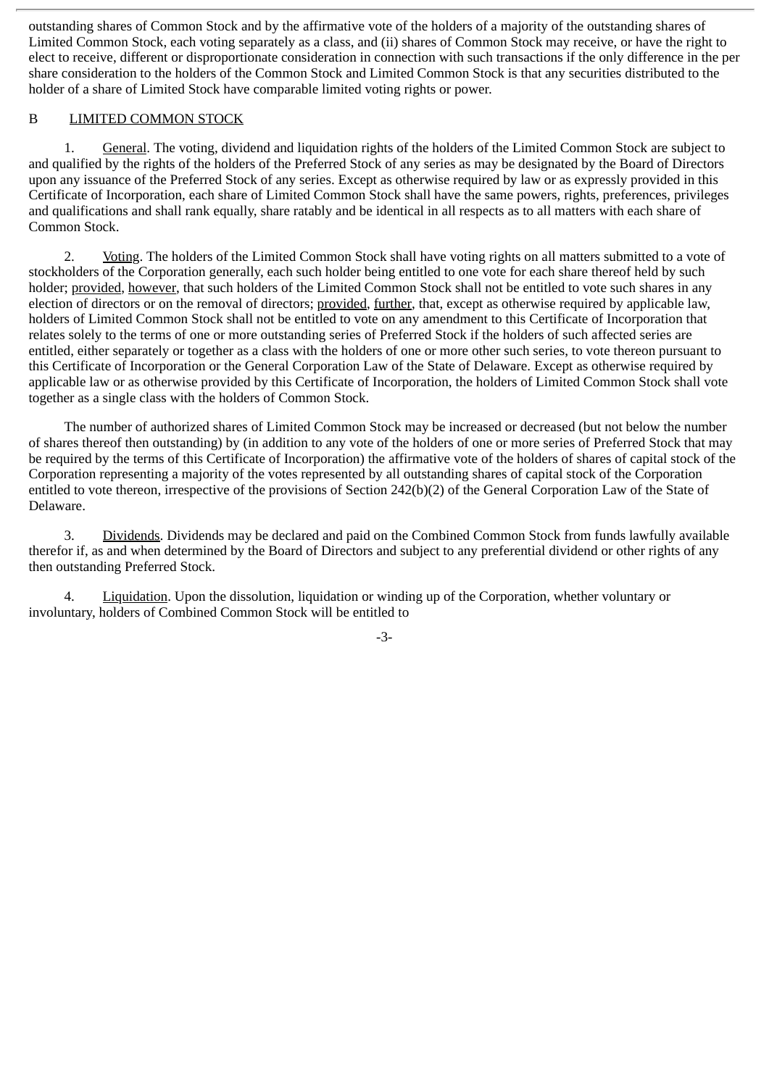outstanding shares of Common Stock and by the affirmative vote of the holders of a majority of the outstanding shares of Limited Common Stock, each voting separately as a class, and (ii) shares of Common Stock may receive, or have the right to elect to receive, different or disproportionate consideration in connection with such transactions if the only difference in the per share consideration to the holders of the Common Stock and Limited Common Stock is that any securities distributed to the holder of a share of Limited Stock have comparable limited voting rights or power.

#### B LIMITED COMMON STOCK

1. General. The voting, dividend and liquidation rights of the holders of the Limited Common Stock are subject to and qualified by the rights of the holders of the Preferred Stock of any series as may be designated by the Board of Directors upon any issuance of the Preferred Stock of any series. Except as otherwise required by law or as expressly provided in this Certificate of Incorporation, each share of Limited Common Stock shall have the same powers, rights, preferences, privileges and qualifications and shall rank equally, share ratably and be identical in all respects as to all matters with each share of Common Stock.

2. Voting. The holders of the Limited Common Stock shall have voting rights on all matters submitted to a vote of stockholders of the Corporation generally, each such holder being entitled to one vote for each share thereof held by such holder; provided, however, that such holders of the Limited Common Stock shall not be entitled to vote such shares in any election of directors or on the removal of directors; provided, further, that, except as otherwise required by applicable law, holders of Limited Common Stock shall not be entitled to vote on any amendment to this Certificate of Incorporation that relates solely to the terms of one or more outstanding series of Preferred Stock if the holders of such affected series are entitled, either separately or together as a class with the holders of one or more other such series, to vote thereon pursuant to this Certificate of Incorporation or the General Corporation Law of the State of Delaware. Except as otherwise required by applicable law or as otherwise provided by this Certificate of Incorporation, the holders of Limited Common Stock shall vote together as a single class with the holders of Common Stock.

The number of authorized shares of Limited Common Stock may be increased or decreased (but not below the number of shares thereof then outstanding) by (in addition to any vote of the holders of one or more series of Preferred Stock that may be required by the terms of this Certificate of Incorporation) the affirmative vote of the holders of shares of capital stock of the Corporation representing a majority of the votes represented by all outstanding shares of capital stock of the Corporation entitled to vote thereon, irrespective of the provisions of Section 242(b)(2) of the General Corporation Law of the State of Delaware.

3. Dividends. Dividends may be declared and paid on the Combined Common Stock from funds lawfully available therefor if, as and when determined by the Board of Directors and subject to any preferential dividend or other rights of any then outstanding Preferred Stock.

4. Liquidation. Upon the dissolution, liquidation or winding up of the Corporation, whether voluntary or involuntary, holders of Combined Common Stock will be entitled to

-3-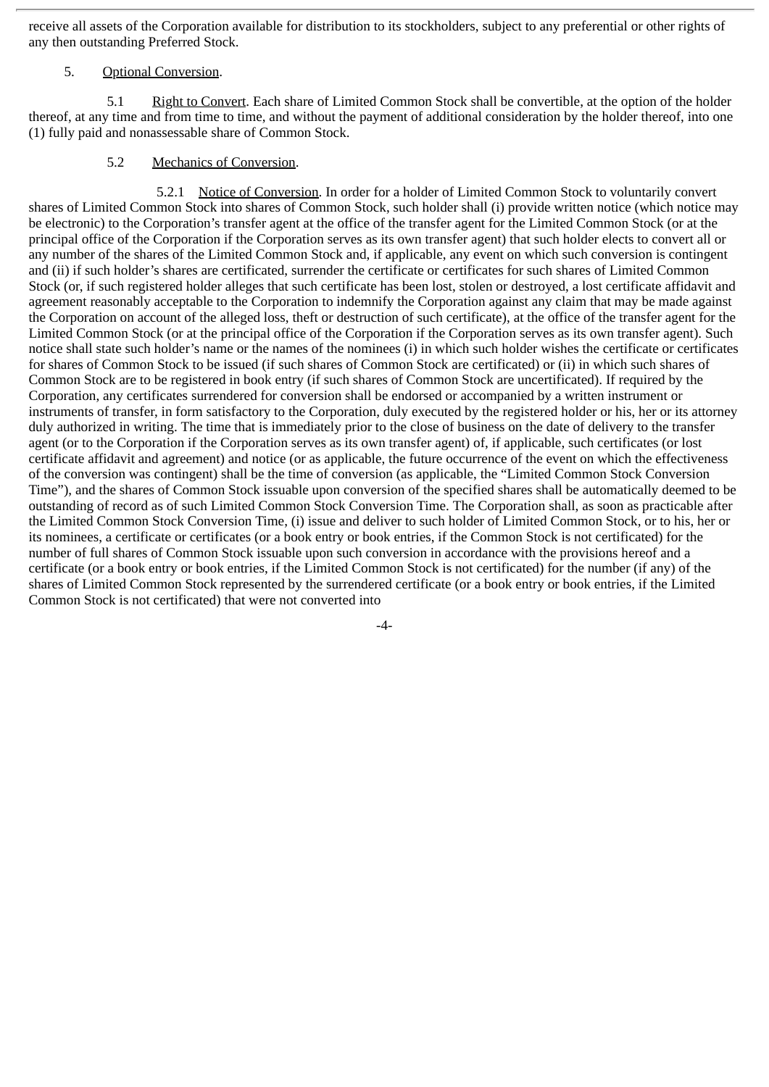receive all assets of the Corporation available for distribution to its stockholders, subject to any preferential or other rights of any then outstanding Preferred Stock.

#### 5. Optional Conversion.

5.1 Right to Convert. Each share of Limited Common Stock shall be convertible, at the option of the holder thereof, at any time and from time to time, and without the payment of additional consideration by the holder thereof, into one (1) fully paid and nonassessable share of Common Stock.

# 5.2 Mechanics of Conversion.

5.2.1 Notice of Conversion. In order for a holder of Limited Common Stock to voluntarily convert shares of Limited Common Stock into shares of Common Stock, such holder shall (i) provide written notice (which notice may be electronic) to the Corporation's transfer agent at the office of the transfer agent for the Limited Common Stock (or at the principal office of the Corporation if the Corporation serves as its own transfer agent) that such holder elects to convert all or any number of the shares of the Limited Common Stock and, if applicable, any event on which such conversion is contingent and (ii) if such holder's shares are certificated, surrender the certificate or certificates for such shares of Limited Common Stock (or, if such registered holder alleges that such certificate has been lost, stolen or destroyed, a lost certificate affidavit and agreement reasonably acceptable to the Corporation to indemnify the Corporation against any claim that may be made against the Corporation on account of the alleged loss, theft or destruction of such certificate), at the office of the transfer agent for the Limited Common Stock (or at the principal office of the Corporation if the Corporation serves as its own transfer agent). Such notice shall state such holder's name or the names of the nominees (i) in which such holder wishes the certificate or certificates for shares of Common Stock to be issued (if such shares of Common Stock are certificated) or (ii) in which such shares of Common Stock are to be registered in book entry (if such shares of Common Stock are uncertificated). If required by the Corporation, any certificates surrendered for conversion shall be endorsed or accompanied by a written instrument or instruments of transfer, in form satisfactory to the Corporation, duly executed by the registered holder or his, her or its attorney duly authorized in writing. The time that is immediately prior to the close of business on the date of delivery to the transfer agent (or to the Corporation if the Corporation serves as its own transfer agent) of, if applicable, such certificates (or lost certificate affidavit and agreement) and notice (or as applicable, the future occurrence of the event on which the effectiveness of the conversion was contingent) shall be the time of conversion (as applicable, the "Limited Common Stock Conversion Time"), and the shares of Common Stock issuable upon conversion of the specified shares shall be automatically deemed to be outstanding of record as of such Limited Common Stock Conversion Time. The Corporation shall, as soon as practicable after the Limited Common Stock Conversion Time, (i) issue and deliver to such holder of Limited Common Stock, or to his, her or its nominees, a certificate or certificates (or a book entry or book entries, if the Common Stock is not certificated) for the number of full shares of Common Stock issuable upon such conversion in accordance with the provisions hereof and a certificate (or a book entry or book entries, if the Limited Common Stock is not certificated) for the number (if any) of the shares of Limited Common Stock represented by the surrendered certificate (or a book entry or book entries, if the Limited Common Stock is not certificated) that were not converted into

-4-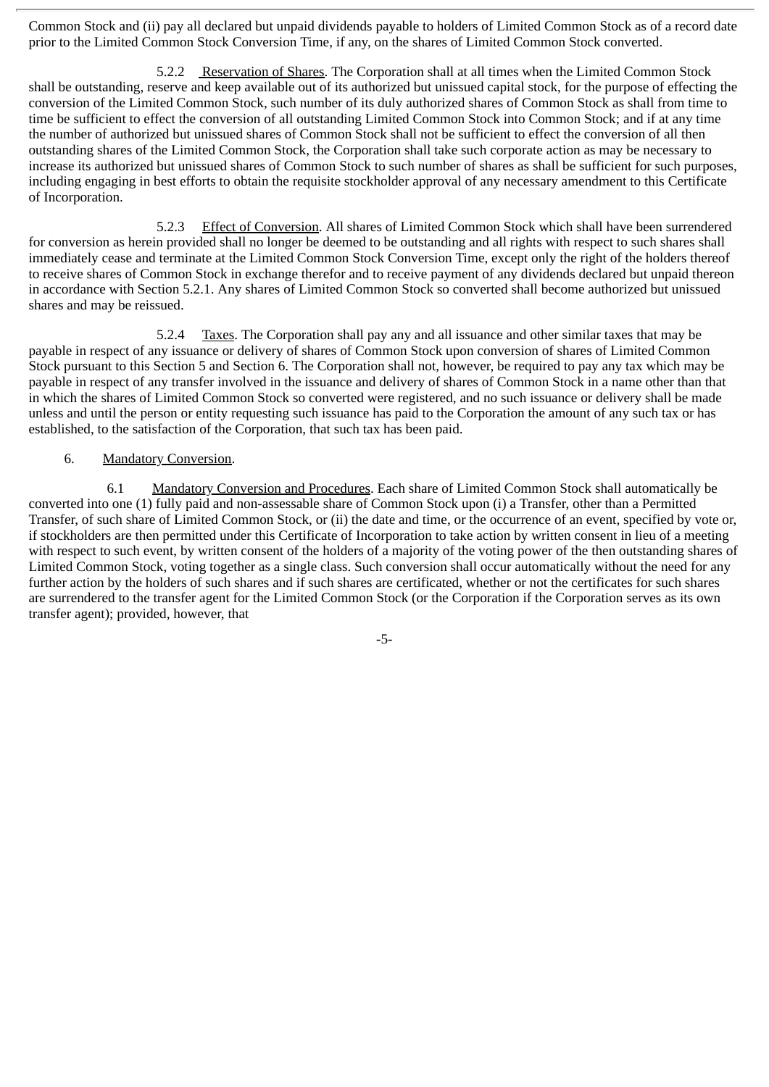Common Stock and (ii) pay all declared but unpaid dividends payable to holders of Limited Common Stock as of a record date prior to the Limited Common Stock Conversion Time, if any, on the shares of Limited Common Stock converted.

5.2.2 Reservation of Shares. The Corporation shall at all times when the Limited Common Stock shall be outstanding, reserve and keep available out of its authorized but unissued capital stock, for the purpose of effecting the conversion of the Limited Common Stock, such number of its duly authorized shares of Common Stock as shall from time to time be sufficient to effect the conversion of all outstanding Limited Common Stock into Common Stock; and if at any time the number of authorized but unissued shares of Common Stock shall not be sufficient to effect the conversion of all then outstanding shares of the Limited Common Stock, the Corporation shall take such corporate action as may be necessary to increase its authorized but unissued shares of Common Stock to such number of shares as shall be sufficient for such purposes, including engaging in best efforts to obtain the requisite stockholder approval of any necessary amendment to this Certificate of Incorporation.

5.2.3 Effect of Conversion. All shares of Limited Common Stock which shall have been surrendered for conversion as herein provided shall no longer be deemed to be outstanding and all rights with respect to such shares shall immediately cease and terminate at the Limited Common Stock Conversion Time, except only the right of the holders thereof to receive shares of Common Stock in exchange therefor and to receive payment of any dividends declared but unpaid thereon in accordance with Section 5.2.1. Any shares of Limited Common Stock so converted shall become authorized but unissued shares and may be reissued.

5.2.4 Taxes. The Corporation shall pay any and all issuance and other similar taxes that may be payable in respect of any issuance or delivery of shares of Common Stock upon conversion of shares of Limited Common Stock pursuant to this Section 5 and Section 6. The Corporation shall not, however, be required to pay any tax which may be payable in respect of any transfer involved in the issuance and delivery of shares of Common Stock in a name other than that in which the shares of Limited Common Stock so converted were registered, and no such issuance or delivery shall be made unless and until the person or entity requesting such issuance has paid to the Corporation the amount of any such tax or has established, to the satisfaction of the Corporation, that such tax has been paid.

#### 6. Mandatory Conversion.

6.1 Mandatory Conversion and Procedures. Each share of Limited Common Stock shall automatically be converted into one (1) fully paid and non-assessable share of Common Stock upon (i) a Transfer, other than a Permitted Transfer, of such share of Limited Common Stock, or (ii) the date and time, or the occurrence of an event, specified by vote or, if stockholders are then permitted under this Certificate of Incorporation to take action by written consent in lieu of a meeting with respect to such event, by written consent of the holders of a majority of the voting power of the then outstanding shares of Limited Common Stock, voting together as a single class. Such conversion shall occur automatically without the need for any further action by the holders of such shares and if such shares are certificated, whether or not the certificates for such shares are surrendered to the transfer agent for the Limited Common Stock (or the Corporation if the Corporation serves as its own transfer agent); provided, however, that

-5-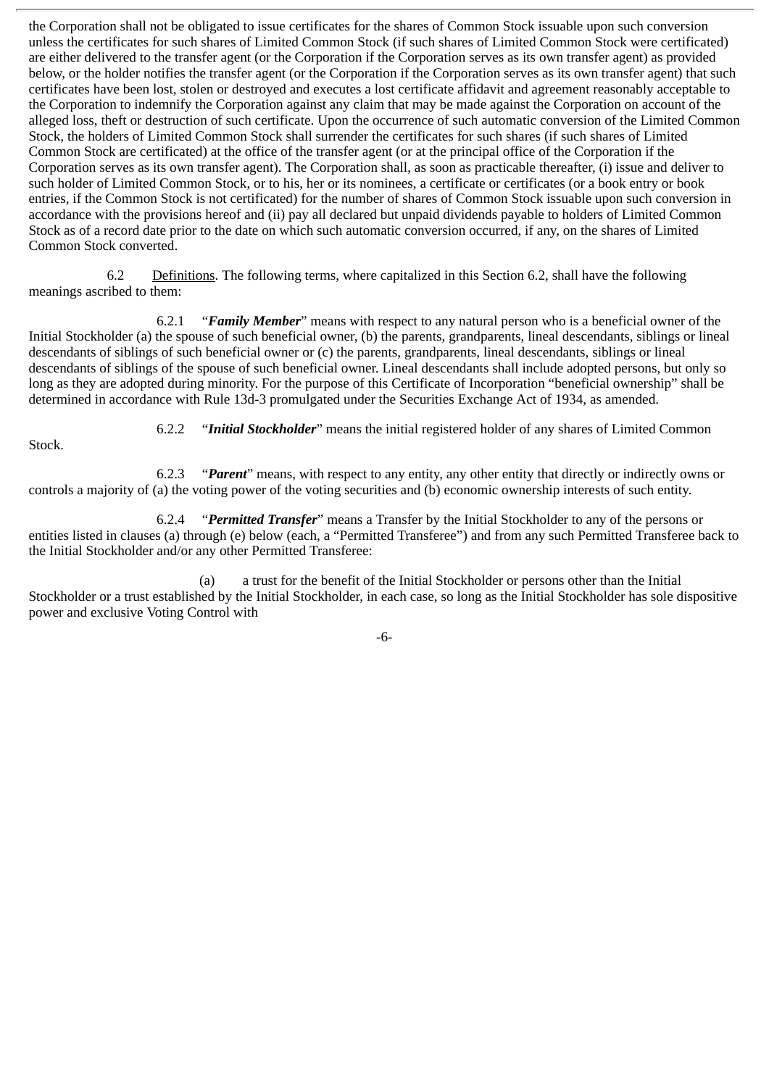the Corporation shall not be obligated to issue certificates for the shares of Common Stock issuable upon such conversion unless the certificates for such shares of Limited Common Stock (if such shares of Limited Common Stock were certificated) are either delivered to the transfer agent (or the Corporation if the Corporation serves as its own transfer agent) as provided below, or the holder notifies the transfer agent (or the Corporation if the Corporation serves as its own transfer agent) that such certificates have been lost, stolen or destroyed and executes a lost certificate affidavit and agreement reasonably acceptable to the Corporation to indemnify the Corporation against any claim that may be made against the Corporation on account of the alleged loss, theft or destruction of such certificate. Upon the occurrence of such automatic conversion of the Limited Common Stock, the holders of Limited Common Stock shall surrender the certificates for such shares (if such shares of Limited Common Stock are certificated) at the office of the transfer agent (or at the principal office of the Corporation if the Corporation serves as its own transfer agent). The Corporation shall, as soon as practicable thereafter, (i) issue and deliver to such holder of Limited Common Stock, or to his, her or its nominees, a certificate or certificates (or a book entry or book entries, if the Common Stock is not certificated) for the number of shares of Common Stock issuable upon such conversion in accordance with the provisions hereof and (ii) pay all declared but unpaid dividends payable to holders of Limited Common Stock as of a record date prior to the date on which such automatic conversion occurred, if any, on the shares of Limited Common Stock converted.

6.2 Definitions. The following terms, where capitalized in this Section 6.2, shall have the following meanings ascribed to them:

6.2.1 "*Family Member*" means with respect to any natural person who is a beneficial owner of the Initial Stockholder (a) the spouse of such beneficial owner, (b) the parents, grandparents, lineal descendants, siblings or lineal descendants of siblings of such beneficial owner or (c) the parents, grandparents, lineal descendants, siblings or lineal descendants of siblings of the spouse of such beneficial owner. Lineal descendants shall include adopted persons, but only so long as they are adopted during minority. For the purpose of this Certificate of Incorporation "beneficial ownership" shall be determined in accordance with Rule 13d-3 promulgated under the Securities Exchange Act of 1934, as amended.

Stock.

6.2.2 "*Initial Stockholder*" means the initial registered holder of any shares of Limited Common

6.2.3 "*Parent*" means, with respect to any entity, any other entity that directly or indirectly owns or controls a majority of (a) the voting power of the voting securities and (b) economic ownership interests of such entity.

6.2.4 "*Permitted Transfer*" means a Transfer by the Initial Stockholder to any of the persons or entities listed in clauses (a) through (e) below (each, a "Permitted Transferee") and from any such Permitted Transferee back to the Initial Stockholder and/or any other Permitted Transferee:

(a) a trust for the benefit of the Initial Stockholder or persons other than the Initial Stockholder or a trust established by the Initial Stockholder, in each case, so long as the Initial Stockholder has sole dispositive power and exclusive Voting Control with

-6-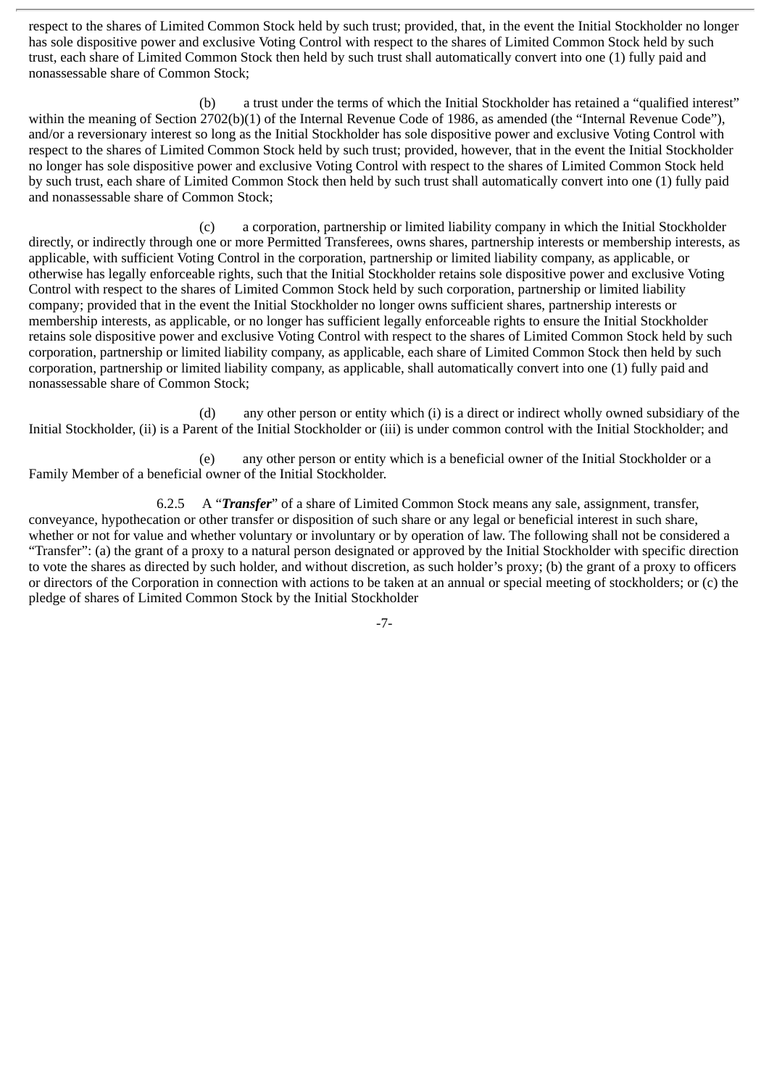respect to the shares of Limited Common Stock held by such trust; provided, that, in the event the Initial Stockholder no longer has sole dispositive power and exclusive Voting Control with respect to the shares of Limited Common Stock held by such trust, each share of Limited Common Stock then held by such trust shall automatically convert into one (1) fully paid and nonassessable share of Common Stock;

(b) a trust under the terms of which the Initial Stockholder has retained a "qualified interest" within the meaning of Section 2702(b)(1) of the Internal Revenue Code of 1986, as amended (the "Internal Revenue Code"), and/or a reversionary interest so long as the Initial Stockholder has sole dispositive power and exclusive Voting Control with respect to the shares of Limited Common Stock held by such trust; provided, however, that in the event the Initial Stockholder no longer has sole dispositive power and exclusive Voting Control with respect to the shares of Limited Common Stock held by such trust, each share of Limited Common Stock then held by such trust shall automatically convert into one (1) fully paid and nonassessable share of Common Stock;

(c) a corporation, partnership or limited liability company in which the Initial Stockholder directly, or indirectly through one or more Permitted Transferees, owns shares, partnership interests or membership interests, as applicable, with sufficient Voting Control in the corporation, partnership or limited liability company, as applicable, or otherwise has legally enforceable rights, such that the Initial Stockholder retains sole dispositive power and exclusive Voting Control with respect to the shares of Limited Common Stock held by such corporation, partnership or limited liability company; provided that in the event the Initial Stockholder no longer owns sufficient shares, partnership interests or membership interests, as applicable, or no longer has sufficient legally enforceable rights to ensure the Initial Stockholder retains sole dispositive power and exclusive Voting Control with respect to the shares of Limited Common Stock held by such corporation, partnership or limited liability company, as applicable, each share of Limited Common Stock then held by such corporation, partnership or limited liability company, as applicable, shall automatically convert into one (1) fully paid and nonassessable share of Common Stock;

(d) any other person or entity which (i) is a direct or indirect wholly owned subsidiary of the Initial Stockholder, (ii) is a Parent of the Initial Stockholder or (iii) is under common control with the Initial Stockholder; and

(e) any other person or entity which is a beneficial owner of the Initial Stockholder or a Family Member of a beneficial owner of the Initial Stockholder.

6.2.5 A "*Transfer*" of a share of Limited Common Stock means any sale, assignment, transfer, conveyance, hypothecation or other transfer or disposition of such share or any legal or beneficial interest in such share, whether or not for value and whether voluntary or involuntary or by operation of law. The following shall not be considered a "Transfer": (a) the grant of a proxy to a natural person designated or approved by the Initial Stockholder with specific direction to vote the shares as directed by such holder, and without discretion, as such holder's proxy; (b) the grant of a proxy to officers or directors of the Corporation in connection with actions to be taken at an annual or special meeting of stockholders; or (c) the pledge of shares of Limited Common Stock by the Initial Stockholder

-7-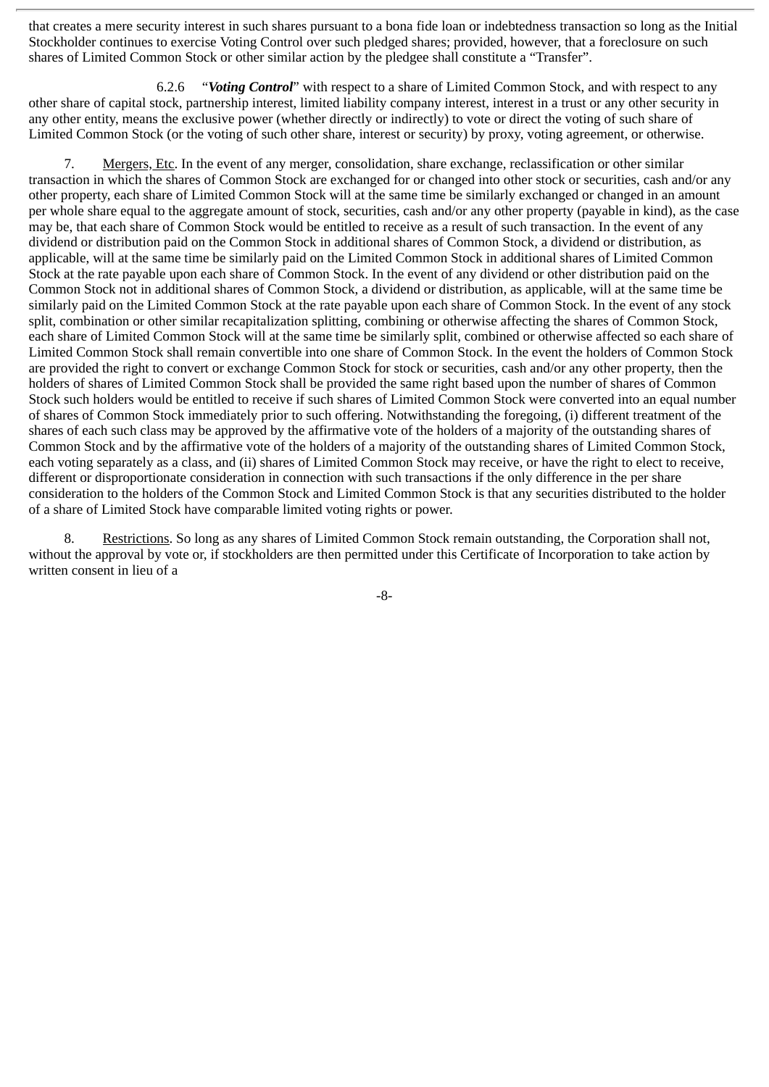that creates a mere security interest in such shares pursuant to a bona fide loan or indebtedness transaction so long as the Initial Stockholder continues to exercise Voting Control over such pledged shares; provided, however, that a foreclosure on such shares of Limited Common Stock or other similar action by the pledgee shall constitute a "Transfer".

6.2.6 "*Voting Control*" with respect to a share of Limited Common Stock, and with respect to any other share of capital stock, partnership interest, limited liability company interest, interest in a trust or any other security in any other entity, means the exclusive power (whether directly or indirectly) to vote or direct the voting of such share of Limited Common Stock (or the voting of such other share, interest or security) by proxy, voting agreement, or otherwise.

7. Mergers, Etc. In the event of any merger, consolidation, share exchange, reclassification or other similar transaction in which the shares of Common Stock are exchanged for or changed into other stock or securities, cash and/or any other property, each share of Limited Common Stock will at the same time be similarly exchanged or changed in an amount per whole share equal to the aggregate amount of stock, securities, cash and/or any other property (payable in kind), as the case may be, that each share of Common Stock would be entitled to receive as a result of such transaction. In the event of any dividend or distribution paid on the Common Stock in additional shares of Common Stock, a dividend or distribution, as applicable, will at the same time be similarly paid on the Limited Common Stock in additional shares of Limited Common Stock at the rate payable upon each share of Common Stock. In the event of any dividend or other distribution paid on the Common Stock not in additional shares of Common Stock, a dividend or distribution, as applicable, will at the same time be similarly paid on the Limited Common Stock at the rate payable upon each share of Common Stock. In the event of any stock split, combination or other similar recapitalization splitting, combining or otherwise affecting the shares of Common Stock, each share of Limited Common Stock will at the same time be similarly split, combined or otherwise affected so each share of Limited Common Stock shall remain convertible into one share of Common Stock. In the event the holders of Common Stock are provided the right to convert or exchange Common Stock for stock or securities, cash and/or any other property, then the holders of shares of Limited Common Stock shall be provided the same right based upon the number of shares of Common Stock such holders would be entitled to receive if such shares of Limited Common Stock were converted into an equal number of shares of Common Stock immediately prior to such offering. Notwithstanding the foregoing, (i) different treatment of the shares of each such class may be approved by the affirmative vote of the holders of a majority of the outstanding shares of Common Stock and by the affirmative vote of the holders of a majority of the outstanding shares of Limited Common Stock, each voting separately as a class, and (ii) shares of Limited Common Stock may receive, or have the right to elect to receive, different or disproportionate consideration in connection with such transactions if the only difference in the per share consideration to the holders of the Common Stock and Limited Common Stock is that any securities distributed to the holder of a share of Limited Stock have comparable limited voting rights or power.

8. Restrictions. So long as any shares of Limited Common Stock remain outstanding, the Corporation shall not, without the approval by vote or, if stockholders are then permitted under this Certificate of Incorporation to take action by written consent in lieu of a

-8-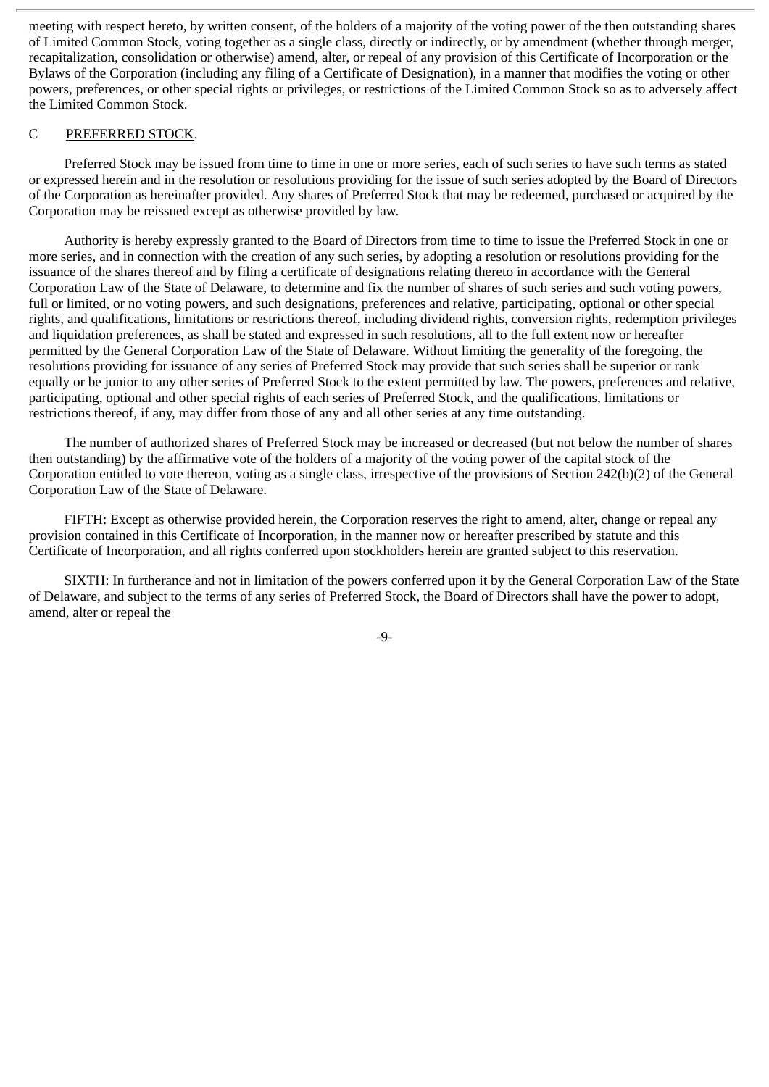meeting with respect hereto, by written consent, of the holders of a majority of the voting power of the then outstanding shares of Limited Common Stock, voting together as a single class, directly or indirectly, or by amendment (whether through merger, recapitalization, consolidation or otherwise) amend, alter, or repeal of any provision of this Certificate of Incorporation or the Bylaws of the Corporation (including any filing of a Certificate of Designation), in a manner that modifies the voting or other powers, preferences, or other special rights or privileges, or restrictions of the Limited Common Stock so as to adversely affect the Limited Common Stock.

#### C PREFERRED STOCK.

Preferred Stock may be issued from time to time in one or more series, each of such series to have such terms as stated or expressed herein and in the resolution or resolutions providing for the issue of such series adopted by the Board of Directors of the Corporation as hereinafter provided. Any shares of Preferred Stock that may be redeemed, purchased or acquired by the Corporation may be reissued except as otherwise provided by law.

Authority is hereby expressly granted to the Board of Directors from time to time to issue the Preferred Stock in one or more series, and in connection with the creation of any such series, by adopting a resolution or resolutions providing for the issuance of the shares thereof and by filing a certificate of designations relating thereto in accordance with the General Corporation Law of the State of Delaware, to determine and fix the number of shares of such series and such voting powers, full or limited, or no voting powers, and such designations, preferences and relative, participating, optional or other special rights, and qualifications, limitations or restrictions thereof, including dividend rights, conversion rights, redemption privileges and liquidation preferences, as shall be stated and expressed in such resolutions, all to the full extent now or hereafter permitted by the General Corporation Law of the State of Delaware. Without limiting the generality of the foregoing, the resolutions providing for issuance of any series of Preferred Stock may provide that such series shall be superior or rank equally or be junior to any other series of Preferred Stock to the extent permitted by law. The powers, preferences and relative, participating, optional and other special rights of each series of Preferred Stock, and the qualifications, limitations or restrictions thereof, if any, may differ from those of any and all other series at any time outstanding.

The number of authorized shares of Preferred Stock may be increased or decreased (but not below the number of shares then outstanding) by the affirmative vote of the holders of a majority of the voting power of the capital stock of the Corporation entitled to vote thereon, voting as a single class, irrespective of the provisions of Section 242(b)(2) of the General Corporation Law of the State of Delaware.

FIFTH: Except as otherwise provided herein, the Corporation reserves the right to amend, alter, change or repeal any provision contained in this Certificate of Incorporation, in the manner now or hereafter prescribed by statute and this Certificate of Incorporation, and all rights conferred upon stockholders herein are granted subject to this reservation.

SIXTH: In furtherance and not in limitation of the powers conferred upon it by the General Corporation Law of the State of Delaware, and subject to the terms of any series of Preferred Stock, the Board of Directors shall have the power to adopt, amend, alter or repeal the

-9-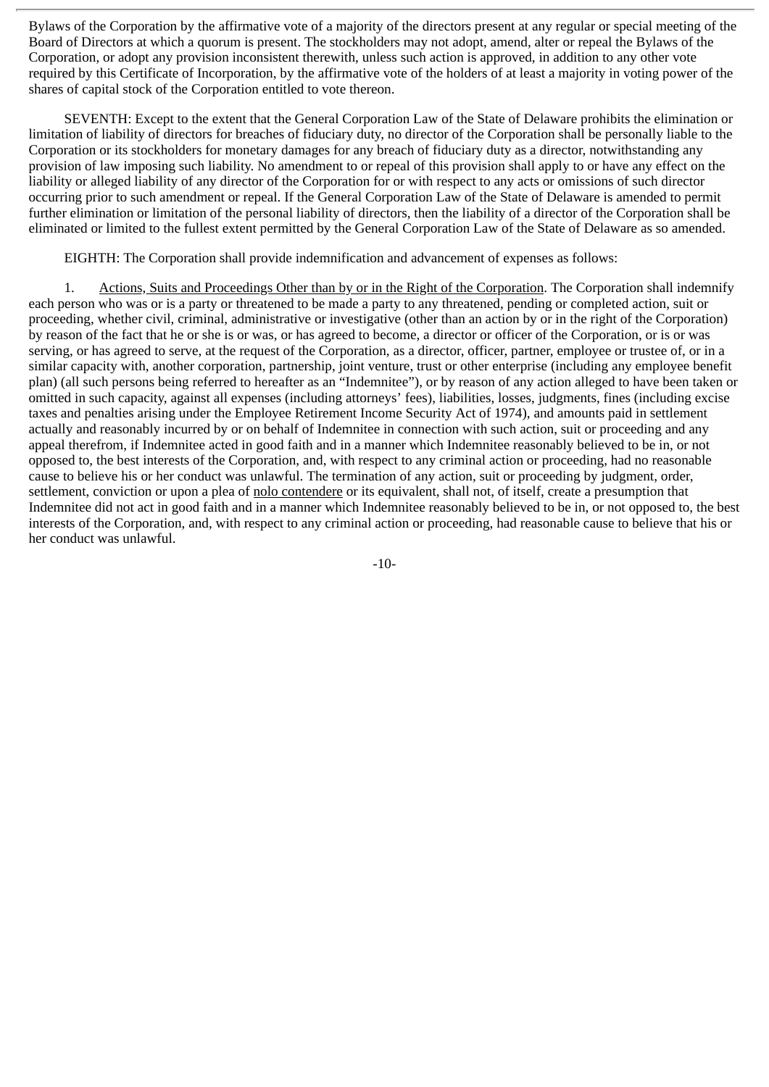Bylaws of the Corporation by the affirmative vote of a majority of the directors present at any regular or special meeting of the Board of Directors at which a quorum is present. The stockholders may not adopt, amend, alter or repeal the Bylaws of the Corporation, or adopt any provision inconsistent therewith, unless such action is approved, in addition to any other vote required by this Certificate of Incorporation, by the affirmative vote of the holders of at least a majority in voting power of the shares of capital stock of the Corporation entitled to vote thereon.

SEVENTH: Except to the extent that the General Corporation Law of the State of Delaware prohibits the elimination or limitation of liability of directors for breaches of fiduciary duty, no director of the Corporation shall be personally liable to the Corporation or its stockholders for monetary damages for any breach of fiduciary duty as a director, notwithstanding any provision of law imposing such liability. No amendment to or repeal of this provision shall apply to or have any effect on the liability or alleged liability of any director of the Corporation for or with respect to any acts or omissions of such director occurring prior to such amendment or repeal. If the General Corporation Law of the State of Delaware is amended to permit further elimination or limitation of the personal liability of directors, then the liability of a director of the Corporation shall be eliminated or limited to the fullest extent permitted by the General Corporation Law of the State of Delaware as so amended.

EIGHTH: The Corporation shall provide indemnification and advancement of expenses as follows:

1. Actions, Suits and Proceedings Other than by or in the Right of the Corporation. The Corporation shall indemnify each person who was or is a party or threatened to be made a party to any threatened, pending or completed action, suit or proceeding, whether civil, criminal, administrative or investigative (other than an action by or in the right of the Corporation) by reason of the fact that he or she is or was, or has agreed to become, a director or officer of the Corporation, or is or was serving, or has agreed to serve, at the request of the Corporation, as a director, officer, partner, employee or trustee of, or in a similar capacity with, another corporation, partnership, joint venture, trust or other enterprise (including any employee benefit plan) (all such persons being referred to hereafter as an "Indemnitee"), or by reason of any action alleged to have been taken or omitted in such capacity, against all expenses (including attorneys' fees), liabilities, losses, judgments, fines (including excise taxes and penalties arising under the Employee Retirement Income Security Act of 1974), and amounts paid in settlement actually and reasonably incurred by or on behalf of Indemnitee in connection with such action, suit or proceeding and any appeal therefrom, if Indemnitee acted in good faith and in a manner which Indemnitee reasonably believed to be in, or not opposed to, the best interests of the Corporation, and, with respect to any criminal action or proceeding, had no reasonable cause to believe his or her conduct was unlawful. The termination of any action, suit or proceeding by judgment, order, settlement, conviction or upon a plea of nolo contendere or its equivalent, shall not, of itself, create a presumption that Indemnitee did not act in good faith and in a manner which Indemnitee reasonably believed to be in, or not opposed to, the best interests of the Corporation, and, with respect to any criminal action or proceeding, had reasonable cause to believe that his or her conduct was unlawful.

-10-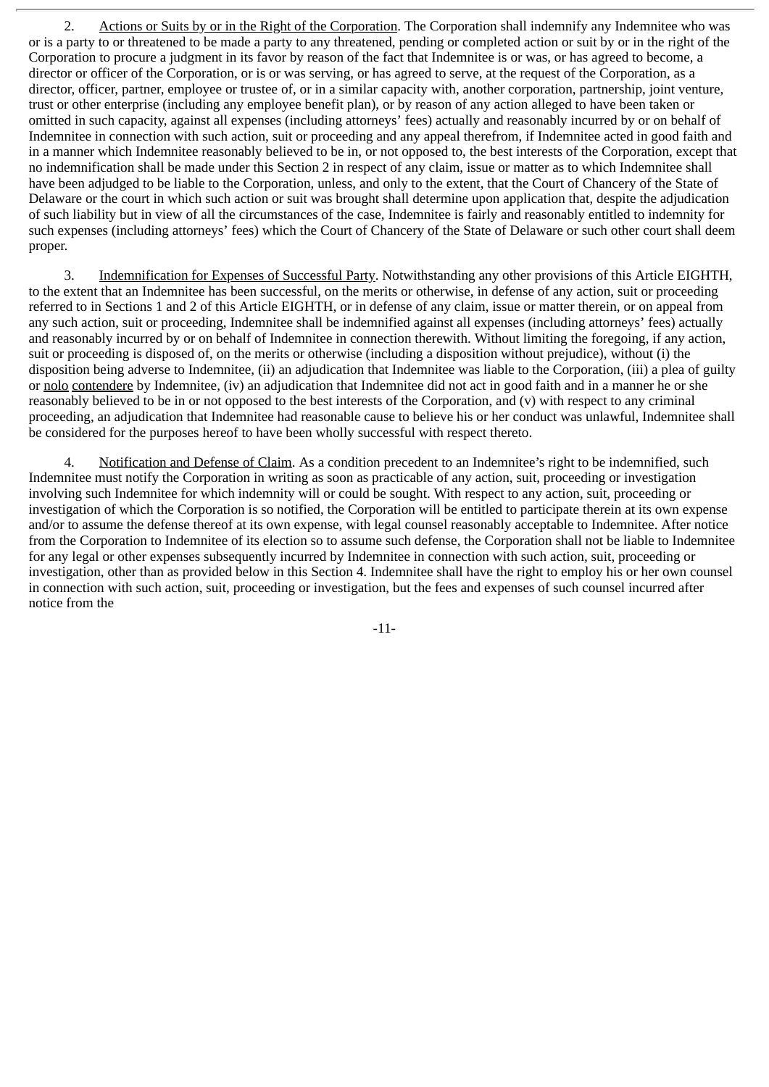2. Actions or Suits by or in the Right of the Corporation. The Corporation shall indemnify any Indemnitee who was or is a party to or threatened to be made a party to any threatened, pending or completed action or suit by or in the right of the Corporation to procure a judgment in its favor by reason of the fact that Indemnitee is or was, or has agreed to become, a director or officer of the Corporation, or is or was serving, or has agreed to serve, at the request of the Corporation, as a director, officer, partner, employee or trustee of, or in a similar capacity with, another corporation, partnership, joint venture, trust or other enterprise (including any employee benefit plan), or by reason of any action alleged to have been taken or omitted in such capacity, against all expenses (including attorneys' fees) actually and reasonably incurred by or on behalf of Indemnitee in connection with such action, suit or proceeding and any appeal therefrom, if Indemnitee acted in good faith and in a manner which Indemnitee reasonably believed to be in, or not opposed to, the best interests of the Corporation, except that no indemnification shall be made under this Section 2 in respect of any claim, issue or matter as to which Indemnitee shall have been adjudged to be liable to the Corporation, unless, and only to the extent, that the Court of Chancery of the State of Delaware or the court in which such action or suit was brought shall determine upon application that, despite the adjudication of such liability but in view of all the circumstances of the case, Indemnitee is fairly and reasonably entitled to indemnity for such expenses (including attorneys' fees) which the Court of Chancery of the State of Delaware or such other court shall deem proper.

3. Indemnification for Expenses of Successful Party. Notwithstanding any other provisions of this Article EIGHTH, to the extent that an Indemnitee has been successful, on the merits or otherwise, in defense of any action, suit or proceeding referred to in Sections 1 and 2 of this Article EIGHTH, or in defense of any claim, issue or matter therein, or on appeal from any such action, suit or proceeding, Indemnitee shall be indemnified against all expenses (including attorneys' fees) actually and reasonably incurred by or on behalf of Indemnitee in connection therewith. Without limiting the foregoing, if any action, suit or proceeding is disposed of, on the merits or otherwise (including a disposition without prejudice), without (i) the disposition being adverse to Indemnitee, (ii) an adjudication that Indemnitee was liable to the Corporation, (iii) a plea of guilty or nolo contendere by Indemnitee, (iv) an adjudication that Indemnitee did not act in good faith and in a manner he or she reasonably believed to be in or not opposed to the best interests of the Corporation, and (v) with respect to any criminal proceeding, an adjudication that Indemnitee had reasonable cause to believe his or her conduct was unlawful, Indemnitee shall be considered for the purposes hereof to have been wholly successful with respect thereto.

4. Notification and Defense of Claim. As a condition precedent to an Indemnitee's right to be indemnified, such Indemnitee must notify the Corporation in writing as soon as practicable of any action, suit, proceeding or investigation involving such Indemnitee for which indemnity will or could be sought. With respect to any action, suit, proceeding or investigation of which the Corporation is so notified, the Corporation will be entitled to participate therein at its own expense and/or to assume the defense thereof at its own expense, with legal counsel reasonably acceptable to Indemnitee. After notice from the Corporation to Indemnitee of its election so to assume such defense, the Corporation shall not be liable to Indemnitee for any legal or other expenses subsequently incurred by Indemnitee in connection with such action, suit, proceeding or investigation, other than as provided below in this Section 4. Indemnitee shall have the right to employ his or her own counsel in connection with such action, suit, proceeding or investigation, but the fees and expenses of such counsel incurred after notice from the

-11-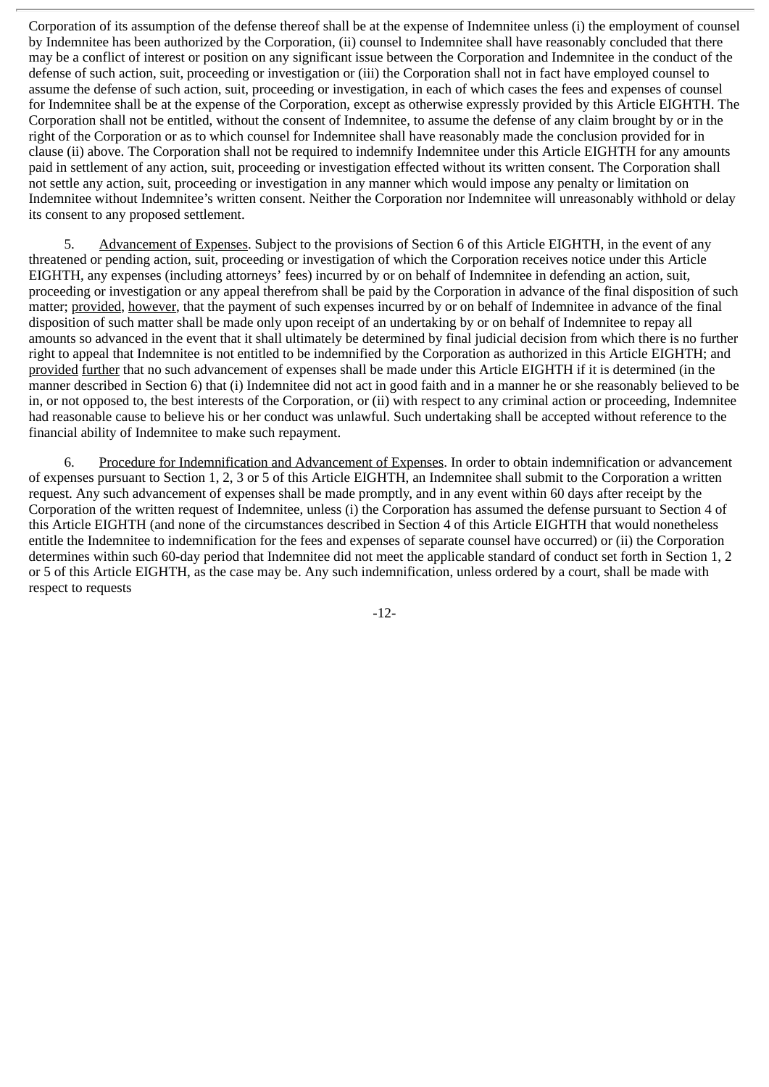Corporation of its assumption of the defense thereof shall be at the expense of Indemnitee unless (i) the employment of counsel by Indemnitee has been authorized by the Corporation, (ii) counsel to Indemnitee shall have reasonably concluded that there may be a conflict of interest or position on any significant issue between the Corporation and Indemnitee in the conduct of the defense of such action, suit, proceeding or investigation or (iii) the Corporation shall not in fact have employed counsel to assume the defense of such action, suit, proceeding or investigation, in each of which cases the fees and expenses of counsel for Indemnitee shall be at the expense of the Corporation, except as otherwise expressly provided by this Article EIGHTH. The Corporation shall not be entitled, without the consent of Indemnitee, to assume the defense of any claim brought by or in the right of the Corporation or as to which counsel for Indemnitee shall have reasonably made the conclusion provided for in clause (ii) above. The Corporation shall not be required to indemnify Indemnitee under this Article EIGHTH for any amounts paid in settlement of any action, suit, proceeding or investigation effected without its written consent. The Corporation shall not settle any action, suit, proceeding or investigation in any manner which would impose any penalty or limitation on Indemnitee without Indemnitee's written consent. Neither the Corporation nor Indemnitee will unreasonably withhold or delay its consent to any proposed settlement.

5. Advancement of Expenses. Subject to the provisions of Section 6 of this Article EIGHTH, in the event of any threatened or pending action, suit, proceeding or investigation of which the Corporation receives notice under this Article EIGHTH, any expenses (including attorneys' fees) incurred by or on behalf of Indemnitee in defending an action, suit, proceeding or investigation or any appeal therefrom shall be paid by the Corporation in advance of the final disposition of such matter; provided, however, that the payment of such expenses incurred by or on behalf of Indemnitee in advance of the final disposition of such matter shall be made only upon receipt of an undertaking by or on behalf of Indemnitee to repay all amounts so advanced in the event that it shall ultimately be determined by final judicial decision from which there is no further right to appeal that Indemnitee is not entitled to be indemnified by the Corporation as authorized in this Article EIGHTH; and provided further that no such advancement of expenses shall be made under this Article EIGHTH if it is determined (in the manner described in Section 6) that (i) Indemnitee did not act in good faith and in a manner he or she reasonably believed to be in, or not opposed to, the best interests of the Corporation, or (ii) with respect to any criminal action or proceeding, Indemnitee had reasonable cause to believe his or her conduct was unlawful. Such undertaking shall be accepted without reference to the financial ability of Indemnitee to make such repayment.

6. Procedure for Indemnification and Advancement of Expenses. In order to obtain indemnification or advancement of expenses pursuant to Section 1, 2, 3 or 5 of this Article EIGHTH, an Indemnitee shall submit to the Corporation a written request. Any such advancement of expenses shall be made promptly, and in any event within 60 days after receipt by the Corporation of the written request of Indemnitee, unless (i) the Corporation has assumed the defense pursuant to Section 4 of this Article EIGHTH (and none of the circumstances described in Section 4 of this Article EIGHTH that would nonetheless entitle the Indemnitee to indemnification for the fees and expenses of separate counsel have occurred) or (ii) the Corporation determines within such 60-day period that Indemnitee did not meet the applicable standard of conduct set forth in Section 1, 2 or 5 of this Article EIGHTH, as the case may be. Any such indemnification, unless ordered by a court, shall be made with respect to requests

-12-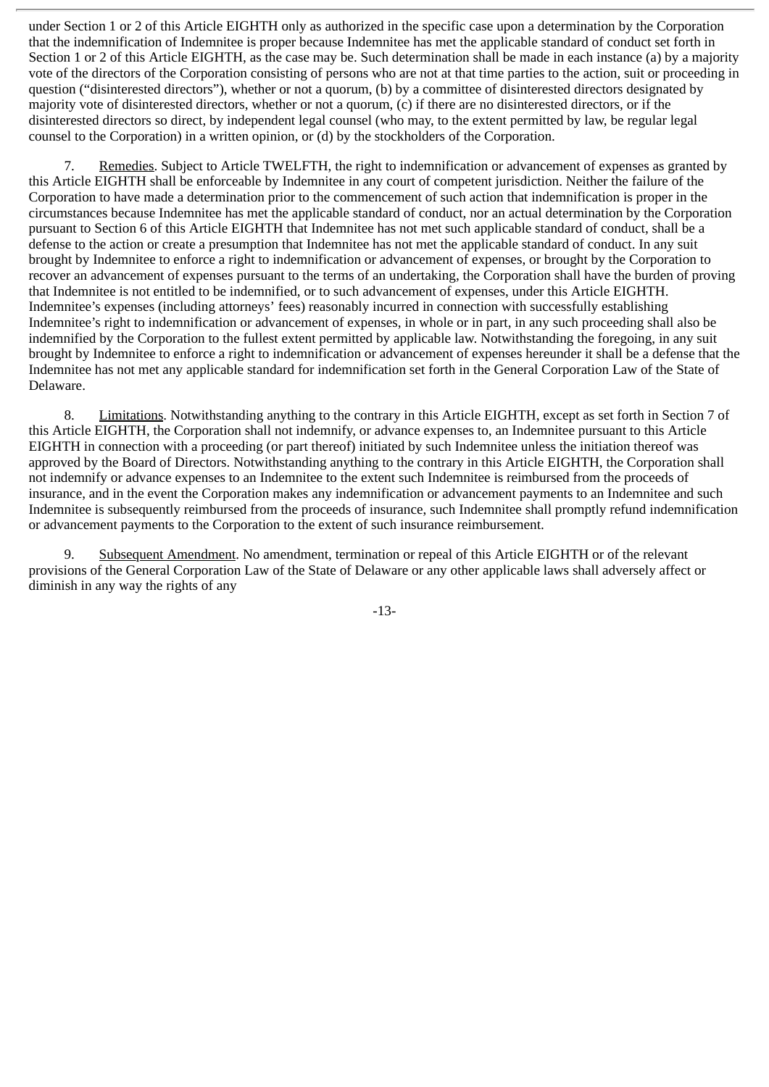under Section 1 or 2 of this Article EIGHTH only as authorized in the specific case upon a determination by the Corporation that the indemnification of Indemnitee is proper because Indemnitee has met the applicable standard of conduct set forth in Section 1 or 2 of this Article EIGHTH, as the case may be. Such determination shall be made in each instance (a) by a majority vote of the directors of the Corporation consisting of persons who are not at that time parties to the action, suit or proceeding in question ("disinterested directors"), whether or not a quorum, (b) by a committee of disinterested directors designated by majority vote of disinterested directors, whether or not a quorum, (c) if there are no disinterested directors, or if the disinterested directors so direct, by independent legal counsel (who may, to the extent permitted by law, be regular legal counsel to the Corporation) in a written opinion, or (d) by the stockholders of the Corporation.

7. Remedies. Subject to Article TWELFTH, the right to indemnification or advancement of expenses as granted by this Article EIGHTH shall be enforceable by Indemnitee in any court of competent jurisdiction. Neither the failure of the Corporation to have made a determination prior to the commencement of such action that indemnification is proper in the circumstances because Indemnitee has met the applicable standard of conduct, nor an actual determination by the Corporation pursuant to Section 6 of this Article EIGHTH that Indemnitee has not met such applicable standard of conduct, shall be a defense to the action or create a presumption that Indemnitee has not met the applicable standard of conduct. In any suit brought by Indemnitee to enforce a right to indemnification or advancement of expenses, or brought by the Corporation to recover an advancement of expenses pursuant to the terms of an undertaking, the Corporation shall have the burden of proving that Indemnitee is not entitled to be indemnified, or to such advancement of expenses, under this Article EIGHTH. Indemnitee's expenses (including attorneys' fees) reasonably incurred in connection with successfully establishing Indemnitee's right to indemnification or advancement of expenses, in whole or in part, in any such proceeding shall also be indemnified by the Corporation to the fullest extent permitted by applicable law. Notwithstanding the foregoing, in any suit brought by Indemnitee to enforce a right to indemnification or advancement of expenses hereunder it shall be a defense that the Indemnitee has not met any applicable standard for indemnification set forth in the General Corporation Law of the State of Delaware.

8. Limitations. Notwithstanding anything to the contrary in this Article EIGHTH, except as set forth in Section 7 of this Article EIGHTH, the Corporation shall not indemnify, or advance expenses to, an Indemnitee pursuant to this Article EIGHTH in connection with a proceeding (or part thereof) initiated by such Indemnitee unless the initiation thereof was approved by the Board of Directors. Notwithstanding anything to the contrary in this Article EIGHTH, the Corporation shall not indemnify or advance expenses to an Indemnitee to the extent such Indemnitee is reimbursed from the proceeds of insurance, and in the event the Corporation makes any indemnification or advancement payments to an Indemnitee and such Indemnitee is subsequently reimbursed from the proceeds of insurance, such Indemnitee shall promptly refund indemnification or advancement payments to the Corporation to the extent of such insurance reimbursement.

9. Subsequent Amendment. No amendment, termination or repeal of this Article EIGHTH or of the relevant provisions of the General Corporation Law of the State of Delaware or any other applicable laws shall adversely affect or diminish in any way the rights of any

-13-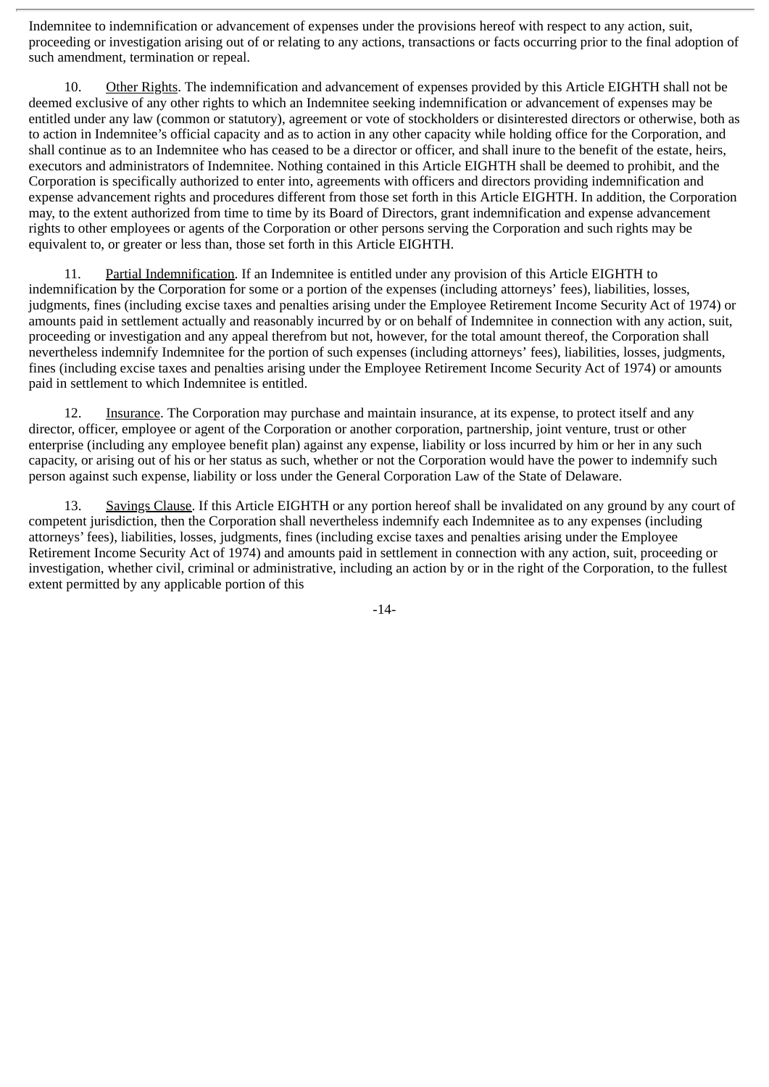Indemnitee to indemnification or advancement of expenses under the provisions hereof with respect to any action, suit, proceeding or investigation arising out of or relating to any actions, transactions or facts occurring prior to the final adoption of such amendment, termination or repeal.

10. Other Rights. The indemnification and advancement of expenses provided by this Article EIGHTH shall not be deemed exclusive of any other rights to which an Indemnitee seeking indemnification or advancement of expenses may be entitled under any law (common or statutory), agreement or vote of stockholders or disinterested directors or otherwise, both as to action in Indemnitee's official capacity and as to action in any other capacity while holding office for the Corporation, and shall continue as to an Indemnitee who has ceased to be a director or officer, and shall inure to the benefit of the estate, heirs, executors and administrators of Indemnitee. Nothing contained in this Article EIGHTH shall be deemed to prohibit, and the Corporation is specifically authorized to enter into, agreements with officers and directors providing indemnification and expense advancement rights and procedures different from those set forth in this Article EIGHTH. In addition, the Corporation may, to the extent authorized from time to time by its Board of Directors, grant indemnification and expense advancement rights to other employees or agents of the Corporation or other persons serving the Corporation and such rights may be equivalent to, or greater or less than, those set forth in this Article EIGHTH.

11. Partial Indemnification. If an Indemnitee is entitled under any provision of this Article EIGHTH to indemnification by the Corporation for some or a portion of the expenses (including attorneys' fees), liabilities, losses, judgments, fines (including excise taxes and penalties arising under the Employee Retirement Income Security Act of 1974) or amounts paid in settlement actually and reasonably incurred by or on behalf of Indemnitee in connection with any action, suit, proceeding or investigation and any appeal therefrom but not, however, for the total amount thereof, the Corporation shall nevertheless indemnify Indemnitee for the portion of such expenses (including attorneys' fees), liabilities, losses, judgments, fines (including excise taxes and penalties arising under the Employee Retirement Income Security Act of 1974) or amounts paid in settlement to which Indemnitee is entitled.

12. Insurance. The Corporation may purchase and maintain insurance, at its expense, to protect itself and any director, officer, employee or agent of the Corporation or another corporation, partnership, joint venture, trust or other enterprise (including any employee benefit plan) against any expense, liability or loss incurred by him or her in any such capacity, or arising out of his or her status as such, whether or not the Corporation would have the power to indemnify such person against such expense, liability or loss under the General Corporation Law of the State of Delaware.

13. Savings Clause. If this Article EIGHTH or any portion hereof shall be invalidated on any ground by any court of competent jurisdiction, then the Corporation shall nevertheless indemnify each Indemnitee as to any expenses (including attorneys' fees), liabilities, losses, judgments, fines (including excise taxes and penalties arising under the Employee Retirement Income Security Act of 1974) and amounts paid in settlement in connection with any action, suit, proceeding or investigation, whether civil, criminal or administrative, including an action by or in the right of the Corporation, to the fullest extent permitted by any applicable portion of this

-14-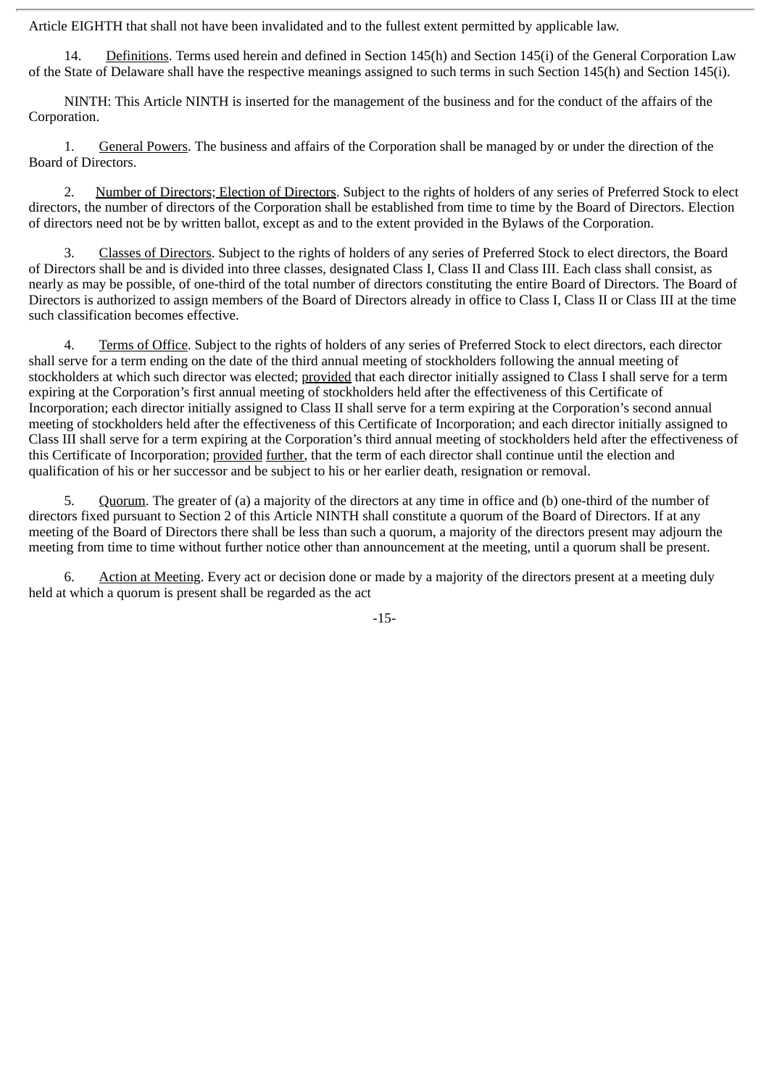Article EIGHTH that shall not have been invalidated and to the fullest extent permitted by applicable law.

14. Definitions. Terms used herein and defined in Section 145(h) and Section 145(i) of the General Corporation Law of the State of Delaware shall have the respective meanings assigned to such terms in such Section 145(h) and Section 145(i).

NINTH: This Article NINTH is inserted for the management of the business and for the conduct of the affairs of the Corporation.

1. General Powers. The business and affairs of the Corporation shall be managed by or under the direction of the Board of Directors.

2. Number of Directors; Election of Directors. Subject to the rights of holders of any series of Preferred Stock to elect directors, the number of directors of the Corporation shall be established from time to time by the Board of Directors. Election of directors need not be by written ballot, except as and to the extent provided in the Bylaws of the Corporation.

3. Classes of Directors. Subject to the rights of holders of any series of Preferred Stock to elect directors, the Board of Directors shall be and is divided into three classes, designated Class I, Class II and Class III. Each class shall consist, as nearly as may be possible, of one-third of the total number of directors constituting the entire Board of Directors. The Board of Directors is authorized to assign members of the Board of Directors already in office to Class I, Class II or Class III at the time such classification becomes effective.

4. Terms of Office. Subject to the rights of holders of any series of Preferred Stock to elect directors, each director shall serve for a term ending on the date of the third annual meeting of stockholders following the annual meeting of stockholders at which such director was elected; provided that each director initially assigned to Class I shall serve for a term expiring at the Corporation's first annual meeting of stockholders held after the effectiveness of this Certificate of Incorporation; each director initially assigned to Class II shall serve for a term expiring at the Corporation's second annual meeting of stockholders held after the effectiveness of this Certificate of Incorporation; and each director initially assigned to Class III shall serve for a term expiring at the Corporation's third annual meeting of stockholders held after the effectiveness of this Certificate of Incorporation; provided further, that the term of each director shall continue until the election and qualification of his or her successor and be subject to his or her earlier death, resignation or removal.

5. Quorum. The greater of (a) a majority of the directors at any time in office and (b) one-third of the number of directors fixed pursuant to Section 2 of this Article NINTH shall constitute a quorum of the Board of Directors. If at any meeting of the Board of Directors there shall be less than such a quorum, a majority of the directors present may adjourn the meeting from time to time without further notice other than announcement at the meeting, until a quorum shall be present.

6. Action at Meeting. Every act or decision done or made by a majority of the directors present at a meeting duly held at which a quorum is present shall be regarded as the act

-15-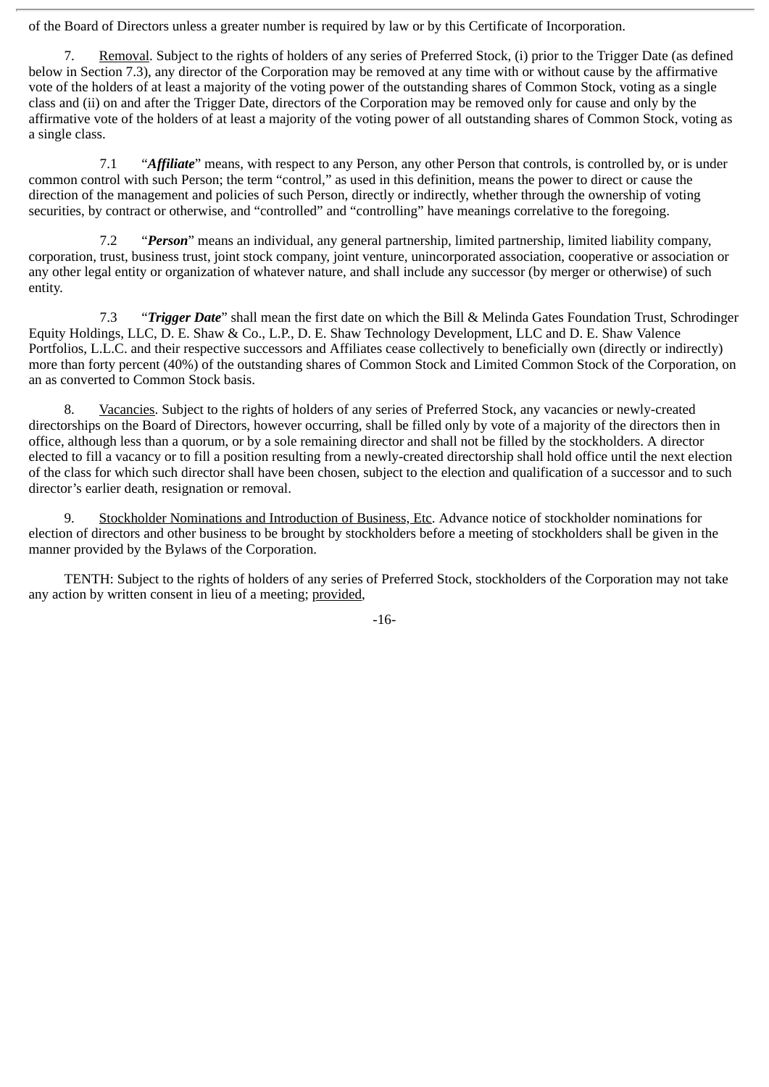of the Board of Directors unless a greater number is required by law or by this Certificate of Incorporation.

7. Removal. Subject to the rights of holders of any series of Preferred Stock, (i) prior to the Trigger Date (as defined below in Section 7.3), any director of the Corporation may be removed at any time with or without cause by the affirmative vote of the holders of at least a majority of the voting power of the outstanding shares of Common Stock, voting as a single class and (ii) on and after the Trigger Date, directors of the Corporation may be removed only for cause and only by the affirmative vote of the holders of at least a majority of the voting power of all outstanding shares of Common Stock, voting as a single class.

7.1 "*Affiliate*" means, with respect to any Person, any other Person that controls, is controlled by, or is under common control with such Person; the term "control," as used in this definition, means the power to direct or cause the direction of the management and policies of such Person, directly or indirectly, whether through the ownership of voting securities, by contract or otherwise, and "controlled" and "controlling" have meanings correlative to the foregoing.

7.2 "*Person*" means an individual, any general partnership, limited partnership, limited liability company, corporation, trust, business trust, joint stock company, joint venture, unincorporated association, cooperative or association or any other legal entity or organization of whatever nature, and shall include any successor (by merger or otherwise) of such entity.

7.3 "*Trigger Date*" shall mean the first date on which the Bill & Melinda Gates Foundation Trust, Schrodinger Equity Holdings, LLC, D. E. Shaw & Co., L.P., D. E. Shaw Technology Development, LLC and D. E. Shaw Valence Portfolios, L.L.C. and their respective successors and Affiliates cease collectively to beneficially own (directly or indirectly) more than forty percent (40%) of the outstanding shares of Common Stock and Limited Common Stock of the Corporation, on an as converted to Common Stock basis.

8. Vacancies. Subject to the rights of holders of any series of Preferred Stock, any vacancies or newly-created directorships on the Board of Directors, however occurring, shall be filled only by vote of a majority of the directors then in office, although less than a quorum, or by a sole remaining director and shall not be filled by the stockholders. A director elected to fill a vacancy or to fill a position resulting from a newly-created directorship shall hold office until the next election of the class for which such director shall have been chosen, subject to the election and qualification of a successor and to such director's earlier death, resignation or removal.

9. Stockholder Nominations and Introduction of Business, Etc. Advance notice of stockholder nominations for election of directors and other business to be brought by stockholders before a meeting of stockholders shall be given in the manner provided by the Bylaws of the Corporation.

TENTH: Subject to the rights of holders of any series of Preferred Stock, stockholders of the Corporation may not take any action by written consent in lieu of a meeting; provided,

-16-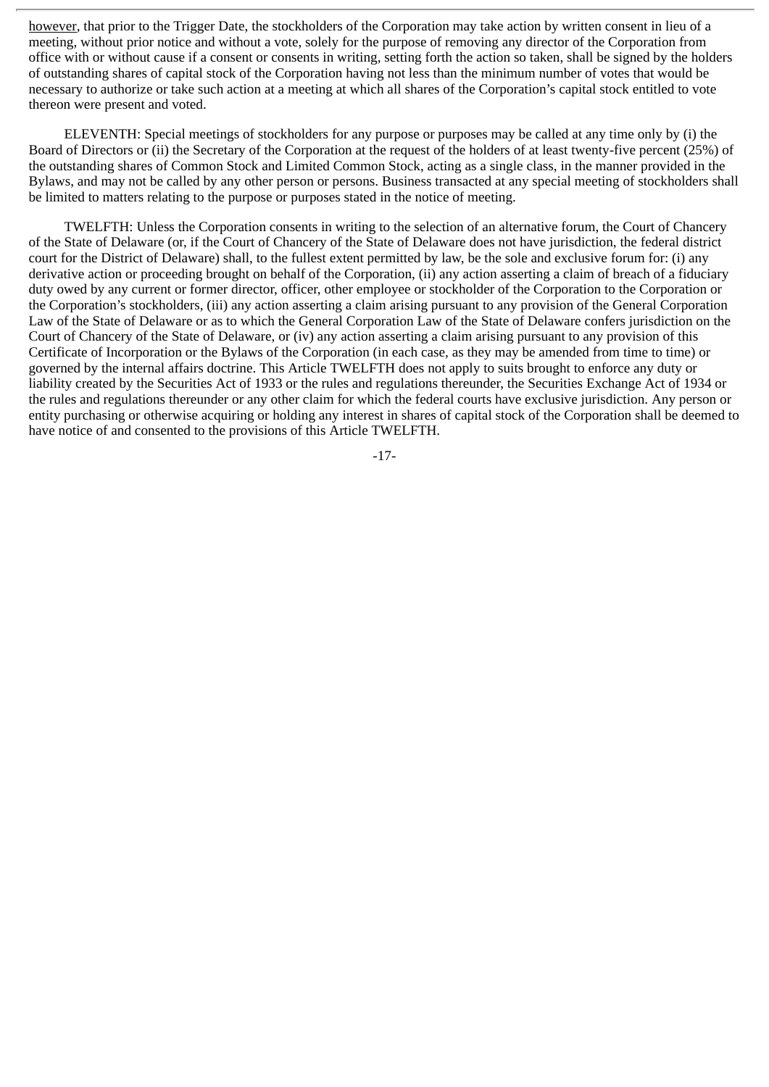however, that prior to the Trigger Date, the stockholders of the Corporation may take action by written consent in lieu of a meeting, without prior notice and without a vote, solely for the purpose of removing any director of the Corporation from office with or without cause if a consent or consents in writing, setting forth the action so taken, shall be signed by the holders of outstanding shares of capital stock of the Corporation having not less than the minimum number of votes that would be necessary to authorize or take such action at a meeting at which all shares of the Corporation's capital stock entitled to vote thereon were present and voted.

ELEVENTH: Special meetings of stockholders for any purpose or purposes may be called at any time only by (i) the Board of Directors or (ii) the Secretary of the Corporation at the request of the holders of at least twenty-five percent (25%) of the outstanding shares of Common Stock and Limited Common Stock, acting as a single class, in the manner provided in the Bylaws, and may not be called by any other person or persons. Business transacted at any special meeting of stockholders shall be limited to matters relating to the purpose or purposes stated in the notice of meeting.

TWELFTH: Unless the Corporation consents in writing to the selection of an alternative forum, the Court of Chancery of the State of Delaware (or, if the Court of Chancery of the State of Delaware does not have jurisdiction, the federal district court for the District of Delaware) shall, to the fullest extent permitted by law, be the sole and exclusive forum for: (i) any derivative action or proceeding brought on behalf of the Corporation, (ii) any action asserting a claim of breach of a fiduciary duty owed by any current or former director, officer, other employee or stockholder of the Corporation to the Corporation or the Corporation's stockholders, (iii) any action asserting a claim arising pursuant to any provision of the General Corporation Law of the State of Delaware or as to which the General Corporation Law of the State of Delaware confers jurisdiction on the Court of Chancery of the State of Delaware, or (iv) any action asserting a claim arising pursuant to any provision of this Certificate of Incorporation or the Bylaws of the Corporation (in each case, as they may be amended from time to time) or governed by the internal affairs doctrine. This Article TWELFTH does not apply to suits brought to enforce any duty or liability created by the Securities Act of 1933 or the rules and regulations thereunder, the Securities Exchange Act of 1934 or the rules and regulations thereunder or any other claim for which the federal courts have exclusive jurisdiction. Any person or entity purchasing or otherwise acquiring or holding any interest in shares of capital stock of the Corporation shall be deemed to have notice of and consented to the provisions of this Article TWELFTH.

-17-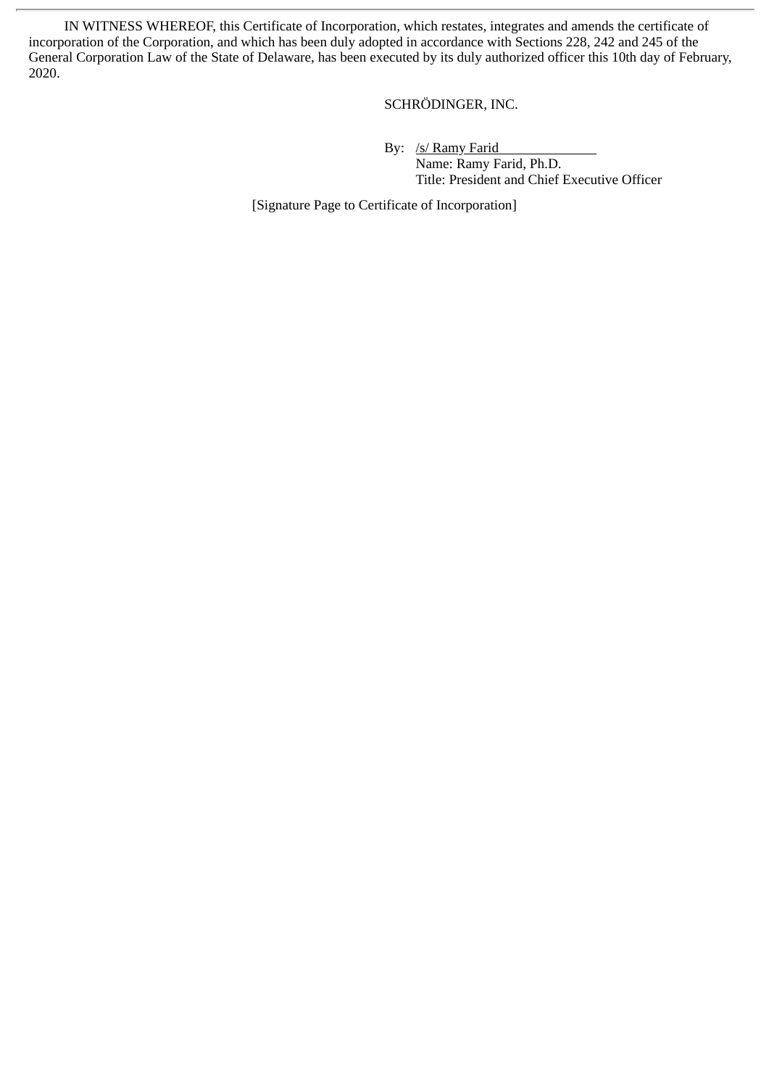IN WITNESS WHEREOF, this Certificate of Incorporation, which restates, integrates and amends the certificate of incorporation of the Corporation, and which has been duly adopted in accordance with Sections 228, 242 and 245 of the General Corporation Law of the State of Delaware, has been executed by its duly authorized officer this 10th day of February, 2020.

## SCHRÖDINGER, INC.

By: /s/ Ramy Farid

Name: Ramy Farid, Ph.D. Title: President and Chief Executive Officer

[Signature Page to Certificate of Incorporation]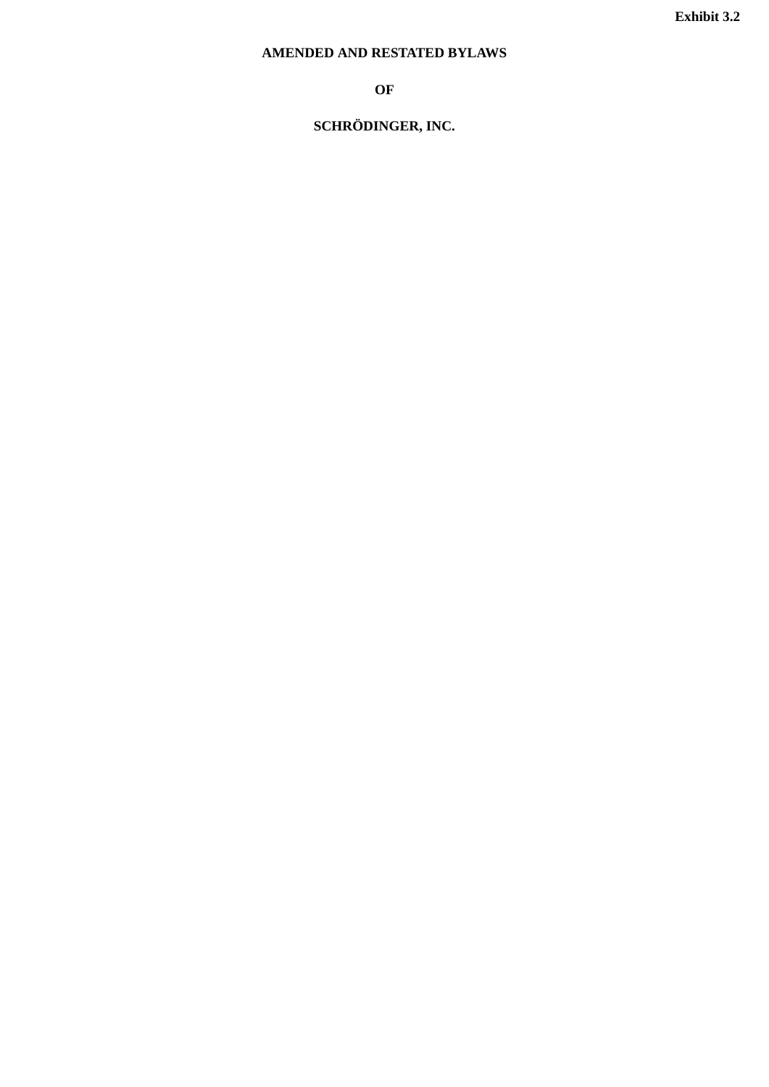# <span id="page-22-0"></span>**AMENDED AND RESTATED BYLAWS**

**OF**

# **SCHRÖDINGER, INC.**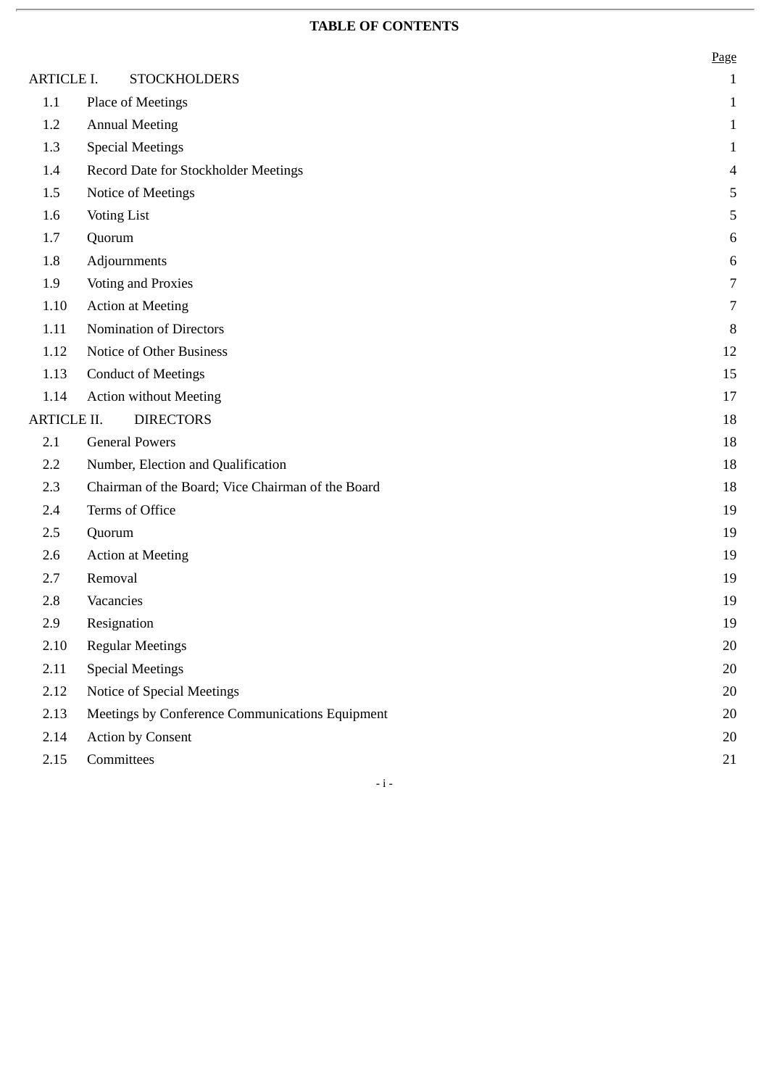# **TABLE OF CONTENTS**

|                  |                                                   | Page           |
|------------------|---------------------------------------------------|----------------|
| ARTICLE I.       | <b>STOCKHOLDERS</b>                               | $\mathbf{1}$   |
| 1.1              | Place of Meetings                                 | $\mathbf{1}$   |
| 1.2              | <b>Annual Meeting</b>                             | $\mathbf{1}$   |
| 1.3              | <b>Special Meetings</b>                           | $\mathbf{1}$   |
| 1.4              | Record Date for Stockholder Meetings              | 4              |
| 1.5              | Notice of Meetings                                | $\mathsf S$    |
| 1.6              | <b>Voting List</b>                                | 5              |
| 1.7              | Quorum                                            | $\,6\,$        |
| 1.8              | Adjournments                                      | $\,6\,$        |
| 1.9              | <b>Voting and Proxies</b>                         | $\overline{7}$ |
| $1.10\,$         | <b>Action at Meeting</b>                          | 7              |
| 1.11             | Nomination of Directors                           | 8              |
| 1.12             | Notice of Other Business                          | 12             |
| 1.13             | <b>Conduct of Meetings</b>                        | 15             |
| 1.14             | <b>Action without Meeting</b>                     | 17             |
| ARTICLE II.      | <b>DIRECTORS</b>                                  | 18             |
| 2.1              | <b>General Powers</b>                             | 18             |
| $2.2\phantom{0}$ | Number, Election and Qualification                | 18             |
| 2.3              | Chairman of the Board; Vice Chairman of the Board | 18             |
| 2.4              | Terms of Office                                   | 19             |
| 2.5              | Quorum                                            | 19             |
| 2.6              | <b>Action at Meeting</b>                          | 19             |
| 2.7              | Removal                                           | 19             |
| 2.8              | Vacancies                                         | 19             |
| 2.9              | Resignation                                       | 19             |
| 2.10             | <b>Regular Meetings</b>                           | $20\,$         |
| 2.11             | <b>Special Meetings</b>                           | $20\,$         |
| 2.12             | Notice of Special Meetings                        | 20             |
| 2.13             | Meetings by Conference Communications Equipment   | 20             |
| 2.14             | <b>Action by Consent</b>                          | $20\,$         |
| 2.15             | Committees                                        | 21             |

 $\mathbf{-i}$  -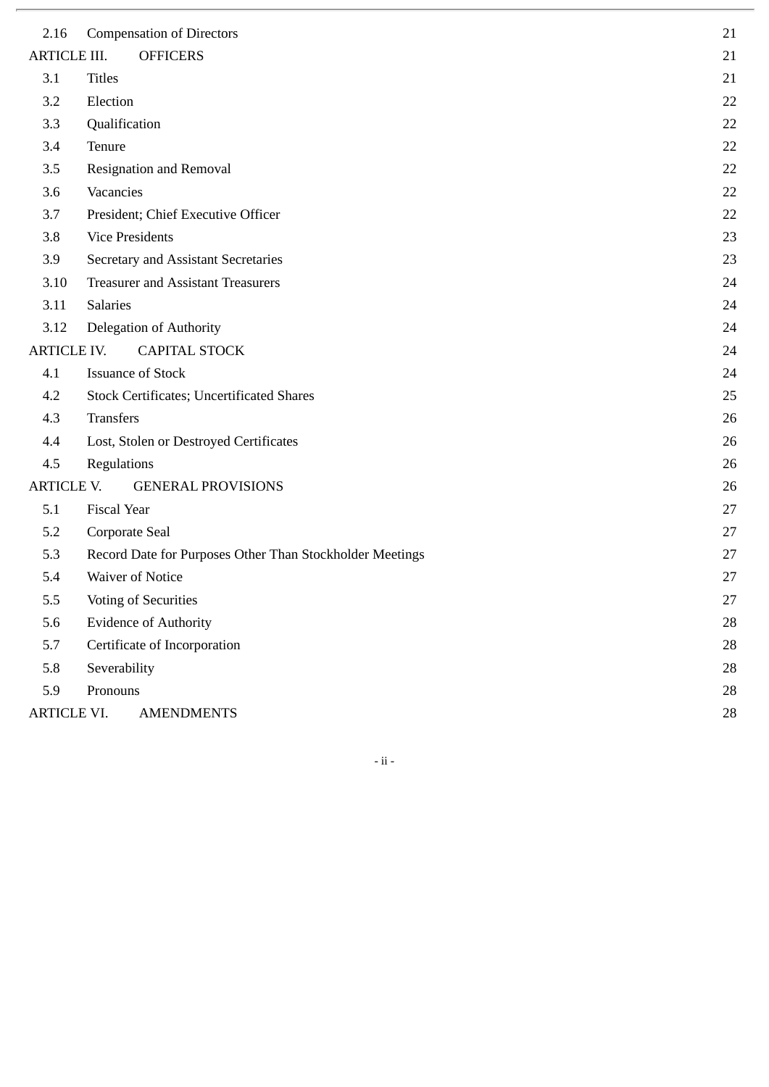| 2.16                | <b>Compensation of Directors</b>                         | 21 |
|---------------------|----------------------------------------------------------|----|
| <b>ARTICLE III.</b> | <b>OFFICERS</b>                                          | 21 |
| 3.1                 | <b>Titles</b>                                            | 21 |
| 3.2                 | Election                                                 | 22 |
| 3.3                 | Qualification                                            | 22 |
| 3.4                 | Tenure                                                   | 22 |
| 3.5                 | <b>Resignation and Removal</b>                           | 22 |
| 3.6                 | Vacancies                                                | 22 |
| 3.7                 | President; Chief Executive Officer                       | 22 |
| 3.8                 | <b>Vice Presidents</b>                                   | 23 |
| 3.9                 | <b>Secretary and Assistant Secretaries</b>               | 23 |
| 3.10                | <b>Treasurer and Assistant Treasurers</b>                | 24 |
| 3.11                | <b>Salaries</b>                                          | 24 |
| 3.12                | Delegation of Authority                                  | 24 |
| <b>ARTICLE IV.</b>  | <b>CAPITAL STOCK</b>                                     | 24 |
| 4.1                 | <b>Issuance of Stock</b>                                 | 24 |
| 4.2                 | <b>Stock Certificates; Uncertificated Shares</b>         | 25 |
| 4.3                 | <b>Transfers</b>                                         | 26 |
| 4.4                 | Lost, Stolen or Destroyed Certificates                   | 26 |
| 4.5                 | Regulations                                              | 26 |
| <b>ARTICLE V.</b>   | <b>GENERAL PROVISIONS</b>                                | 26 |
| 5.1                 | Fiscal Year                                              | 27 |
| 5.2                 | Corporate Seal                                           | 27 |
| 5.3                 | Record Date for Purposes Other Than Stockholder Meetings | 27 |
| 5.4                 | <b>Waiver of Notice</b>                                  | 27 |
| 5.5                 | <b>Voting of Securities</b>                              | 27 |
| 5.6                 | <b>Evidence of Authority</b>                             | 28 |
| 5.7                 | Certificate of Incorporation                             | 28 |
| 5.8                 | Severability                                             | 28 |
| 5.9                 | Pronouns                                                 | 28 |
| ARTICLE VI.         | <b>AMENDMENTS</b>                                        | 28 |

- ii -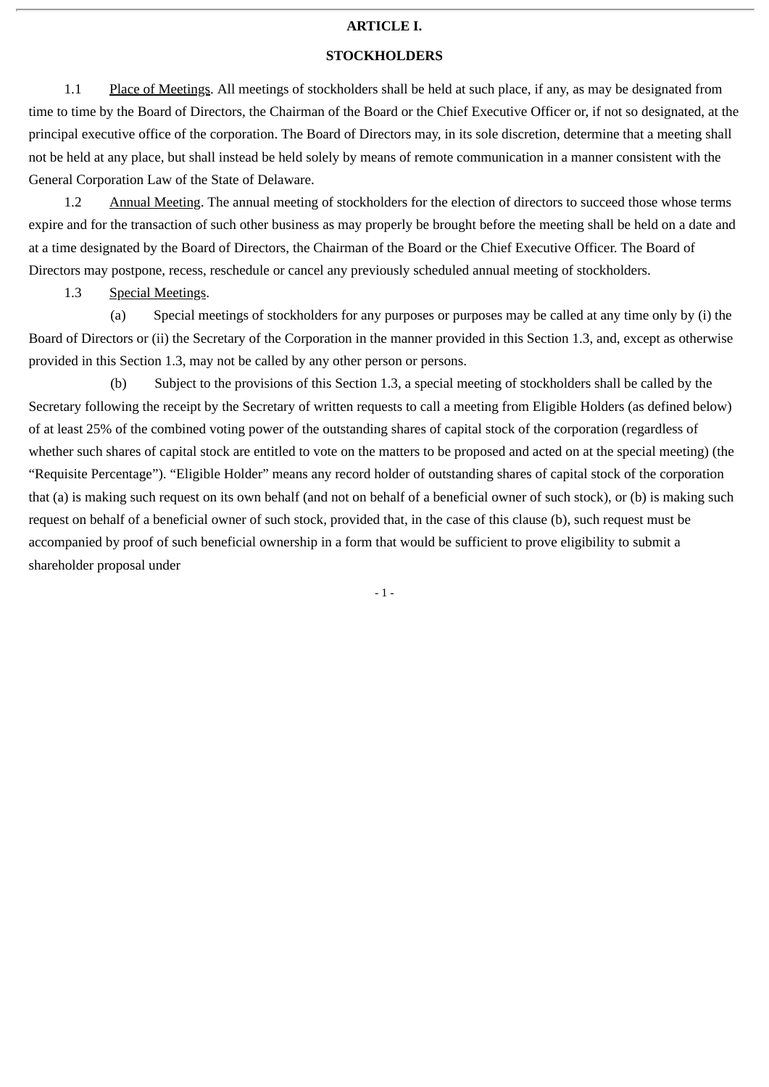#### **ARTICLE I.**

#### **STOCKHOLDERS**

1.1 Place of Meetings. All meetings of stockholders shall be held at such place, if any, as may be designated from time to time by the Board of Directors, the Chairman of the Board or the Chief Executive Officer or, if not so designated, at the principal executive office of the corporation. The Board of Directors may, in its sole discretion, determine that a meeting shall not be held at any place, but shall instead be held solely by means of remote communication in a manner consistent with the General Corporation Law of the State of Delaware.

1.2 Annual Meeting. The annual meeting of stockholders for the election of directors to succeed those whose terms expire and for the transaction of such other business as may properly be brought before the meeting shall be held on a date and at a time designated by the Board of Directors, the Chairman of the Board or the Chief Executive Officer. The Board of Directors may postpone, recess, reschedule or cancel any previously scheduled annual meeting of stockholders.

1.3 Special Meetings.

 (a) Special meetings of stockholders for any purposes or purposes may be called at any time only by (i) the Board of Directors or (ii) the Secretary of the Corporation in the manner provided in this Section 1.3, and, except as otherwise provided in this Section 1.3, may not be called by any other person or persons.

 (b) Subject to the provisions of this Section 1.3, a special meeting of stockholders shall be called by the Secretary following the receipt by the Secretary of written requests to call a meeting from Eligible Holders (as defined below) of at least 25% of the combined voting power of the outstanding shares of capital stock of the corporation (regardless of whether such shares of capital stock are entitled to vote on the matters to be proposed and acted on at the special meeting) (the "Requisite Percentage"). "Eligible Holder" means any record holder of outstanding shares of capital stock of the corporation that (a) is making such request on its own behalf (and not on behalf of a beneficial owner of such stock), or (b) is making such request on behalf of a beneficial owner of such stock, provided that, in the case of this clause (b), such request must be accompanied by proof of such beneficial ownership in a form that would be sufficient to prove eligibility to submit a shareholder proposal under

 $-1 -$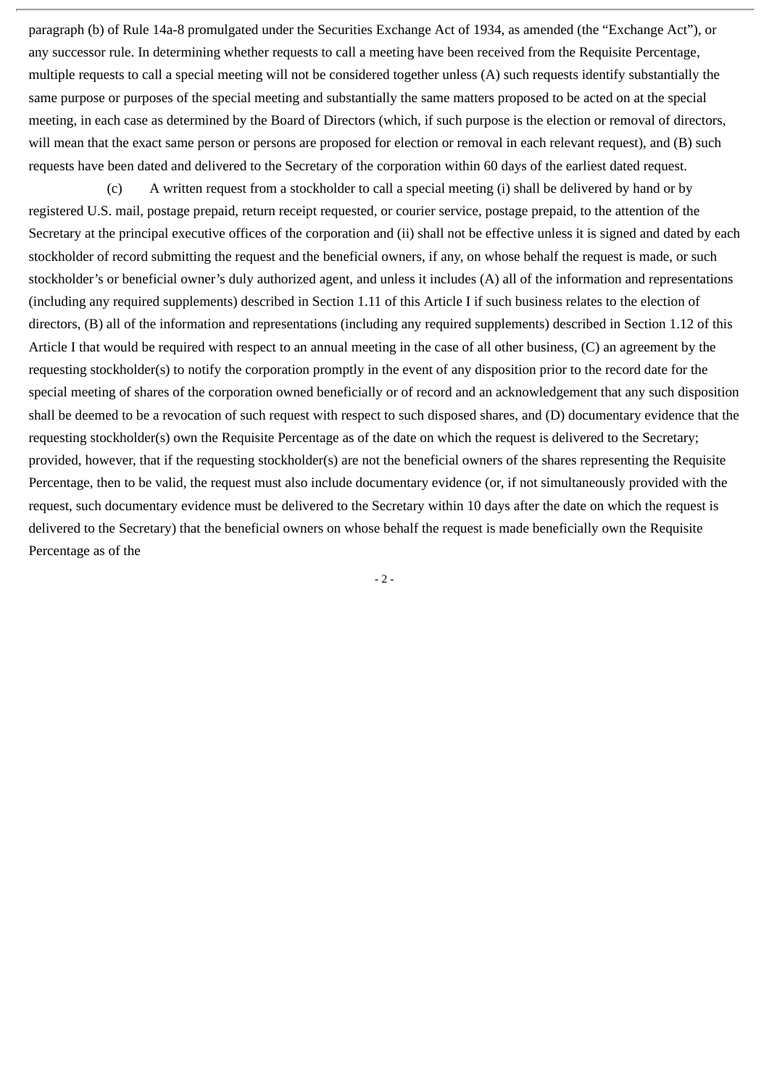paragraph (b) of Rule 14a-8 promulgated under the Securities Exchange Act of 1934, as amended (the "Exchange Act"), or any successor rule. In determining whether requests to call a meeting have been received from the Requisite Percentage, multiple requests to call a special meeting will not be considered together unless (A) such requests identify substantially the same purpose or purposes of the special meeting and substantially the same matters proposed to be acted on at the special meeting, in each case as determined by the Board of Directors (which, if such purpose is the election or removal of directors, will mean that the exact same person or persons are proposed for election or removal in each relevant request), and (B) such requests have been dated and delivered to the Secretary of the corporation within 60 days of the earliest dated request.

(c) A written request from a stockholder to call a special meeting (i) shall be delivered by hand or by registered U.S. mail, postage prepaid, return receipt requested, or courier service, postage prepaid, to the attention of the Secretary at the principal executive offices of the corporation and (ii) shall not be effective unless it is signed and dated by each stockholder of record submitting the request and the beneficial owners, if any, on whose behalf the request is made, or such stockholder's or beneficial owner's duly authorized agent, and unless it includes (A) all of the information and representations (including any required supplements) described in Section 1.11 of this Article I if such business relates to the election of directors, (B) all of the information and representations (including any required supplements) described in Section 1.12 of this Article I that would be required with respect to an annual meeting in the case of all other business, (C) an agreement by the requesting stockholder(s) to notify the corporation promptly in the event of any disposition prior to the record date for the special meeting of shares of the corporation owned beneficially or of record and an acknowledgement that any such disposition shall be deemed to be a revocation of such request with respect to such disposed shares, and (D) documentary evidence that the requesting stockholder(s) own the Requisite Percentage as of the date on which the request is delivered to the Secretary; provided, however, that if the requesting stockholder(s) are not the beneficial owners of the shares representing the Requisite Percentage, then to be valid, the request must also include documentary evidence (or, if not simultaneously provided with the request, such documentary evidence must be delivered to the Secretary within 10 days after the date on which the request is delivered to the Secretary) that the beneficial owners on whose behalf the request is made beneficially own the Requisite Percentage as of the

- 2 -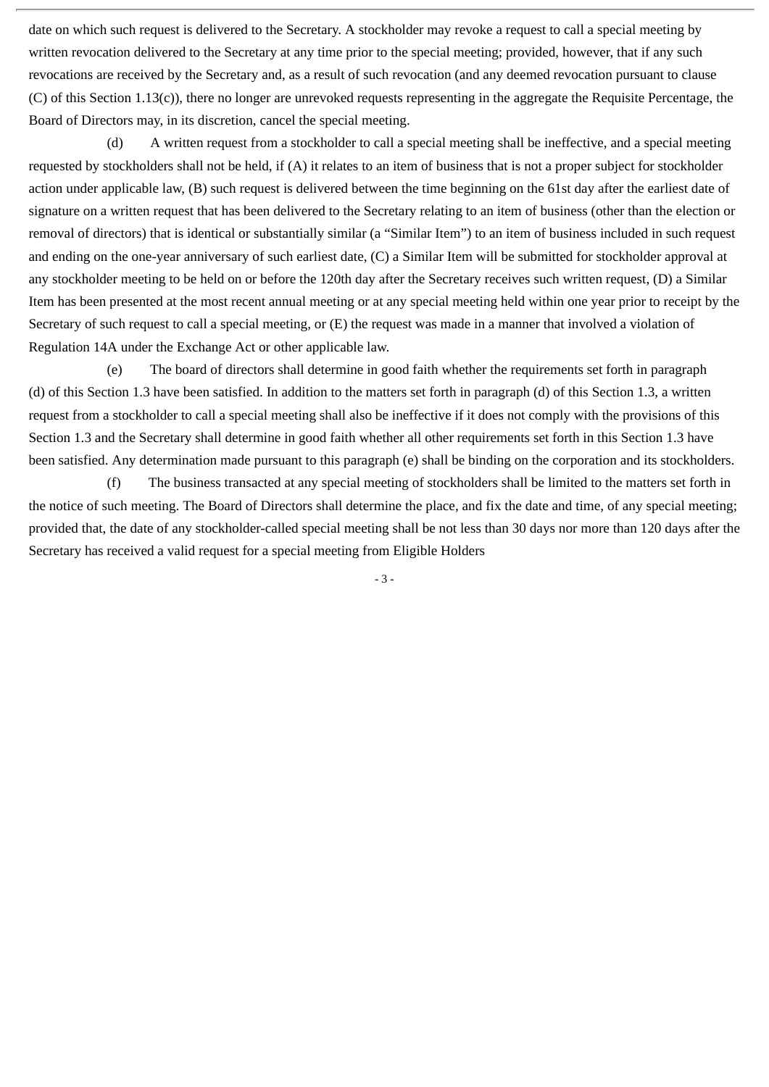date on which such request is delivered to the Secretary. A stockholder may revoke a request to call a special meeting by written revocation delivered to the Secretary at any time prior to the special meeting; provided, however, that if any such revocations are received by the Secretary and, as a result of such revocation (and any deemed revocation pursuant to clause (C) of this Section 1.13(c)), there no longer are unrevoked requests representing in the aggregate the Requisite Percentage, the Board of Directors may, in its discretion, cancel the special meeting.

(d) A written request from a stockholder to call a special meeting shall be ineffective, and a special meeting requested by stockholders shall not be held, if (A) it relates to an item of business that is not a proper subject for stockholder action under applicable law, (B) such request is delivered between the time beginning on the 61st day after the earliest date of signature on a written request that has been delivered to the Secretary relating to an item of business (other than the election or removal of directors) that is identical or substantially similar (a "Similar Item") to an item of business included in such request and ending on the one-year anniversary of such earliest date, (C) a Similar Item will be submitted for stockholder approval at any stockholder meeting to be held on or before the 120th day after the Secretary receives such written request, (D) a Similar Item has been presented at the most recent annual meeting or at any special meeting held within one year prior to receipt by the Secretary of such request to call a special meeting, or (E) the request was made in a manner that involved a violation of Regulation 14A under the Exchange Act or other applicable law.

(e) The board of directors shall determine in good faith whether the requirements set forth in paragraph (d) of this Section 1.3 have been satisfied. In addition to the matters set forth in paragraph (d) of this Section 1.3, a written request from a stockholder to call a special meeting shall also be ineffective if it does not comply with the provisions of this Section 1.3 and the Secretary shall determine in good faith whether all other requirements set forth in this Section 1.3 have been satisfied. Any determination made pursuant to this paragraph (e) shall be binding on the corporation and its stockholders.

(f) The business transacted at any special meeting of stockholders shall be limited to the matters set forth in the notice of such meeting. The Board of Directors shall determine the place, and fix the date and time, of any special meeting; provided that, the date of any stockholder-called special meeting shall be not less than 30 days nor more than 120 days after the Secretary has received a valid request for a special meeting from Eligible Holders

- 3 -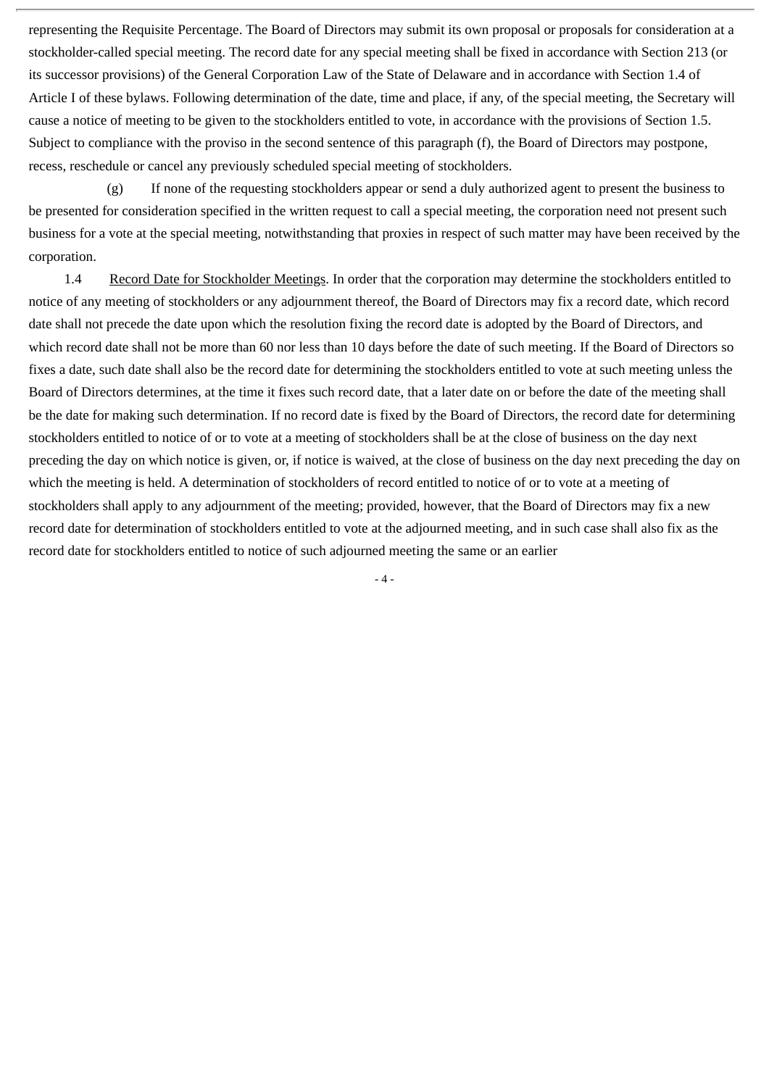representing the Requisite Percentage. The Board of Directors may submit its own proposal or proposals for consideration at a stockholder-called special meeting. The record date for any special meeting shall be fixed in accordance with Section 213 (or its successor provisions) of the General Corporation Law of the State of Delaware and in accordance with Section 1.4 of Article I of these bylaws. Following determination of the date, time and place, if any, of the special meeting, the Secretary will cause a notice of meeting to be given to the stockholders entitled to vote, in accordance with the provisions of Section 1.5. Subject to compliance with the proviso in the second sentence of this paragraph (f), the Board of Directors may postpone, recess, reschedule or cancel any previously scheduled special meeting of stockholders.

(g) If none of the requesting stockholders appear or send a duly authorized agent to present the business to be presented for consideration specified in the written request to call a special meeting, the corporation need not present such business for a vote at the special meeting, notwithstanding that proxies in respect of such matter may have been received by the corporation.

1.4 Record Date for Stockholder Meetings. In order that the corporation may determine the stockholders entitled to notice of any meeting of stockholders or any adjournment thereof, the Board of Directors may fix a record date, which record date shall not precede the date upon which the resolution fixing the record date is adopted by the Board of Directors, and which record date shall not be more than 60 nor less than 10 days before the date of such meeting. If the Board of Directors so fixes a date, such date shall also be the record date for determining the stockholders entitled to vote at such meeting unless the Board of Directors determines, at the time it fixes such record date, that a later date on or before the date of the meeting shall be the date for making such determination. If no record date is fixed by the Board of Directors, the record date for determining stockholders entitled to notice of or to vote at a meeting of stockholders shall be at the close of business on the day next preceding the day on which notice is given, or, if notice is waived, at the close of business on the day next preceding the day on which the meeting is held. A determination of stockholders of record entitled to notice of or to vote at a meeting of stockholders shall apply to any adjournment of the meeting; provided, however, that the Board of Directors may fix a new record date for determination of stockholders entitled to vote at the adjourned meeting, and in such case shall also fix as the record date for stockholders entitled to notice of such adjourned meeting the same or an earlier

 $-4-$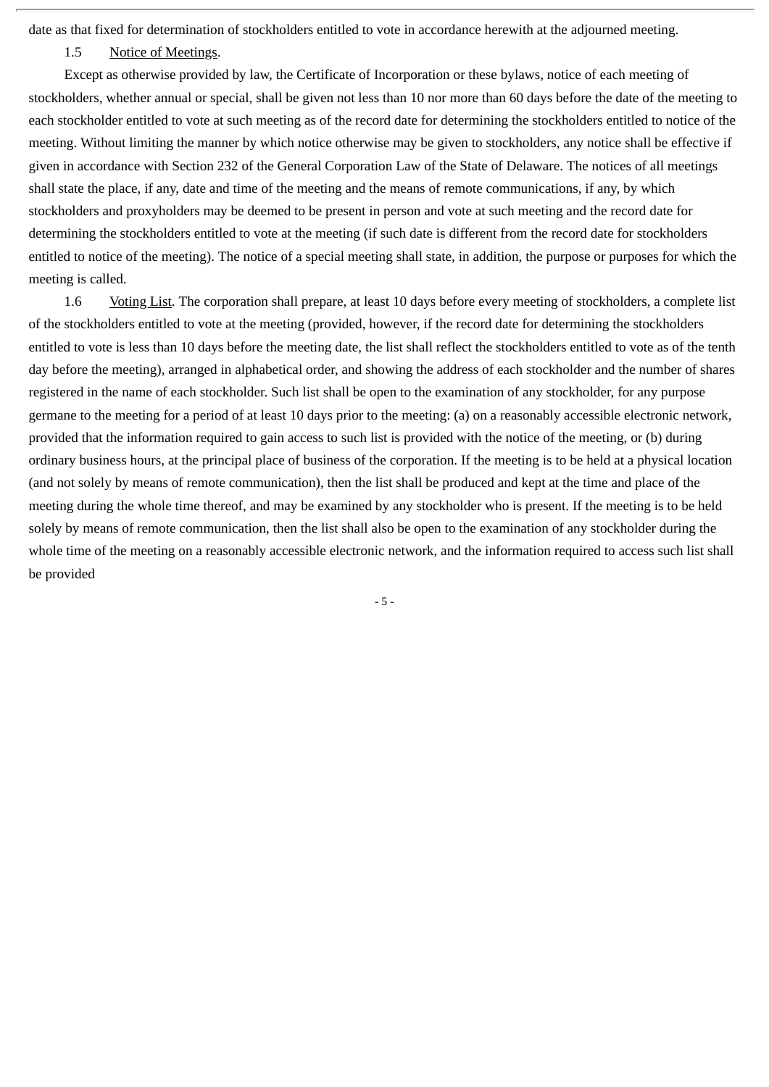date as that fixed for determination of stockholders entitled to vote in accordance herewith at the adjourned meeting.

## 1.5 Notice of Meetings.

Except as otherwise provided by law, the Certificate of Incorporation or these bylaws, notice of each meeting of stockholders, whether annual or special, shall be given not less than 10 nor more than 60 days before the date of the meeting to each stockholder entitled to vote at such meeting as of the record date for determining the stockholders entitled to notice of the meeting. Without limiting the manner by which notice otherwise may be given to stockholders, any notice shall be effective if given in accordance with Section 232 of the General Corporation Law of the State of Delaware. The notices of all meetings shall state the place, if any, date and time of the meeting and the means of remote communications, if any, by which stockholders and proxyholders may be deemed to be present in person and vote at such meeting and the record date for determining the stockholders entitled to vote at the meeting (if such date is different from the record date for stockholders entitled to notice of the meeting). The notice of a special meeting shall state, in addition, the purpose or purposes for which the meeting is called.

1.6 Voting List. The corporation shall prepare, at least 10 days before every meeting of stockholders, a complete list of the stockholders entitled to vote at the meeting (provided, however, if the record date for determining the stockholders entitled to vote is less than 10 days before the meeting date, the list shall reflect the stockholders entitled to vote as of the tenth day before the meeting), arranged in alphabetical order, and showing the address of each stockholder and the number of shares registered in the name of each stockholder. Such list shall be open to the examination of any stockholder, for any purpose germane to the meeting for a period of at least 10 days prior to the meeting: (a) on a reasonably accessible electronic network, provided that the information required to gain access to such list is provided with the notice of the meeting, or (b) during ordinary business hours, at the principal place of business of the corporation. If the meeting is to be held at a physical location (and not solely by means of remote communication), then the list shall be produced and kept at the time and place of the meeting during the whole time thereof, and may be examined by any stockholder who is present. If the meeting is to be held solely by means of remote communication, then the list shall also be open to the examination of any stockholder during the whole time of the meeting on a reasonably accessible electronic network, and the information required to access such list shall be provided

- 5 -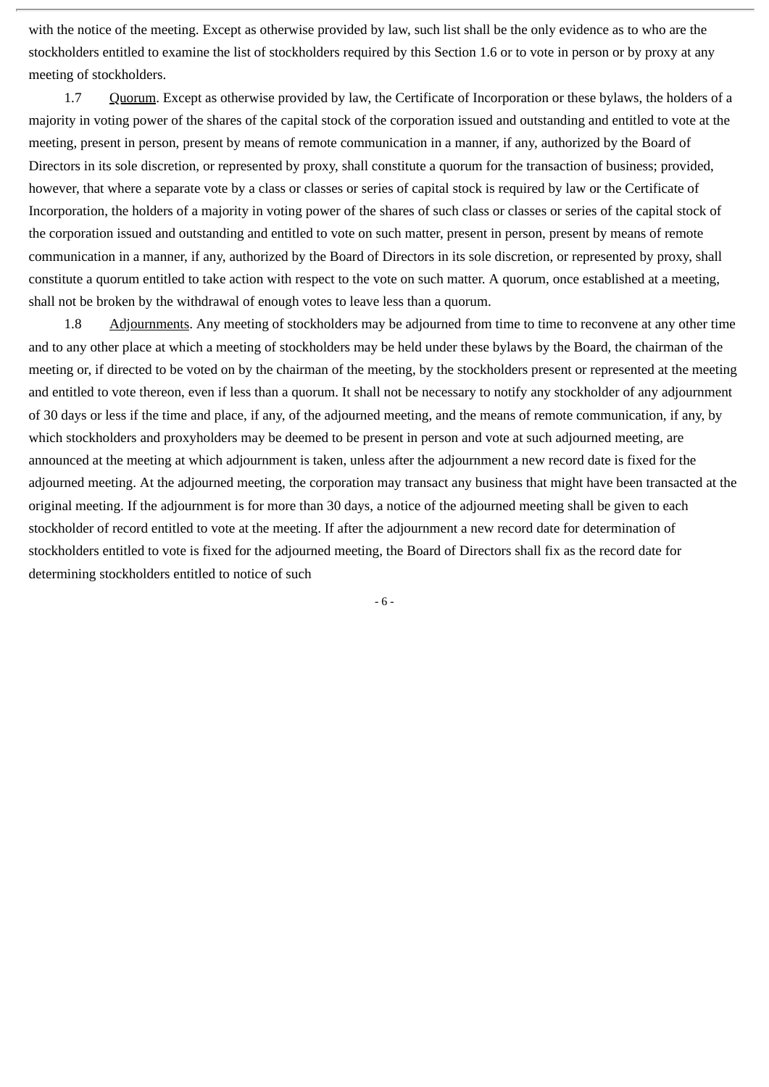with the notice of the meeting. Except as otherwise provided by law, such list shall be the only evidence as to who are the stockholders entitled to examine the list of stockholders required by this Section 1.6 or to vote in person or by proxy at any meeting of stockholders.

1.7 Quorum. Except as otherwise provided by law, the Certificate of Incorporation or these bylaws, the holders of a majority in voting power of the shares of the capital stock of the corporation issued and outstanding and entitled to vote at the meeting, present in person, present by means of remote communication in a manner, if any, authorized by the Board of Directors in its sole discretion, or represented by proxy, shall constitute a quorum for the transaction of business; provided, however, that where a separate vote by a class or classes or series of capital stock is required by law or the Certificate of Incorporation, the holders of a majority in voting power of the shares of such class or classes or series of the capital stock of the corporation issued and outstanding and entitled to vote on such matter, present in person, present by means of remote communication in a manner, if any, authorized by the Board of Directors in its sole discretion, or represented by proxy, shall constitute a quorum entitled to take action with respect to the vote on such matter. A quorum, once established at a meeting, shall not be broken by the withdrawal of enough votes to leave less than a quorum.

1.8 Adjournments. Any meeting of stockholders may be adjourned from time to time to reconvene at any other time and to any other place at which a meeting of stockholders may be held under these bylaws by the Board, the chairman of the meeting or, if directed to be voted on by the chairman of the meeting, by the stockholders present or represented at the meeting and entitled to vote thereon, even if less than a quorum. It shall not be necessary to notify any stockholder of any adjournment of 30 days or less if the time and place, if any, of the adjourned meeting, and the means of remote communication, if any, by which stockholders and proxyholders may be deemed to be present in person and vote at such adjourned meeting, are announced at the meeting at which adjournment is taken, unless after the adjournment a new record date is fixed for the adjourned meeting. At the adjourned meeting, the corporation may transact any business that might have been transacted at the original meeting. If the adjournment is for more than 30 days, a notice of the adjourned meeting shall be given to each stockholder of record entitled to vote at the meeting. If after the adjournment a new record date for determination of stockholders entitled to vote is fixed for the adjourned meeting, the Board of Directors shall fix as the record date for determining stockholders entitled to notice of such

- 6 -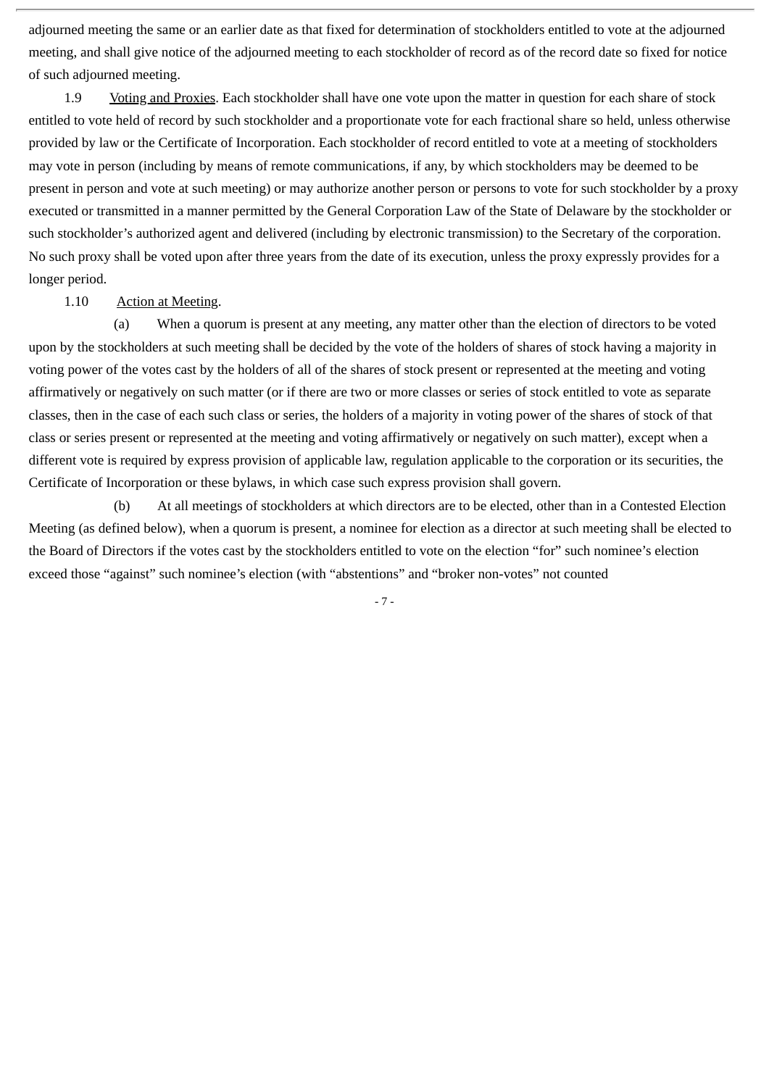adjourned meeting the same or an earlier date as that fixed for determination of stockholders entitled to vote at the adjourned meeting, and shall give notice of the adjourned meeting to each stockholder of record as of the record date so fixed for notice of such adjourned meeting.

1.9 Voting and Proxies. Each stockholder shall have one vote upon the matter in question for each share of stock entitled to vote held of record by such stockholder and a proportionate vote for each fractional share so held, unless otherwise provided by law or the Certificate of Incorporation. Each stockholder of record entitled to vote at a meeting of stockholders may vote in person (including by means of remote communications, if any, by which stockholders may be deemed to be present in person and vote at such meeting) or may authorize another person or persons to vote for such stockholder by a proxy executed or transmitted in a manner permitted by the General Corporation Law of the State of Delaware by the stockholder or such stockholder's authorized agent and delivered (including by electronic transmission) to the Secretary of the corporation. No such proxy shall be voted upon after three years from the date of its execution, unless the proxy expressly provides for a longer period.

#### 1.10 Action at Meeting.

 (a) When a quorum is present at any meeting, any matter other than the election of directors to be voted upon by the stockholders at such meeting shall be decided by the vote of the holders of shares of stock having a majority in voting power of the votes cast by the holders of all of the shares of stock present or represented at the meeting and voting affirmatively or negatively on such matter (or if there are two or more classes or series of stock entitled to vote as separate classes, then in the case of each such class or series, the holders of a majority in voting power of the shares of stock of that class or series present or represented at the meeting and voting affirmatively or negatively on such matter), except when a different vote is required by express provision of applicable law, regulation applicable to the corporation or its securities, the Certificate of Incorporation or these bylaws, in which case such express provision shall govern.

 (b) At all meetings of stockholders at which directors are to be elected, other than in a Contested Election Meeting (as defined below), when a quorum is present, a nominee for election as a director at such meeting shall be elected to the Board of Directors if the votes cast by the stockholders entitled to vote on the election "for" such nominee's election exceed those "against" such nominee's election (with "abstentions" and "broker non-votes" not counted

- 7 -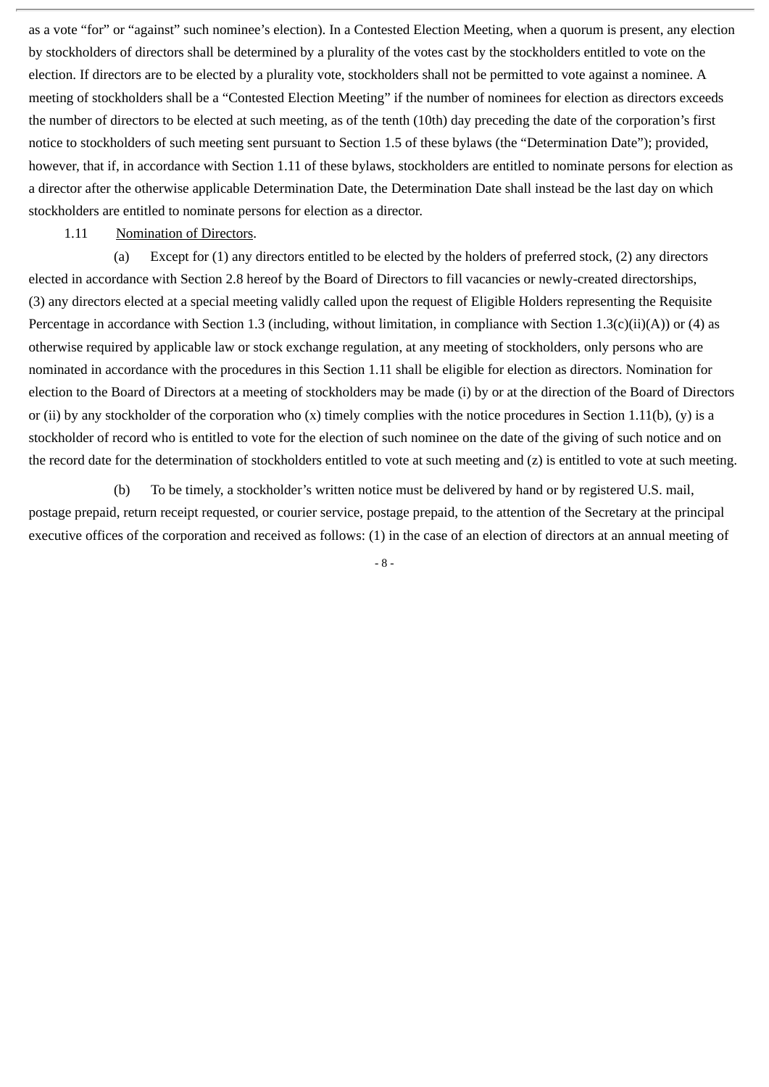as a vote "for" or "against" such nominee's election). In a Contested Election Meeting, when a quorum is present, any election by stockholders of directors shall be determined by a plurality of the votes cast by the stockholders entitled to vote on the election. If directors are to be elected by a plurality vote, stockholders shall not be permitted to vote against a nominee. A meeting of stockholders shall be a "Contested Election Meeting" if the number of nominees for election as directors exceeds the number of directors to be elected at such meeting, as of the tenth (10th) day preceding the date of the corporation's first notice to stockholders of such meeting sent pursuant to Section 1.5 of these bylaws (the "Determination Date"); provided, however, that if, in accordance with Section 1.11 of these bylaws, stockholders are entitled to nominate persons for election as a director after the otherwise applicable Determination Date, the Determination Date shall instead be the last day on which stockholders are entitled to nominate persons for election as a director.

# 1.11 Nomination of Directors.

 (a) Except for (1) any directors entitled to be elected by the holders of preferred stock, (2) any directors elected in accordance with Section 2.8 hereof by the Board of Directors to fill vacancies or newly-created directorships, (3) any directors elected at a special meeting validly called upon the request of Eligible Holders representing the Requisite Percentage in accordance with Section 1.3 (including, without limitation, in compliance with Section 1.3(c)(ii)(A)) or (4) as otherwise required by applicable law or stock exchange regulation, at any meeting of stockholders, only persons who are nominated in accordance with the procedures in this Section 1.11 shall be eligible for election as directors. Nomination for election to the Board of Directors at a meeting of stockholders may be made (i) by or at the direction of the Board of Directors or (ii) by any stockholder of the corporation who (x) timely complies with the notice procedures in Section 1.11(b), (y) is a stockholder of record who is entitled to vote for the election of such nominee on the date of the giving of such notice and on the record date for the determination of stockholders entitled to vote at such meeting and (z) is entitled to vote at such meeting.

 (b) To be timely, a stockholder's written notice must be delivered by hand or by registered U.S. mail, postage prepaid, return receipt requested, or courier service, postage prepaid, to the attention of the Secretary at the principal executive offices of the corporation and received as follows: (1) in the case of an election of directors at an annual meeting of

- 8 -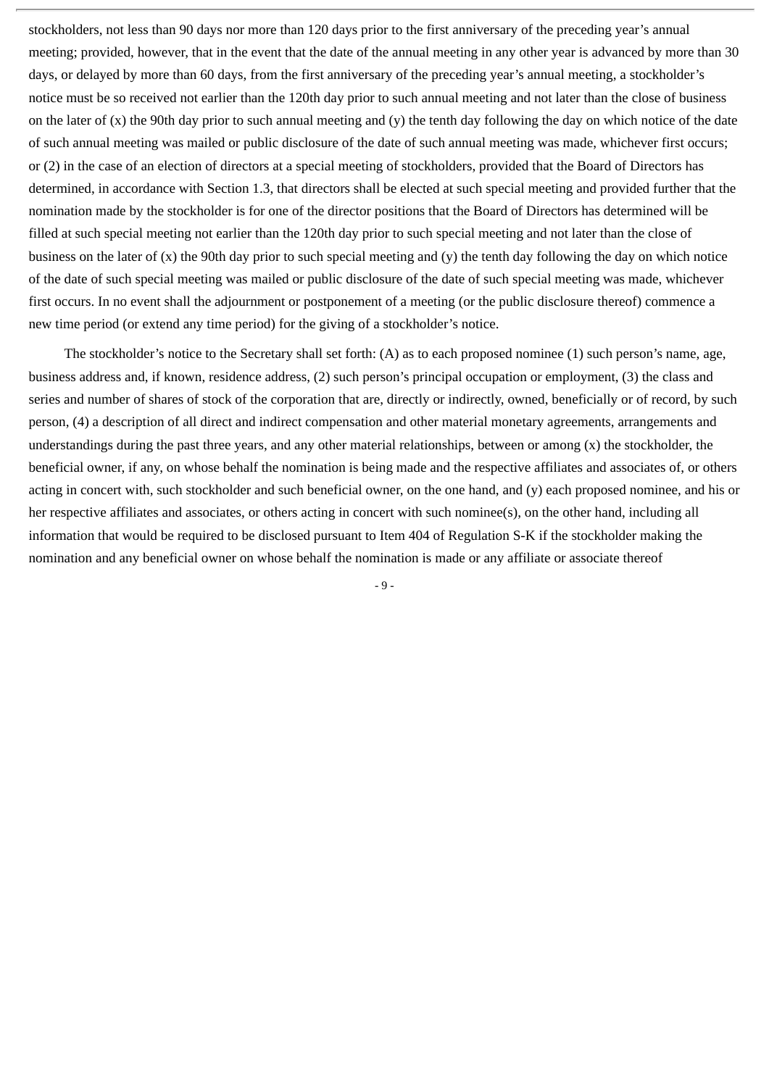stockholders, not less than 90 days nor more than 120 days prior to the first anniversary of the preceding year's annual meeting; provided, however, that in the event that the date of the annual meeting in any other year is advanced by more than 30 days, or delayed by more than 60 days, from the first anniversary of the preceding year's annual meeting, a stockholder's notice must be so received not earlier than the 120th day prior to such annual meeting and not later than the close of business on the later of (x) the 90th day prior to such annual meeting and (y) the tenth day following the day on which notice of the date of such annual meeting was mailed or public disclosure of the date of such annual meeting was made, whichever first occurs; or (2) in the case of an election of directors at a special meeting of stockholders, provided that the Board of Directors has determined, in accordance with Section 1.3, that directors shall be elected at such special meeting and provided further that the nomination made by the stockholder is for one of the director positions that the Board of Directors has determined will be filled at such special meeting not earlier than the 120th day prior to such special meeting and not later than the close of business on the later of  $(x)$  the 90th day prior to such special meeting and  $(y)$  the tenth day following the day on which notice of the date of such special meeting was mailed or public disclosure of the date of such special meeting was made, whichever first occurs. In no event shall the adjournment or postponement of a meeting (or the public disclosure thereof) commence a new time period (or extend any time period) for the giving of a stockholder's notice.

The stockholder's notice to the Secretary shall set forth: (A) as to each proposed nominee (1) such person's name, age, business address and, if known, residence address, (2) such person's principal occupation or employment, (3) the class and series and number of shares of stock of the corporation that are, directly or indirectly, owned, beneficially or of record, by such person, (4) a description of all direct and indirect compensation and other material monetary agreements, arrangements and understandings during the past three years, and any other material relationships, between or among  $(x)$  the stockholder, the beneficial owner, if any, on whose behalf the nomination is being made and the respective affiliates and associates of, or others acting in concert with, such stockholder and such beneficial owner, on the one hand, and (y) each proposed nominee, and his or her respective affiliates and associates, or others acting in concert with such nominee(s), on the other hand, including all information that would be required to be disclosed pursuant to Item 404 of Regulation S-K if the stockholder making the nomination and any beneficial owner on whose behalf the nomination is made or any affiliate or associate thereof

- 9 -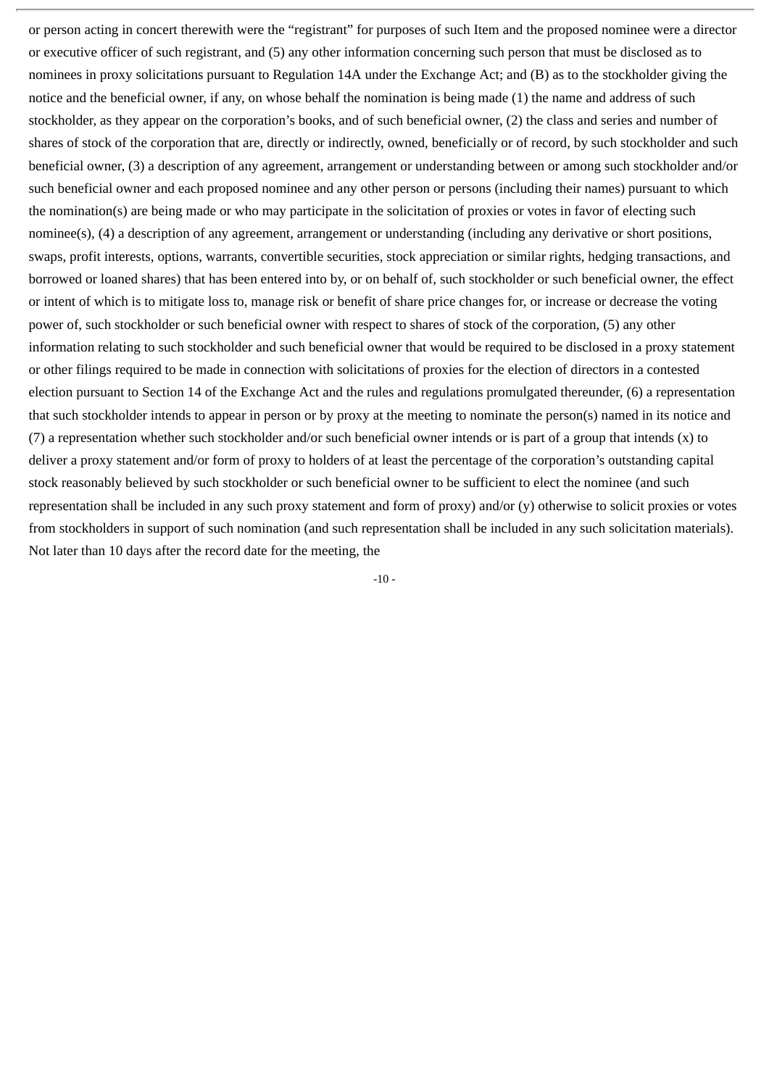or person acting in concert therewith were the "registrant" for purposes of such Item and the proposed nominee were a director or executive officer of such registrant, and (5) any other information concerning such person that must be disclosed as to nominees in proxy solicitations pursuant to Regulation 14A under the Exchange Act; and (B) as to the stockholder giving the notice and the beneficial owner, if any, on whose behalf the nomination is being made (1) the name and address of such stockholder, as they appear on the corporation's books, and of such beneficial owner, (2) the class and series and number of shares of stock of the corporation that are, directly or indirectly, owned, beneficially or of record, by such stockholder and such beneficial owner, (3) a description of any agreement, arrangement or understanding between or among such stockholder and/or such beneficial owner and each proposed nominee and any other person or persons (including their names) pursuant to which the nomination(s) are being made or who may participate in the solicitation of proxies or votes in favor of electing such nominee(s), (4) a description of any agreement, arrangement or understanding (including any derivative or short positions, swaps, profit interests, options, warrants, convertible securities, stock appreciation or similar rights, hedging transactions, and borrowed or loaned shares) that has been entered into by, or on behalf of, such stockholder or such beneficial owner, the effect or intent of which is to mitigate loss to, manage risk or benefit of share price changes for, or increase or decrease the voting power of, such stockholder or such beneficial owner with respect to shares of stock of the corporation, (5) any other information relating to such stockholder and such beneficial owner that would be required to be disclosed in a proxy statement or other filings required to be made in connection with solicitations of proxies for the election of directors in a contested election pursuant to Section 14 of the Exchange Act and the rules and regulations promulgated thereunder, (6) a representation that such stockholder intends to appear in person or by proxy at the meeting to nominate the person(s) named in its notice and (7) a representation whether such stockholder and/or such beneficial owner intends or is part of a group that intends (x) to deliver a proxy statement and/or form of proxy to holders of at least the percentage of the corporation's outstanding capital stock reasonably believed by such stockholder or such beneficial owner to be sufficient to elect the nominee (and such representation shall be included in any such proxy statement and form of proxy) and/or (y) otherwise to solicit proxies or votes from stockholders in support of such nomination (and such representation shall be included in any such solicitation materials). Not later than 10 days after the record date for the meeting, the

 $-10 -$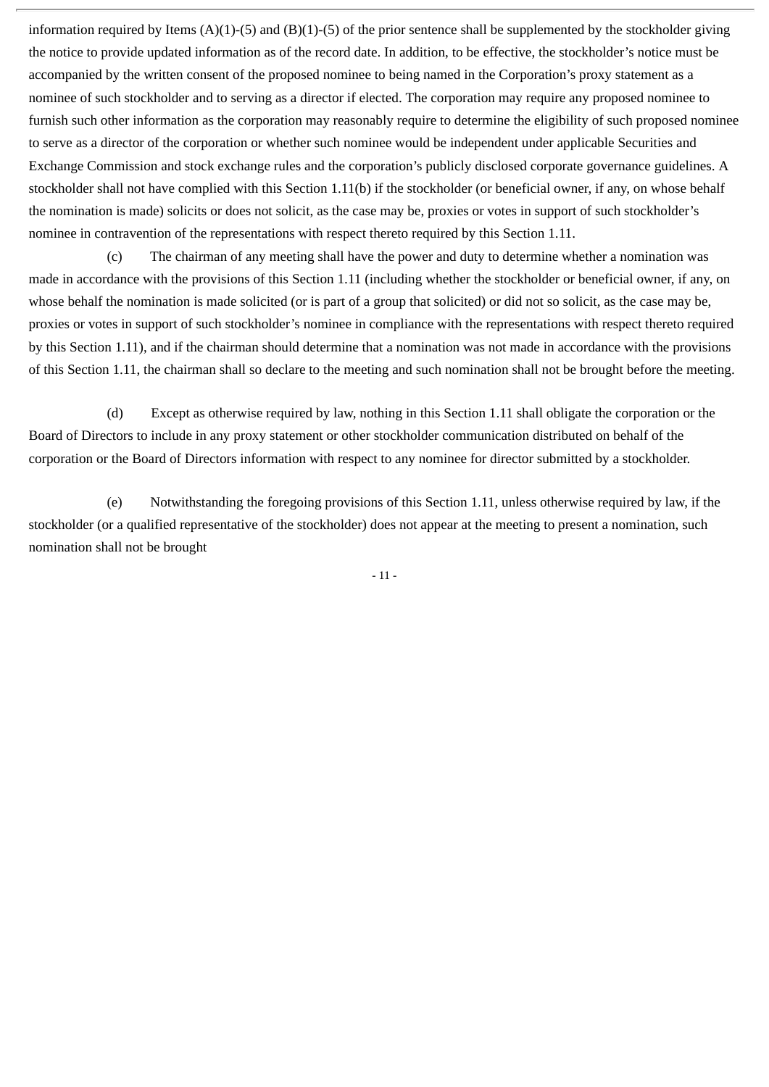information required by Items  $(A)(1)-(5)$  and  $(B)(1)-(5)$  of the prior sentence shall be supplemented by the stockholder giving the notice to provide updated information as of the record date. In addition, to be effective, the stockholder's notice must be accompanied by the written consent of the proposed nominee to being named in the Corporation's proxy statement as a nominee of such stockholder and to serving as a director if elected. The corporation may require any proposed nominee to furnish such other information as the corporation may reasonably require to determine the eligibility of such proposed nominee to serve as a director of the corporation or whether such nominee would be independent under applicable Securities and Exchange Commission and stock exchange rules and the corporation's publicly disclosed corporate governance guidelines. A stockholder shall not have complied with this Section 1.11(b) if the stockholder (or beneficial owner, if any, on whose behalf the nomination is made) solicits or does not solicit, as the case may be, proxies or votes in support of such stockholder's nominee in contravention of the representations with respect thereto required by this Section 1.11.

(c) The chairman of any meeting shall have the power and duty to determine whether a nomination was made in accordance with the provisions of this Section 1.11 (including whether the stockholder or beneficial owner, if any, on whose behalf the nomination is made solicited (or is part of a group that solicited) or did not so solicit, as the case may be, proxies or votes in support of such stockholder's nominee in compliance with the representations with respect thereto required by this Section 1.11), and if the chairman should determine that a nomination was not made in accordance with the provisions of this Section 1.11, the chairman shall so declare to the meeting and such nomination shall not be brought before the meeting.

(d) Except as otherwise required by law, nothing in this Section 1.11 shall obligate the corporation or the Board of Directors to include in any proxy statement or other stockholder communication distributed on behalf of the corporation or the Board of Directors information with respect to any nominee for director submitted by a stockholder.

(e) Notwithstanding the foregoing provisions of this Section 1.11, unless otherwise required by law, if the stockholder (or a qualified representative of the stockholder) does not appear at the meeting to present a nomination, such nomination shall not be brought

- 11 -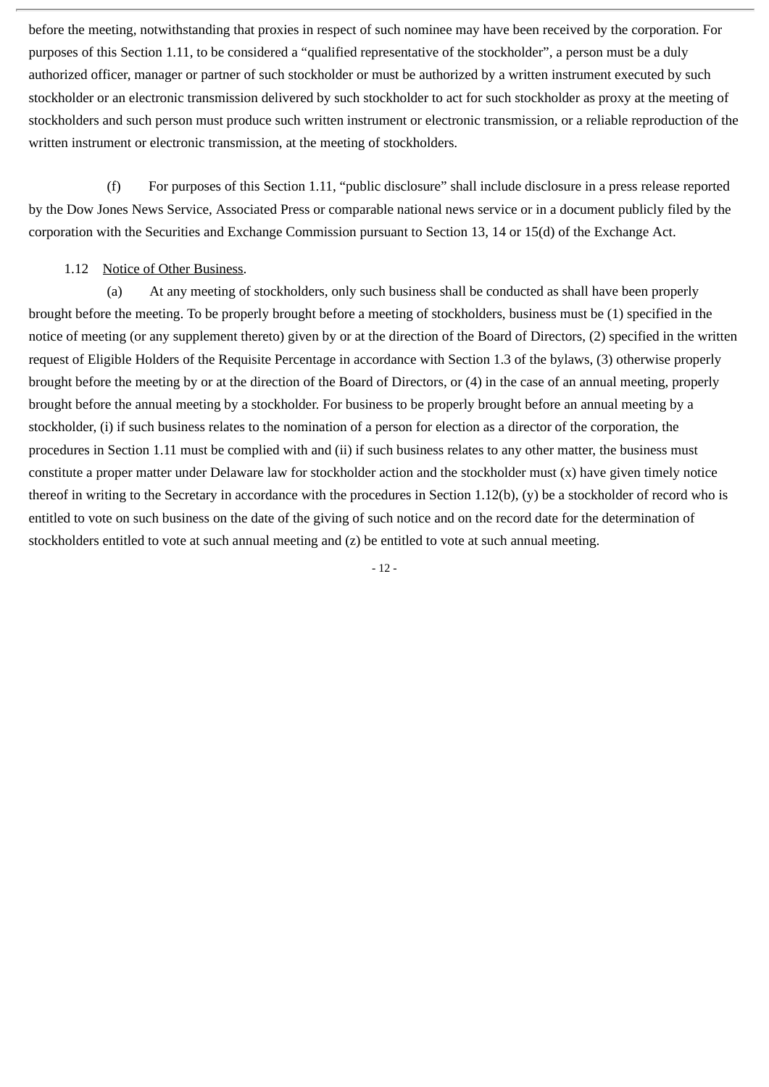before the meeting, notwithstanding that proxies in respect of such nominee may have been received by the corporation. For purposes of this Section 1.11, to be considered a "qualified representative of the stockholder", a person must be a duly authorized officer, manager or partner of such stockholder or must be authorized by a written instrument executed by such stockholder or an electronic transmission delivered by such stockholder to act for such stockholder as proxy at the meeting of stockholders and such person must produce such written instrument or electronic transmission, or a reliable reproduction of the written instrument or electronic transmission, at the meeting of stockholders.

(f) For purposes of this Section 1.11, "public disclosure" shall include disclosure in a press release reported by the Dow Jones News Service, Associated Press or comparable national news service or in a document publicly filed by the corporation with the Securities and Exchange Commission pursuant to Section 13, 14 or 15(d) of the Exchange Act.

## 1.12 Notice of Other Business.

(a) At any meeting of stockholders, only such business shall be conducted as shall have been properly brought before the meeting. To be properly brought before a meeting of stockholders, business must be (1) specified in the notice of meeting (or any supplement thereto) given by or at the direction of the Board of Directors, (2) specified in the written request of Eligible Holders of the Requisite Percentage in accordance with Section 1.3 of the bylaws, (3) otherwise properly brought before the meeting by or at the direction of the Board of Directors, or (4) in the case of an annual meeting, properly brought before the annual meeting by a stockholder. For business to be properly brought before an annual meeting by a stockholder, (i) if such business relates to the nomination of a person for election as a director of the corporation, the procedures in Section 1.11 must be complied with and (ii) if such business relates to any other matter, the business must constitute a proper matter under Delaware law for stockholder action and the stockholder must (x) have given timely notice thereof in writing to the Secretary in accordance with the procedures in Section 1.12(b), (y) be a stockholder of record who is entitled to vote on such business on the date of the giving of such notice and on the record date for the determination of stockholders entitled to vote at such annual meeting and (z) be entitled to vote at such annual meeting.

- 12 -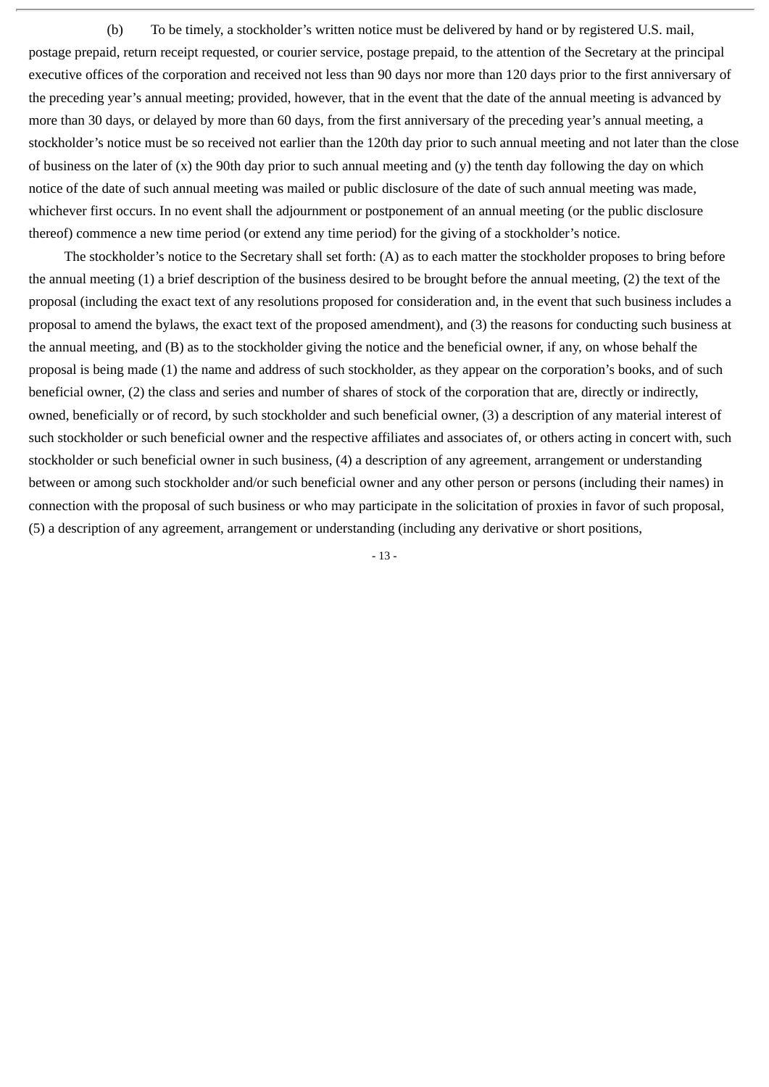(b) To be timely, a stockholder's written notice must be delivered by hand or by registered U.S. mail, postage prepaid, return receipt requested, or courier service, postage prepaid, to the attention of the Secretary at the principal executive offices of the corporation and received not less than 90 days nor more than 120 days prior to the first anniversary of the preceding year's annual meeting; provided, however, that in the event that the date of the annual meeting is advanced by more than 30 days, or delayed by more than 60 days, from the first anniversary of the preceding year's annual meeting, a stockholder's notice must be so received not earlier than the 120th day prior to such annual meeting and not later than the close of business on the later of  $(x)$  the 90th day prior to such annual meeting and  $(y)$  the tenth day following the day on which notice of the date of such annual meeting was mailed or public disclosure of the date of such annual meeting was made, whichever first occurs. In no event shall the adjournment or postponement of an annual meeting (or the public disclosure thereof) commence a new time period (or extend any time period) for the giving of a stockholder's notice.

The stockholder's notice to the Secretary shall set forth: (A) as to each matter the stockholder proposes to bring before the annual meeting (1) a brief description of the business desired to be brought before the annual meeting, (2) the text of the proposal (including the exact text of any resolutions proposed for consideration and, in the event that such business includes a proposal to amend the bylaws, the exact text of the proposed amendment), and (3) the reasons for conducting such business at the annual meeting, and (B) as to the stockholder giving the notice and the beneficial owner, if any, on whose behalf the proposal is being made (1) the name and address of such stockholder, as they appear on the corporation's books, and of such beneficial owner, (2) the class and series and number of shares of stock of the corporation that are, directly or indirectly, owned, beneficially or of record, by such stockholder and such beneficial owner, (3) a description of any material interest of such stockholder or such beneficial owner and the respective affiliates and associates of, or others acting in concert with, such stockholder or such beneficial owner in such business, (4) a description of any agreement, arrangement or understanding between or among such stockholder and/or such beneficial owner and any other person or persons (including their names) in connection with the proposal of such business or who may participate in the solicitation of proxies in favor of such proposal, (5) a description of any agreement, arrangement or understanding (including any derivative or short positions,

- 13 -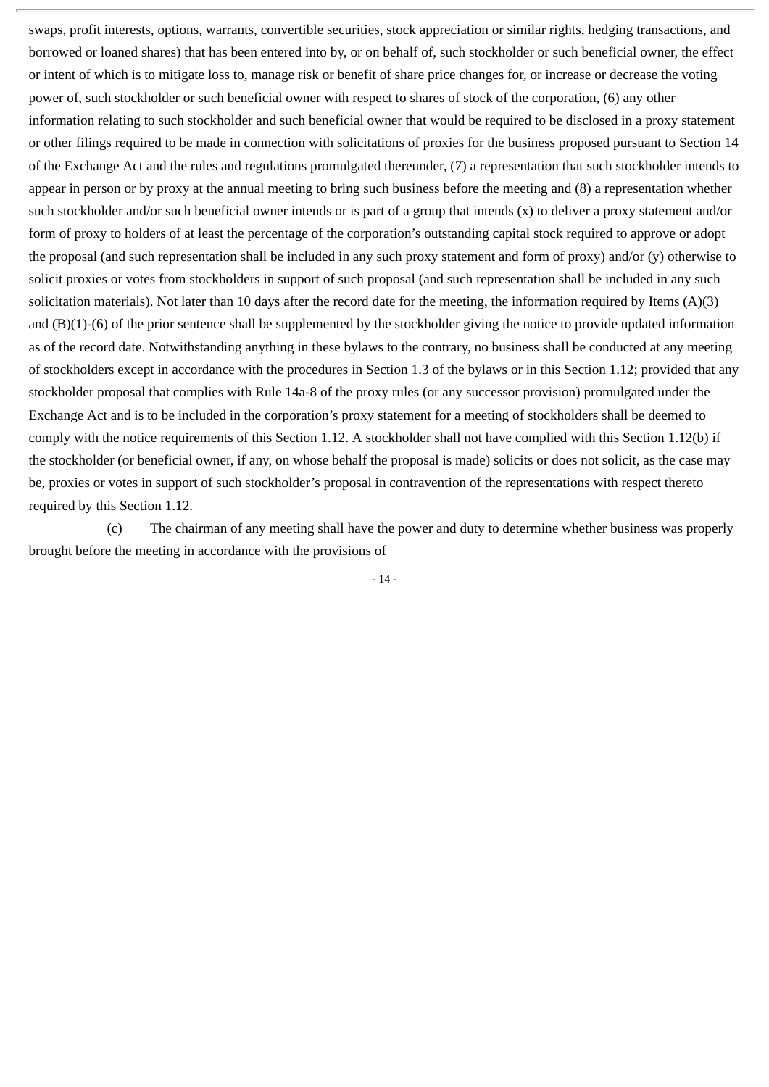swaps, profit interests, options, warrants, convertible securities, stock appreciation or similar rights, hedging transactions, and borrowed or loaned shares) that has been entered into by, or on behalf of, such stockholder or such beneficial owner, the effect or intent of which is to mitigate loss to, manage risk or benefit of share price changes for, or increase or decrease the voting power of, such stockholder or such beneficial owner with respect to shares of stock of the corporation, (6) any other information relating to such stockholder and such beneficial owner that would be required to be disclosed in a proxy statement or other filings required to be made in connection with solicitations of proxies for the business proposed pursuant to Section 14 of the Exchange Act and the rules and regulations promulgated thereunder, (7) a representation that such stockholder intends to appear in person or by proxy at the annual meeting to bring such business before the meeting and (8) a representation whether such stockholder and/or such beneficial owner intends or is part of a group that intends (x) to deliver a proxy statement and/or form of proxy to holders of at least the percentage of the corporation's outstanding capital stock required to approve or adopt the proposal (and such representation shall be included in any such proxy statement and form of proxy) and/or (y) otherwise to solicit proxies or votes from stockholders in support of such proposal (and such representation shall be included in any such solicitation materials). Not later than 10 days after the record date for the meeting, the information required by Items (A)(3) and (B)(1)-(6) of the prior sentence shall be supplemented by the stockholder giving the notice to provide updated information as of the record date. Notwithstanding anything in these bylaws to the contrary, no business shall be conducted at any meeting of stockholders except in accordance with the procedures in Section 1.3 of the bylaws or in this Section 1.12; provided that any stockholder proposal that complies with Rule 14a-8 of the proxy rules (or any successor provision) promulgated under the Exchange Act and is to be included in the corporation's proxy statement for a meeting of stockholders shall be deemed to comply with the notice requirements of this Section 1.12. A stockholder shall not have complied with this Section 1.12(b) if the stockholder (or beneficial owner, if any, on whose behalf the proposal is made) solicits or does not solicit, as the case may be, proxies or votes in support of such stockholder's proposal in contravention of the representations with respect thereto required by this Section 1.12.

(c) The chairman of any meeting shall have the power and duty to determine whether business was properly brought before the meeting in accordance with the provisions of

- 14 -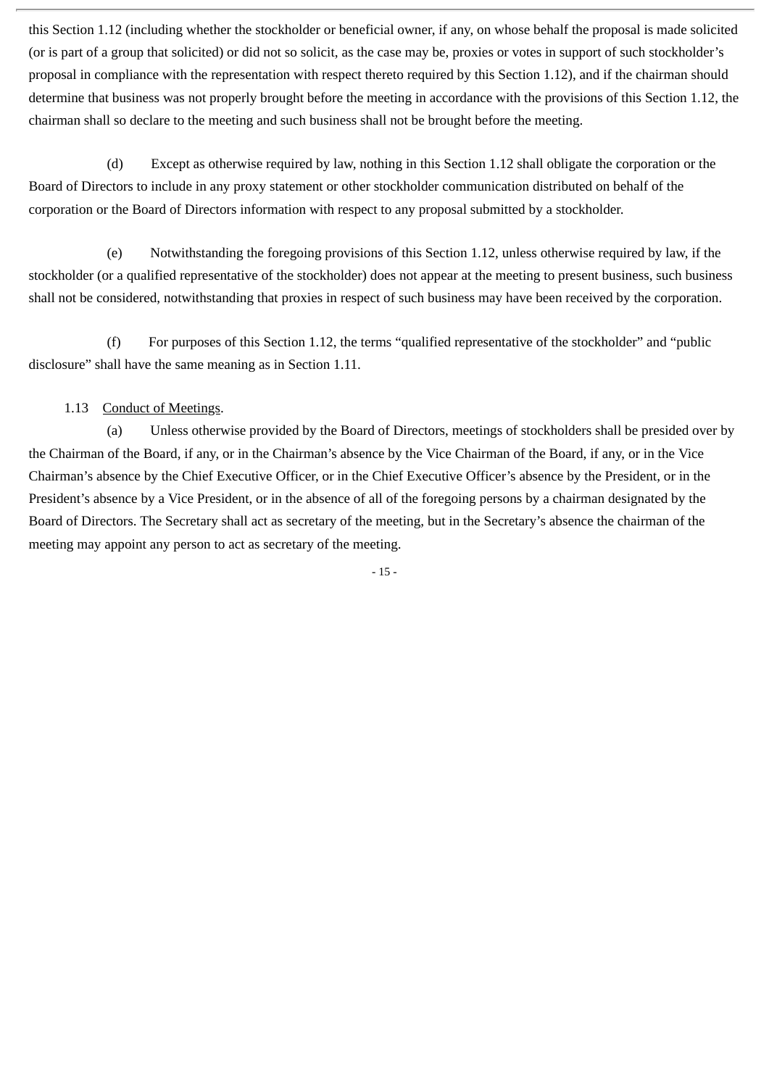this Section 1.12 (including whether the stockholder or beneficial owner, if any, on whose behalf the proposal is made solicited (or is part of a group that solicited) or did not so solicit, as the case may be, proxies or votes in support of such stockholder's proposal in compliance with the representation with respect thereto required by this Section 1.12), and if the chairman should determine that business was not properly brought before the meeting in accordance with the provisions of this Section 1.12, the chairman shall so declare to the meeting and such business shall not be brought before the meeting.

(d) Except as otherwise required by law, nothing in this Section 1.12 shall obligate the corporation or the Board of Directors to include in any proxy statement or other stockholder communication distributed on behalf of the corporation or the Board of Directors information with respect to any proposal submitted by a stockholder.

(e) Notwithstanding the foregoing provisions of this Section 1.12, unless otherwise required by law, if the stockholder (or a qualified representative of the stockholder) does not appear at the meeting to present business, such business shall not be considered, notwithstanding that proxies in respect of such business may have been received by the corporation.

(f) For purposes of this Section 1.12, the terms "qualified representative of the stockholder" and "public disclosure" shall have the same meaning as in Section 1.11.

# 1.13 Conduct of Meetings.

(a) Unless otherwise provided by the Board of Directors, meetings of stockholders shall be presided over by the Chairman of the Board, if any, or in the Chairman's absence by the Vice Chairman of the Board, if any, or in the Vice Chairman's absence by the Chief Executive Officer, or in the Chief Executive Officer's absence by the President, or in the President's absence by a Vice President, or in the absence of all of the foregoing persons by a chairman designated by the Board of Directors. The Secretary shall act as secretary of the meeting, but in the Secretary's absence the chairman of the meeting may appoint any person to act as secretary of the meeting.

- 15 -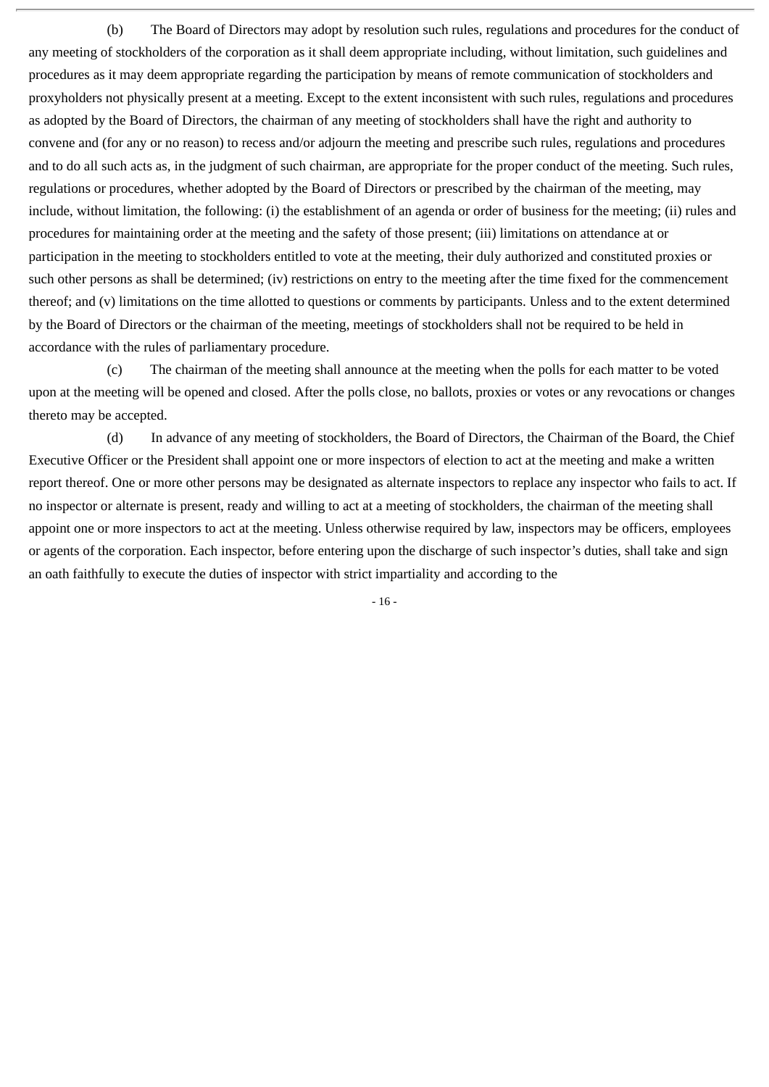(b) The Board of Directors may adopt by resolution such rules, regulations and procedures for the conduct of any meeting of stockholders of the corporation as it shall deem appropriate including, without limitation, such guidelines and procedures as it may deem appropriate regarding the participation by means of remote communication of stockholders and proxyholders not physically present at a meeting. Except to the extent inconsistent with such rules, regulations and procedures as adopted by the Board of Directors, the chairman of any meeting of stockholders shall have the right and authority to convene and (for any or no reason) to recess and/or adjourn the meeting and prescribe such rules, regulations and procedures and to do all such acts as, in the judgment of such chairman, are appropriate for the proper conduct of the meeting. Such rules, regulations or procedures, whether adopted by the Board of Directors or prescribed by the chairman of the meeting, may include, without limitation, the following: (i) the establishment of an agenda or order of business for the meeting; (ii) rules and procedures for maintaining order at the meeting and the safety of those present; (iii) limitations on attendance at or participation in the meeting to stockholders entitled to vote at the meeting, their duly authorized and constituted proxies or such other persons as shall be determined; (iv) restrictions on entry to the meeting after the time fixed for the commencement thereof; and (v) limitations on the time allotted to questions or comments by participants. Unless and to the extent determined by the Board of Directors or the chairman of the meeting, meetings of stockholders shall not be required to be held in accordance with the rules of parliamentary procedure.

(c) The chairman of the meeting shall announce at the meeting when the polls for each matter to be voted upon at the meeting will be opened and closed. After the polls close, no ballots, proxies or votes or any revocations or changes thereto may be accepted.

(d) In advance of any meeting of stockholders, the Board of Directors, the Chairman of the Board, the Chief Executive Officer or the President shall appoint one or more inspectors of election to act at the meeting and make a written report thereof. One or more other persons may be designated as alternate inspectors to replace any inspector who fails to act. If no inspector or alternate is present, ready and willing to act at a meeting of stockholders, the chairman of the meeting shall appoint one or more inspectors to act at the meeting. Unless otherwise required by law, inspectors may be officers, employees or agents of the corporation. Each inspector, before entering upon the discharge of such inspector's duties, shall take and sign an oath faithfully to execute the duties of inspector with strict impartiality and according to the

- 16 -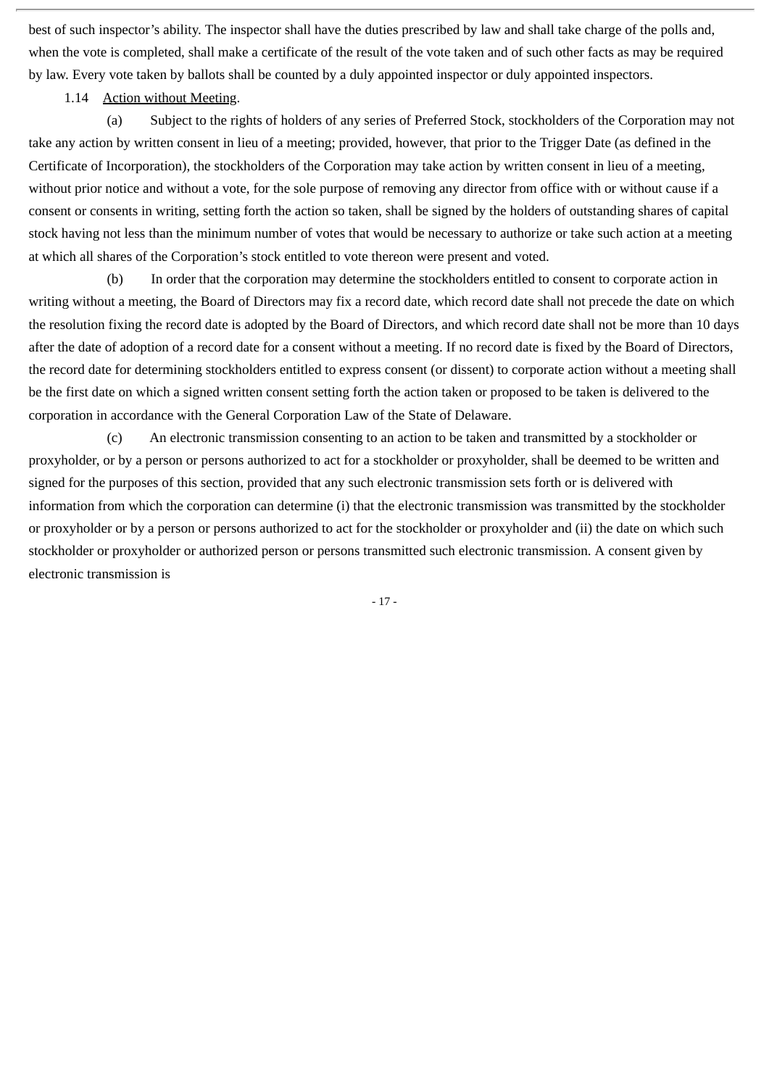best of such inspector's ability. The inspector shall have the duties prescribed by law and shall take charge of the polls and, when the vote is completed, shall make a certificate of the result of the vote taken and of such other facts as may be required by law. Every vote taken by ballots shall be counted by a duly appointed inspector or duly appointed inspectors.

1.14 Action without Meeting.

(a) Subject to the rights of holders of any series of Preferred Stock, stockholders of the Corporation may not take any action by written consent in lieu of a meeting; provided, however, that prior to the Trigger Date (as defined in the Certificate of Incorporation), the stockholders of the Corporation may take action by written consent in lieu of a meeting, without prior notice and without a vote, for the sole purpose of removing any director from office with or without cause if a consent or consents in writing, setting forth the action so taken, shall be signed by the holders of outstanding shares of capital stock having not less than the minimum number of votes that would be necessary to authorize or take such action at a meeting at which all shares of the Corporation's stock entitled to vote thereon were present and voted.

(b) In order that the corporation may determine the stockholders entitled to consent to corporate action in writing without a meeting, the Board of Directors may fix a record date, which record date shall not precede the date on which the resolution fixing the record date is adopted by the Board of Directors, and which record date shall not be more than 10 days after the date of adoption of a record date for a consent without a meeting. If no record date is fixed by the Board of Directors, the record date for determining stockholders entitled to express consent (or dissent) to corporate action without a meeting shall be the first date on which a signed written consent setting forth the action taken or proposed to be taken is delivered to the corporation in accordance with the General Corporation Law of the State of Delaware.

(c) An electronic transmission consenting to an action to be taken and transmitted by a stockholder or proxyholder, or by a person or persons authorized to act for a stockholder or proxyholder, shall be deemed to be written and signed for the purposes of this section, provided that any such electronic transmission sets forth or is delivered with information from which the corporation can determine (i) that the electronic transmission was transmitted by the stockholder or proxyholder or by a person or persons authorized to act for the stockholder or proxyholder and (ii) the date on which such stockholder or proxyholder or authorized person or persons transmitted such electronic transmission. A consent given by electronic transmission is

- 17 -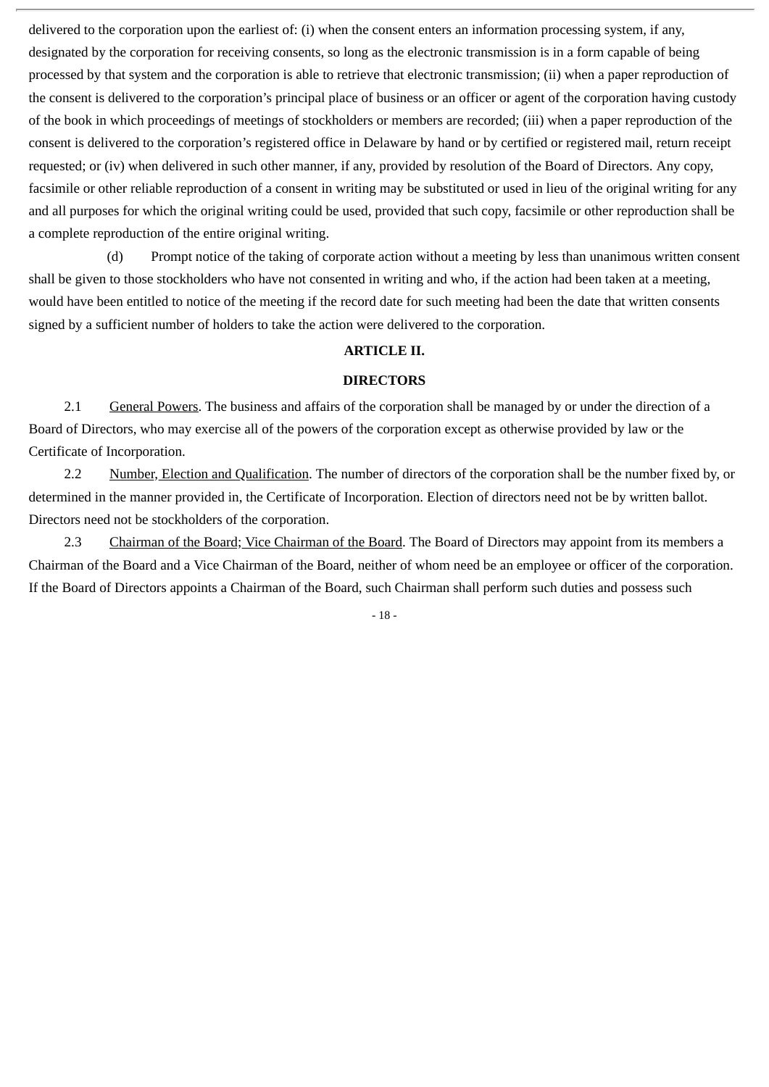delivered to the corporation upon the earliest of: (i) when the consent enters an information processing system, if any, designated by the corporation for receiving consents, so long as the electronic transmission is in a form capable of being processed by that system and the corporation is able to retrieve that electronic transmission; (ii) when a paper reproduction of the consent is delivered to the corporation's principal place of business or an officer or agent of the corporation having custody of the book in which proceedings of meetings of stockholders or members are recorded; (iii) when a paper reproduction of the consent is delivered to the corporation's registered office in Delaware by hand or by certified or registered mail, return receipt requested; or (iv) when delivered in such other manner, if any, provided by resolution of the Board of Directors. Any copy, facsimile or other reliable reproduction of a consent in writing may be substituted or used in lieu of the original writing for any and all purposes for which the original writing could be used, provided that such copy, facsimile or other reproduction shall be a complete reproduction of the entire original writing.

(d) Prompt notice of the taking of corporate action without a meeting by less than unanimous written consent shall be given to those stockholders who have not consented in writing and who, if the action had been taken at a meeting, would have been entitled to notice of the meeting if the record date for such meeting had been the date that written consents signed by a sufficient number of holders to take the action were delivered to the corporation.

#### **ARTICLE II.**

#### **DIRECTORS**

2.1 General Powers. The business and affairs of the corporation shall be managed by or under the direction of a Board of Directors, who may exercise all of the powers of the corporation except as otherwise provided by law or the Certificate of Incorporation.

2.2 Number, Election and Qualification. The number of directors of the corporation shall be the number fixed by, or determined in the manner provided in, the Certificate of Incorporation. Election of directors need not be by written ballot. Directors need not be stockholders of the corporation.

2.3 Chairman of the Board; Vice Chairman of the Board. The Board of Directors may appoint from its members a Chairman of the Board and a Vice Chairman of the Board, neither of whom need be an employee or officer of the corporation. If the Board of Directors appoints a Chairman of the Board, such Chairman shall perform such duties and possess such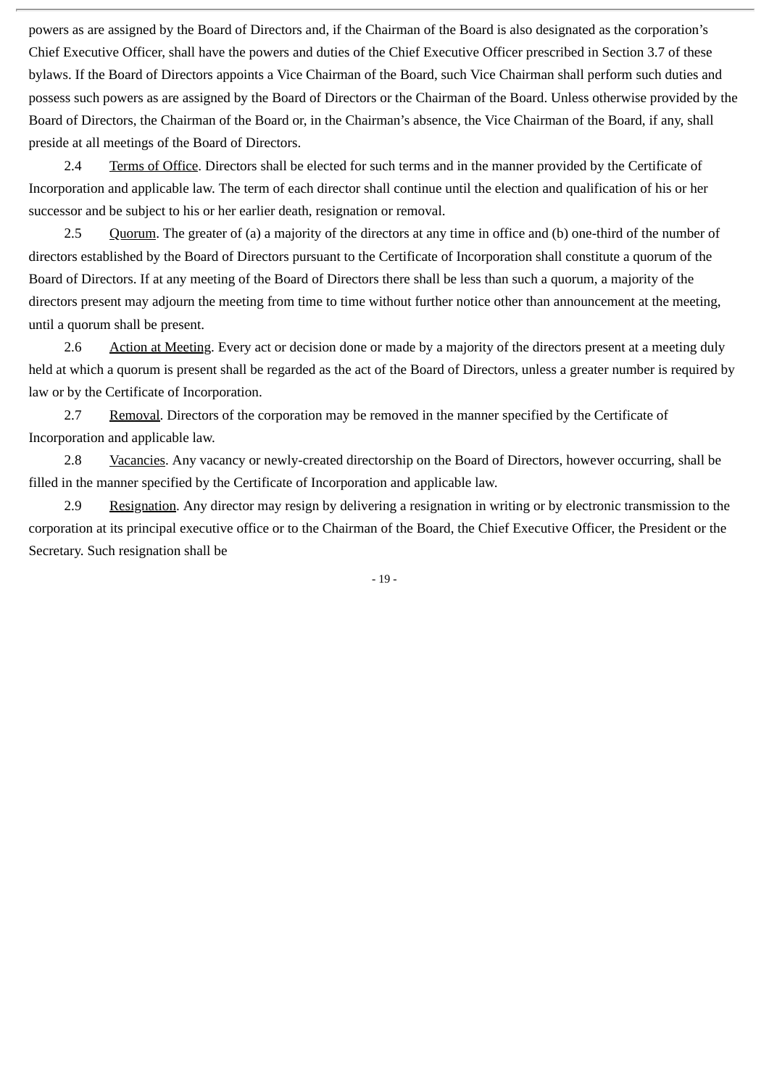powers as are assigned by the Board of Directors and, if the Chairman of the Board is also designated as the corporation's Chief Executive Officer, shall have the powers and duties of the Chief Executive Officer prescribed in Section 3.7 of these bylaws. If the Board of Directors appoints a Vice Chairman of the Board, such Vice Chairman shall perform such duties and possess such powers as are assigned by the Board of Directors or the Chairman of the Board. Unless otherwise provided by the Board of Directors, the Chairman of the Board or, in the Chairman's absence, the Vice Chairman of the Board, if any, shall preside at all meetings of the Board of Directors.

2.4 Terms of Office. Directors shall be elected for such terms and in the manner provided by the Certificate of Incorporation and applicable law. The term of each director shall continue until the election and qualification of his or her successor and be subject to his or her earlier death, resignation or removal.

2.5 Quorum. The greater of (a) a majority of the directors at any time in office and (b) one-third of the number of directors established by the Board of Directors pursuant to the Certificate of Incorporation shall constitute a quorum of the Board of Directors. If at any meeting of the Board of Directors there shall be less than such a quorum, a majority of the directors present may adjourn the meeting from time to time without further notice other than announcement at the meeting, until a quorum shall be present.

2.6 Action at Meeting. Every act or decision done or made by a majority of the directors present at a meeting duly held at which a quorum is present shall be regarded as the act of the Board of Directors, unless a greater number is required by law or by the Certificate of Incorporation.

2.7 Removal. Directors of the corporation may be removed in the manner specified by the Certificate of Incorporation and applicable law.

2.8 Vacancies. Any vacancy or newly-created directorship on the Board of Directors, however occurring, shall be filled in the manner specified by the Certificate of Incorporation and applicable law.

2.9 Resignation. Any director may resign by delivering a resignation in writing or by electronic transmission to the corporation at its principal executive office or to the Chairman of the Board, the Chief Executive Officer, the President or the Secretary. Such resignation shall be

- 19 -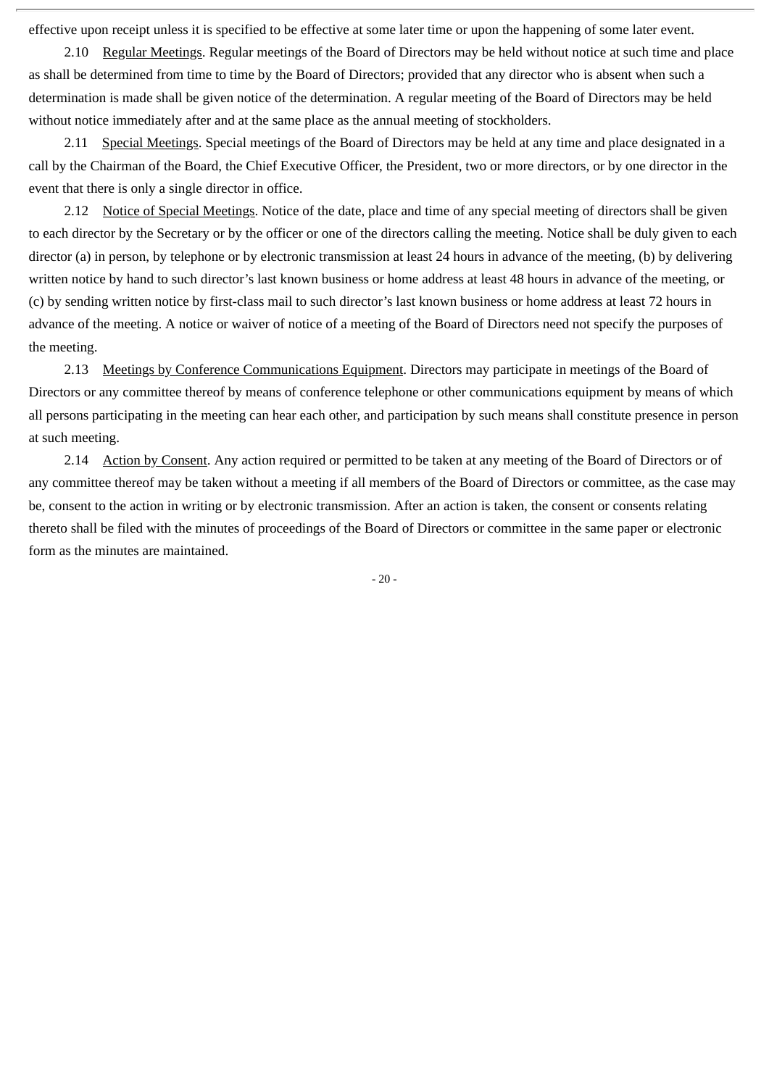effective upon receipt unless it is specified to be effective at some later time or upon the happening of some later event.

2.10 Regular Meetings. Regular meetings of the Board of Directors may be held without notice at such time and place as shall be determined from time to time by the Board of Directors; provided that any director who is absent when such a determination is made shall be given notice of the determination. A regular meeting of the Board of Directors may be held without notice immediately after and at the same place as the annual meeting of stockholders.

2.11 Special Meetings. Special meetings of the Board of Directors may be held at any time and place designated in a call by the Chairman of the Board, the Chief Executive Officer, the President, two or more directors, or by one director in the event that there is only a single director in office.

2.12 Notice of Special Meetings. Notice of the date, place and time of any special meeting of directors shall be given to each director by the Secretary or by the officer or one of the directors calling the meeting. Notice shall be duly given to each director (a) in person, by telephone or by electronic transmission at least 24 hours in advance of the meeting, (b) by delivering written notice by hand to such director's last known business or home address at least 48 hours in advance of the meeting, or (c) by sending written notice by first-class mail to such director's last known business or home address at least 72 hours in advance of the meeting. A notice or waiver of notice of a meeting of the Board of Directors need not specify the purposes of the meeting.

2.13 Meetings by Conference Communications Equipment. Directors may participate in meetings of the Board of Directors or any committee thereof by means of conference telephone or other communications equipment by means of which all persons participating in the meeting can hear each other, and participation by such means shall constitute presence in person at such meeting.

2.14 Action by Consent. Any action required or permitted to be taken at any meeting of the Board of Directors or of any committee thereof may be taken without a meeting if all members of the Board of Directors or committee, as the case may be, consent to the action in writing or by electronic transmission. After an action is taken, the consent or consents relating thereto shall be filed with the minutes of proceedings of the Board of Directors or committee in the same paper or electronic form as the minutes are maintained.

- 20 -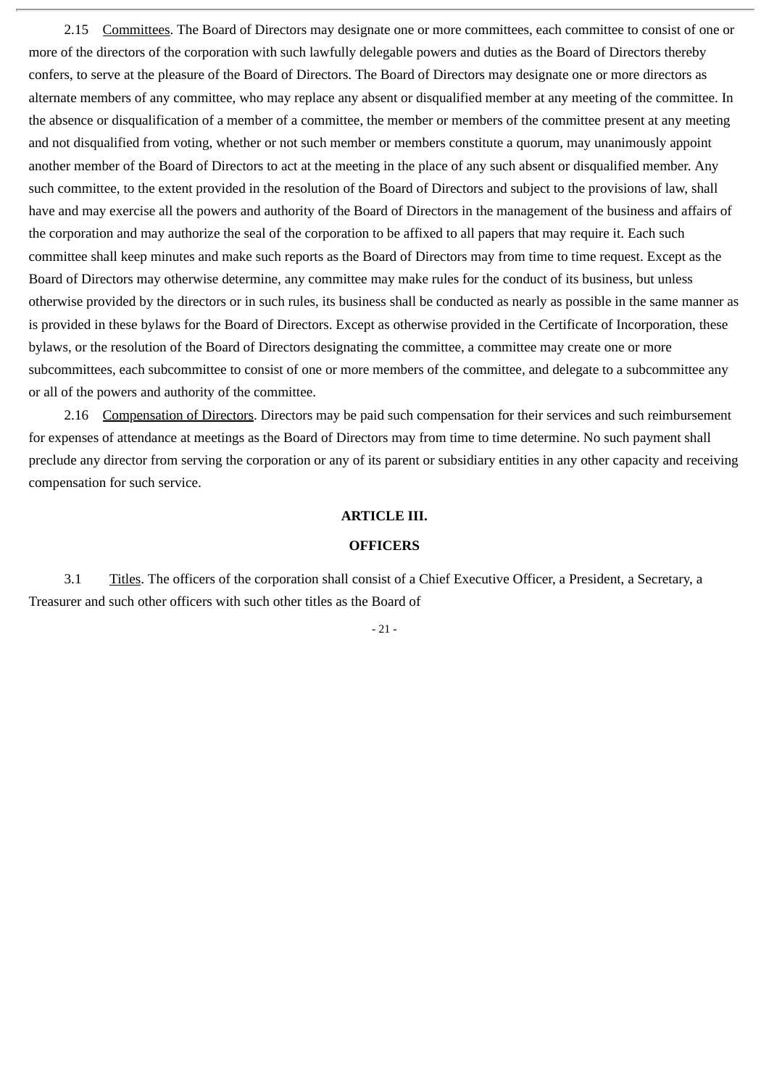2.15 Committees. The Board of Directors may designate one or more committees, each committee to consist of one or more of the directors of the corporation with such lawfully delegable powers and duties as the Board of Directors thereby confers, to serve at the pleasure of the Board of Directors. The Board of Directors may designate one or more directors as alternate members of any committee, who may replace any absent or disqualified member at any meeting of the committee. In the absence or disqualification of a member of a committee, the member or members of the committee present at any meeting and not disqualified from voting, whether or not such member or members constitute a quorum, may unanimously appoint another member of the Board of Directors to act at the meeting in the place of any such absent or disqualified member. Any such committee, to the extent provided in the resolution of the Board of Directors and subject to the provisions of law, shall have and may exercise all the powers and authority of the Board of Directors in the management of the business and affairs of the corporation and may authorize the seal of the corporation to be affixed to all papers that may require it. Each such committee shall keep minutes and make such reports as the Board of Directors may from time to time request. Except as the Board of Directors may otherwise determine, any committee may make rules for the conduct of its business, but unless otherwise provided by the directors or in such rules, its business shall be conducted as nearly as possible in the same manner as is provided in these bylaws for the Board of Directors. Except as otherwise provided in the Certificate of Incorporation, these bylaws, or the resolution of the Board of Directors designating the committee, a committee may create one or more subcommittees, each subcommittee to consist of one or more members of the committee, and delegate to a subcommittee any or all of the powers and authority of the committee.

2.16 Compensation of Directors. Directors may be paid such compensation for their services and such reimbursement for expenses of attendance at meetings as the Board of Directors may from time to time determine. No such payment shall preclude any director from serving the corporation or any of its parent or subsidiary entities in any other capacity and receiving compensation for such service.

#### **ARTICLE III.**

#### **OFFICERS**

3.1 Titles. The officers of the corporation shall consist of a Chief Executive Officer, a President, a Secretary, a Treasurer and such other officers with such other titles as the Board of

 $-21 -$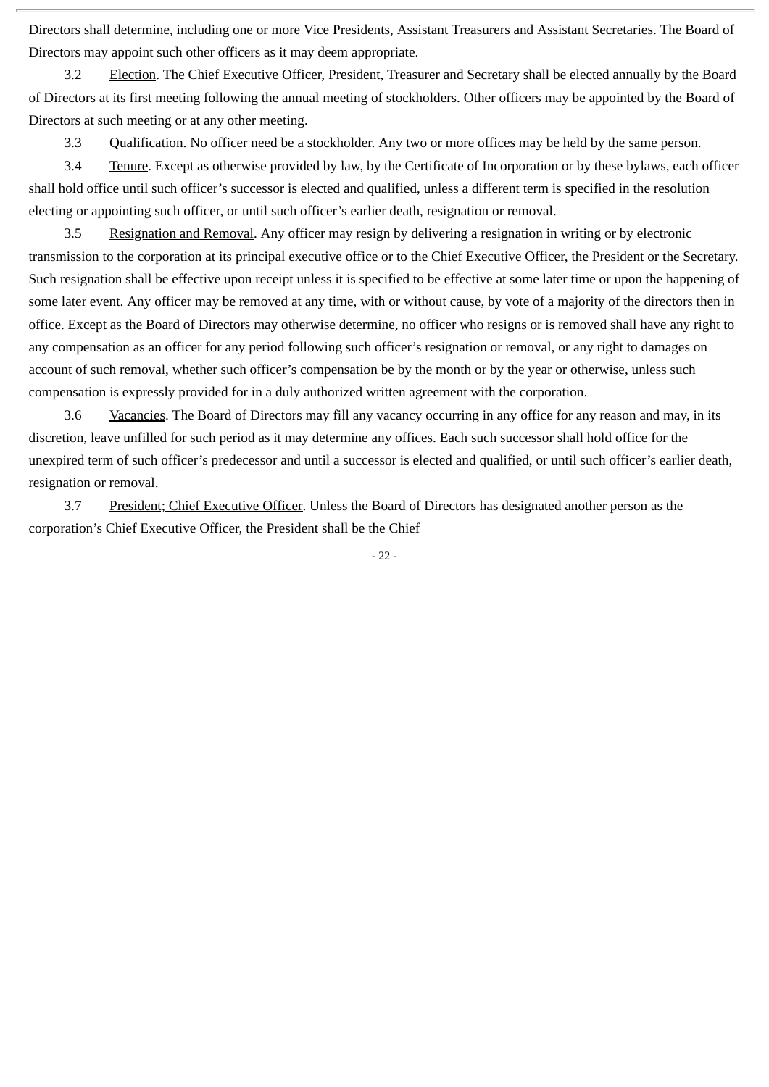Directors shall determine, including one or more Vice Presidents, Assistant Treasurers and Assistant Secretaries. The Board of Directors may appoint such other officers as it may deem appropriate.

3.2 Election. The Chief Executive Officer, President, Treasurer and Secretary shall be elected annually by the Board of Directors at its first meeting following the annual meeting of stockholders. Other officers may be appointed by the Board of Directors at such meeting or at any other meeting.

3.3 Qualification. No officer need be a stockholder. Any two or more offices may be held by the same person.

3.4 Tenure. Except as otherwise provided by law, by the Certificate of Incorporation or by these bylaws, each officer shall hold office until such officer's successor is elected and qualified, unless a different term is specified in the resolution electing or appointing such officer, or until such officer's earlier death, resignation or removal.

3.5 Resignation and Removal. Any officer may resign by delivering a resignation in writing or by electronic transmission to the corporation at its principal executive office or to the Chief Executive Officer, the President or the Secretary. Such resignation shall be effective upon receipt unless it is specified to be effective at some later time or upon the happening of some later event. Any officer may be removed at any time, with or without cause, by vote of a majority of the directors then in office. Except as the Board of Directors may otherwise determine, no officer who resigns or is removed shall have any right to any compensation as an officer for any period following such officer's resignation or removal, or any right to damages on account of such removal, whether such officer's compensation be by the month or by the year or otherwise, unless such compensation is expressly provided for in a duly authorized written agreement with the corporation.

3.6 Vacancies. The Board of Directors may fill any vacancy occurring in any office for any reason and may, in its discretion, leave unfilled for such period as it may determine any offices. Each such successor shall hold office for the unexpired term of such officer's predecessor and until a successor is elected and qualified, or until such officer's earlier death, resignation or removal.

3.7 President; Chief Executive Officer. Unless the Board of Directors has designated another person as the corporation's Chief Executive Officer, the President shall be the Chief

- 22 -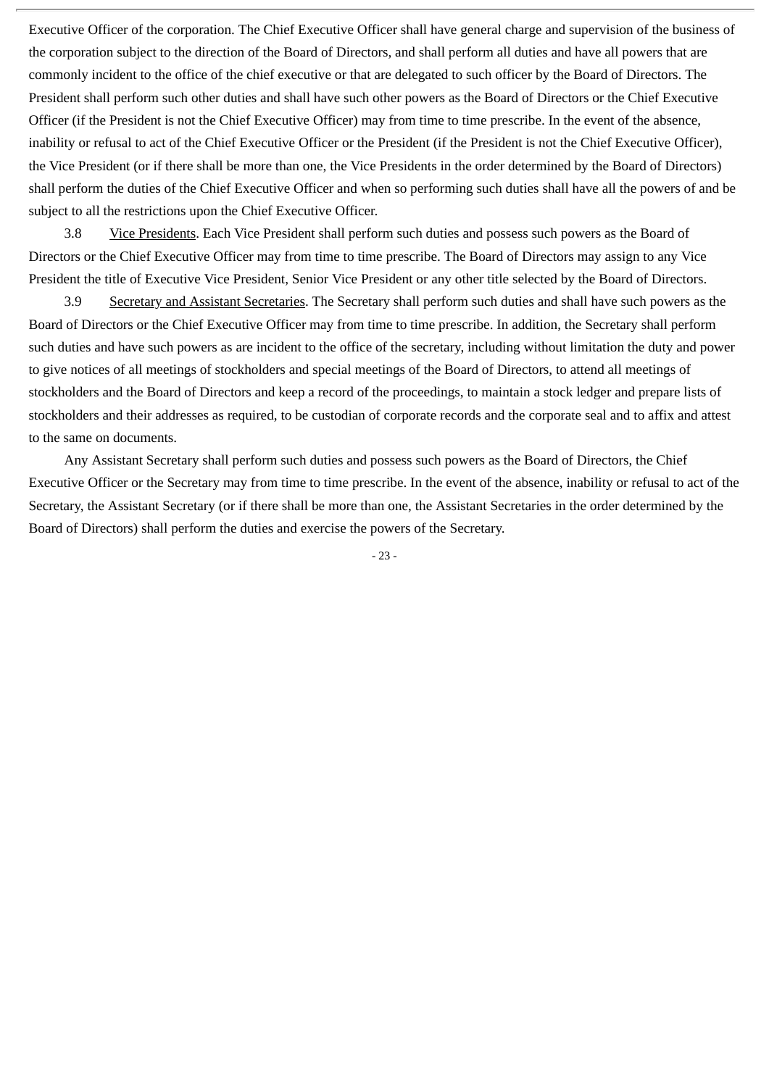Executive Officer of the corporation. The Chief Executive Officer shall have general charge and supervision of the business of the corporation subject to the direction of the Board of Directors, and shall perform all duties and have all powers that are commonly incident to the office of the chief executive or that are delegated to such officer by the Board of Directors. The President shall perform such other duties and shall have such other powers as the Board of Directors or the Chief Executive Officer (if the President is not the Chief Executive Officer) may from time to time prescribe. In the event of the absence, inability or refusal to act of the Chief Executive Officer or the President (if the President is not the Chief Executive Officer), the Vice President (or if there shall be more than one, the Vice Presidents in the order determined by the Board of Directors) shall perform the duties of the Chief Executive Officer and when so performing such duties shall have all the powers of and be subject to all the restrictions upon the Chief Executive Officer.

3.8 Vice Presidents. Each Vice President shall perform such duties and possess such powers as the Board of Directors or the Chief Executive Officer may from time to time prescribe. The Board of Directors may assign to any Vice President the title of Executive Vice President, Senior Vice President or any other title selected by the Board of Directors.

3.9 Secretary and Assistant Secretaries. The Secretary shall perform such duties and shall have such powers as the Board of Directors or the Chief Executive Officer may from time to time prescribe. In addition, the Secretary shall perform such duties and have such powers as are incident to the office of the secretary, including without limitation the duty and power to give notices of all meetings of stockholders and special meetings of the Board of Directors, to attend all meetings of stockholders and the Board of Directors and keep a record of the proceedings, to maintain a stock ledger and prepare lists of stockholders and their addresses as required, to be custodian of corporate records and the corporate seal and to affix and attest to the same on documents.

Any Assistant Secretary shall perform such duties and possess such powers as the Board of Directors, the Chief Executive Officer or the Secretary may from time to time prescribe. In the event of the absence, inability or refusal to act of the Secretary, the Assistant Secretary (or if there shall be more than one, the Assistant Secretaries in the order determined by the Board of Directors) shall perform the duties and exercise the powers of the Secretary.

- 23 -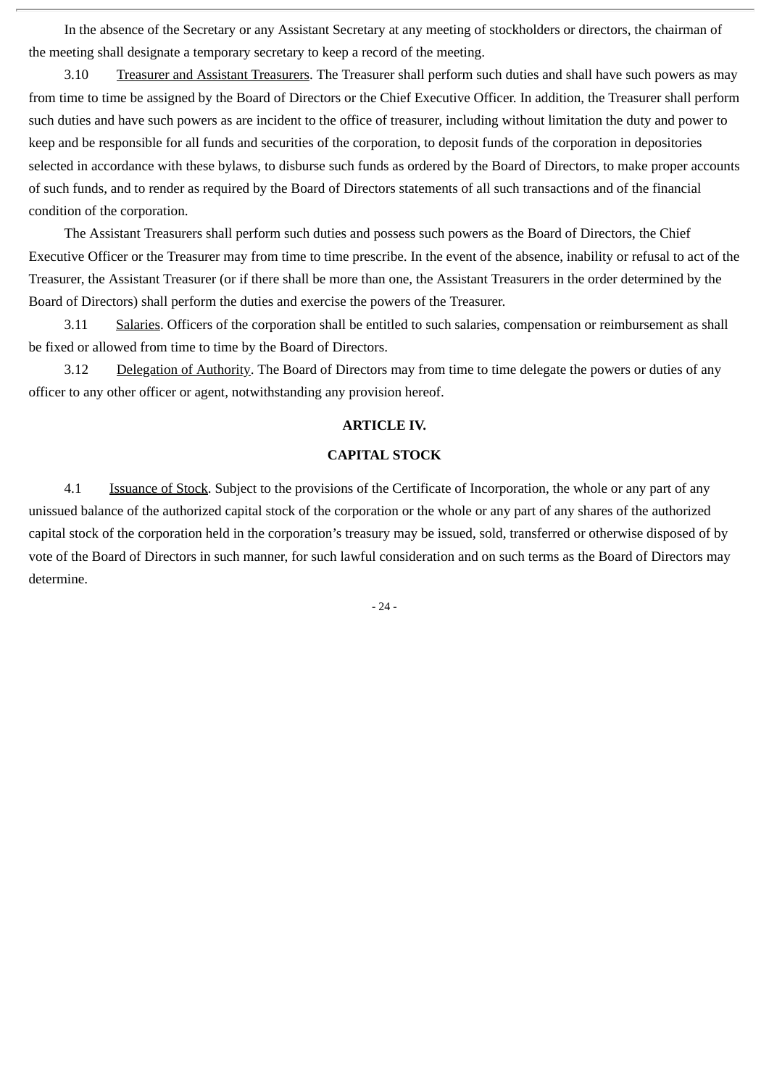In the absence of the Secretary or any Assistant Secretary at any meeting of stockholders or directors, the chairman of the meeting shall designate a temporary secretary to keep a record of the meeting.

3.10 Treasurer and Assistant Treasurers. The Treasurer shall perform such duties and shall have such powers as may from time to time be assigned by the Board of Directors or the Chief Executive Officer. In addition, the Treasurer shall perform such duties and have such powers as are incident to the office of treasurer, including without limitation the duty and power to keep and be responsible for all funds and securities of the corporation, to deposit funds of the corporation in depositories selected in accordance with these bylaws, to disburse such funds as ordered by the Board of Directors, to make proper accounts of such funds, and to render as required by the Board of Directors statements of all such transactions and of the financial condition of the corporation.

The Assistant Treasurers shall perform such duties and possess such powers as the Board of Directors, the Chief Executive Officer or the Treasurer may from time to time prescribe. In the event of the absence, inability or refusal to act of the Treasurer, the Assistant Treasurer (or if there shall be more than one, the Assistant Treasurers in the order determined by the Board of Directors) shall perform the duties and exercise the powers of the Treasurer.

3.11 Salaries. Officers of the corporation shall be entitled to such salaries, compensation or reimbursement as shall be fixed or allowed from time to time by the Board of Directors.

3.12 Delegation of Authority. The Board of Directors may from time to time delegate the powers or duties of any officer to any other officer or agent, notwithstanding any provision hereof.

#### **ARTICLE IV.**

#### **CAPITAL STOCK**

4.1 Issuance of Stock. Subject to the provisions of the Certificate of Incorporation, the whole or any part of any unissued balance of the authorized capital stock of the corporation or the whole or any part of any shares of the authorized capital stock of the corporation held in the corporation's treasury may be issued, sold, transferred or otherwise disposed of by vote of the Board of Directors in such manner, for such lawful consideration and on such terms as the Board of Directors may determine.

- 24 -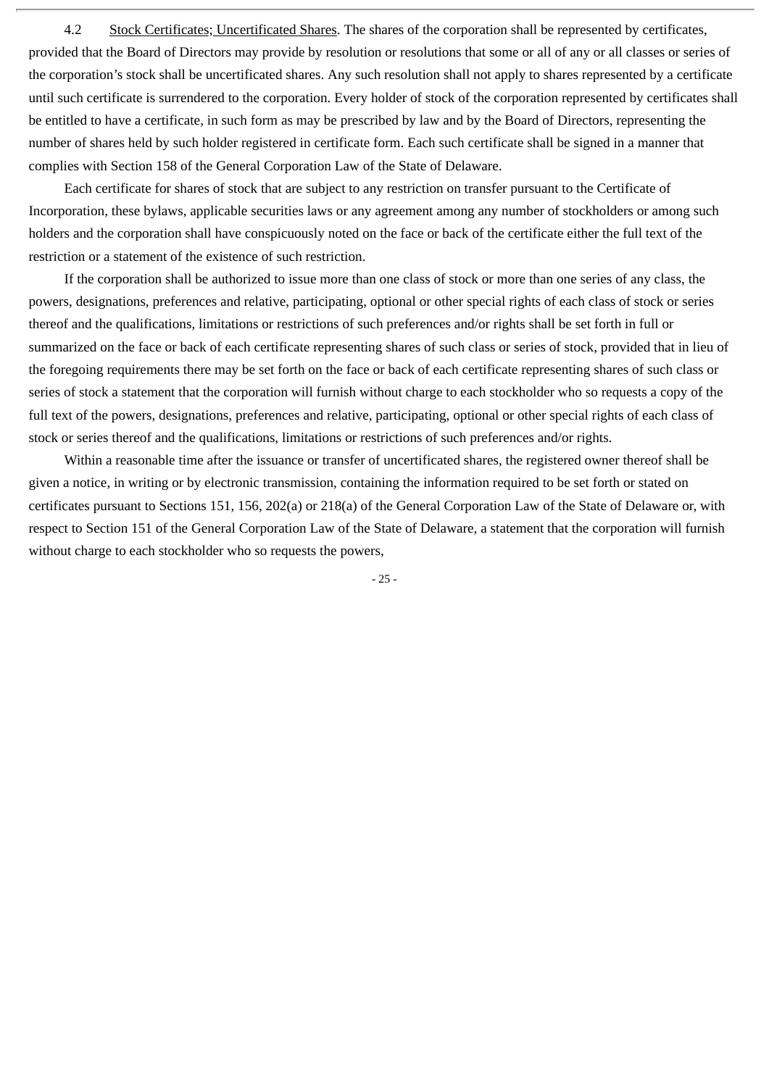4.2 Stock Certificates; Uncertificated Shares. The shares of the corporation shall be represented by certificates, provided that the Board of Directors may provide by resolution or resolutions that some or all of any or all classes or series of the corporation's stock shall be uncertificated shares. Any such resolution shall not apply to shares represented by a certificate until such certificate is surrendered to the corporation. Every holder of stock of the corporation represented by certificates shall be entitled to have a certificate, in such form as may be prescribed by law and by the Board of Directors, representing the number of shares held by such holder registered in certificate form. Each such certificate shall be signed in a manner that complies with Section 158 of the General Corporation Law of the State of Delaware.

Each certificate for shares of stock that are subject to any restriction on transfer pursuant to the Certificate of Incorporation, these bylaws, applicable securities laws or any agreement among any number of stockholders or among such holders and the corporation shall have conspicuously noted on the face or back of the certificate either the full text of the restriction or a statement of the existence of such restriction.

If the corporation shall be authorized to issue more than one class of stock or more than one series of any class, the powers, designations, preferences and relative, participating, optional or other special rights of each class of stock or series thereof and the qualifications, limitations or restrictions of such preferences and/or rights shall be set forth in full or summarized on the face or back of each certificate representing shares of such class or series of stock, provided that in lieu of the foregoing requirements there may be set forth on the face or back of each certificate representing shares of such class or series of stock a statement that the corporation will furnish without charge to each stockholder who so requests a copy of the full text of the powers, designations, preferences and relative, participating, optional or other special rights of each class of stock or series thereof and the qualifications, limitations or restrictions of such preferences and/or rights.

Within a reasonable time after the issuance or transfer of uncertificated shares, the registered owner thereof shall be given a notice, in writing or by electronic transmission, containing the information required to be set forth or stated on certificates pursuant to Sections 151, 156, 202(a) or 218(a) of the General Corporation Law of the State of Delaware or, with respect to Section 151 of the General Corporation Law of the State of Delaware, a statement that the corporation will furnish without charge to each stockholder who so requests the powers,

- 25 -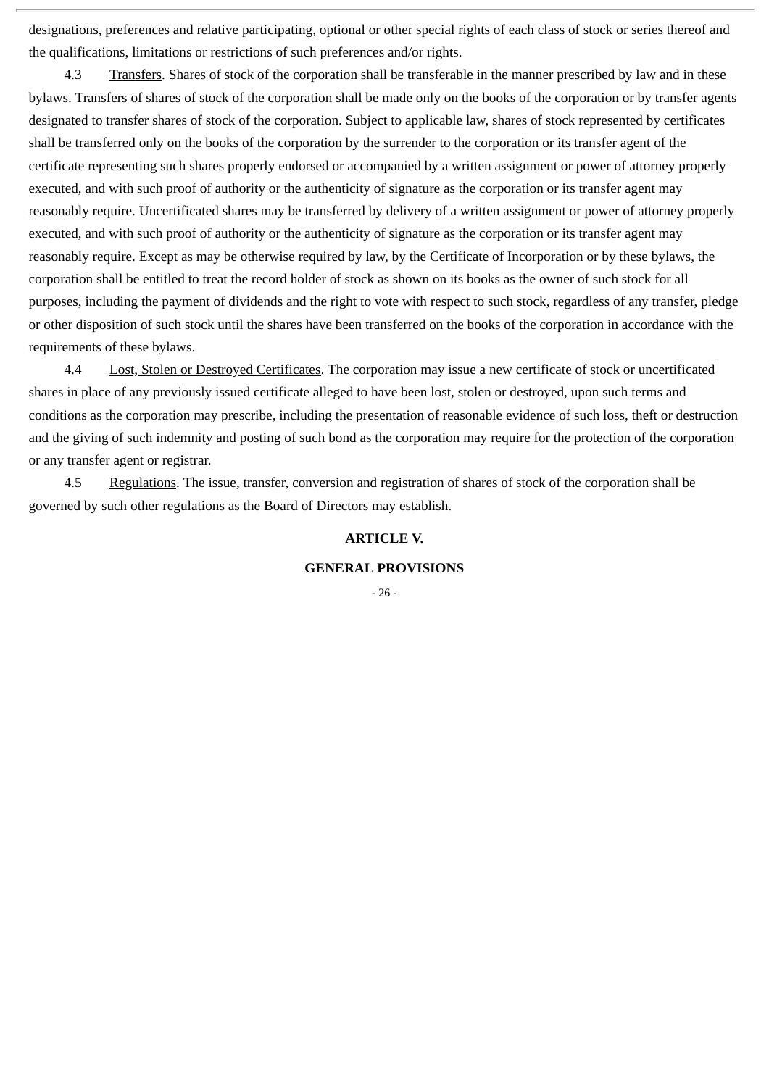designations, preferences and relative participating, optional or other special rights of each class of stock or series thereof and the qualifications, limitations or restrictions of such preferences and/or rights.

4.3 Transfers. Shares of stock of the corporation shall be transferable in the manner prescribed by law and in these bylaws. Transfers of shares of stock of the corporation shall be made only on the books of the corporation or by transfer agents designated to transfer shares of stock of the corporation. Subject to applicable law, shares of stock represented by certificates shall be transferred only on the books of the corporation by the surrender to the corporation or its transfer agent of the certificate representing such shares properly endorsed or accompanied by a written assignment or power of attorney properly executed, and with such proof of authority or the authenticity of signature as the corporation or its transfer agent may reasonably require. Uncertificated shares may be transferred by delivery of a written assignment or power of attorney properly executed, and with such proof of authority or the authenticity of signature as the corporation or its transfer agent may reasonably require. Except as may be otherwise required by law, by the Certificate of Incorporation or by these bylaws, the corporation shall be entitled to treat the record holder of stock as shown on its books as the owner of such stock for all purposes, including the payment of dividends and the right to vote with respect to such stock, regardless of any transfer, pledge or other disposition of such stock until the shares have been transferred on the books of the corporation in accordance with the requirements of these bylaws.

4.4 Lost, Stolen or Destroyed Certificates. The corporation may issue a new certificate of stock or uncertificated shares in place of any previously issued certificate alleged to have been lost, stolen or destroyed, upon such terms and conditions as the corporation may prescribe, including the presentation of reasonable evidence of such loss, theft or destruction and the giving of such indemnity and posting of such bond as the corporation may require for the protection of the corporation or any transfer agent or registrar.

4.5 Regulations. The issue, transfer, conversion and registration of shares of stock of the corporation shall be governed by such other regulations as the Board of Directors may establish.

#### **ARTICLE V.**

#### **GENERAL PROVISIONS**

- 26 -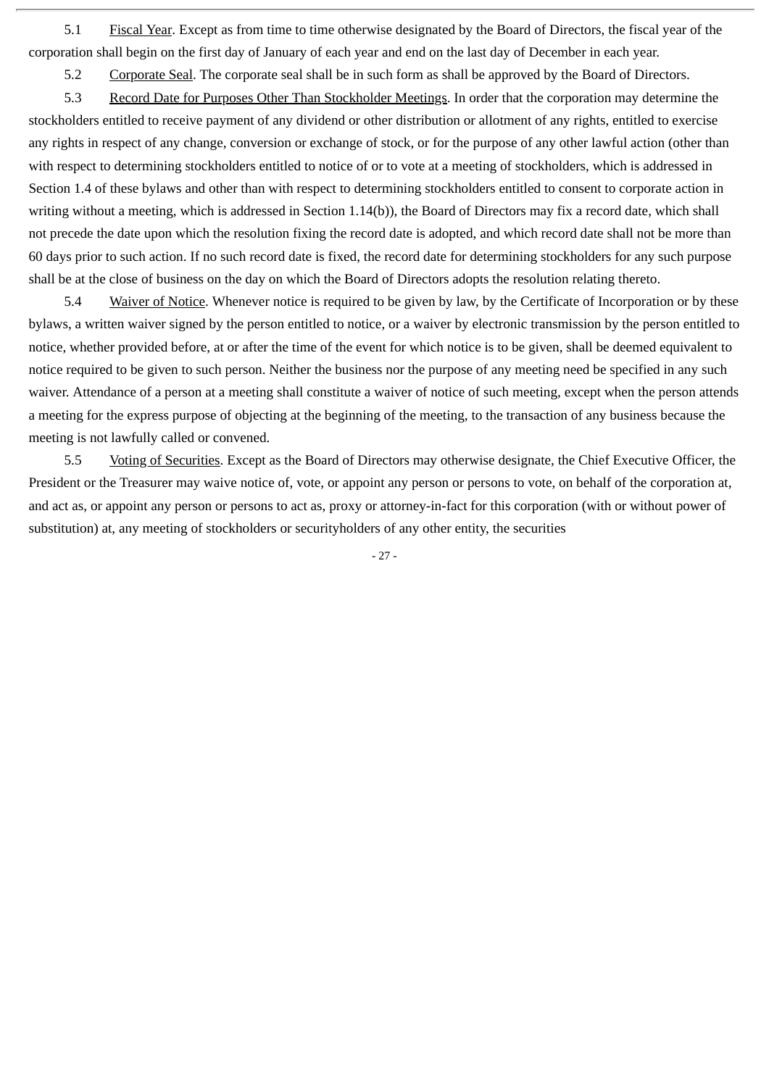5.1 Fiscal Year. Except as from time to time otherwise designated by the Board of Directors, the fiscal year of the corporation shall begin on the first day of January of each year and end on the last day of December in each year.

5.2 Corporate Seal. The corporate seal shall be in such form as shall be approved by the Board of Directors.

5.3 Record Date for Purposes Other Than Stockholder Meetings. In order that the corporation may determine the stockholders entitled to receive payment of any dividend or other distribution or allotment of any rights, entitled to exercise any rights in respect of any change, conversion or exchange of stock, or for the purpose of any other lawful action (other than with respect to determining stockholders entitled to notice of or to vote at a meeting of stockholders, which is addressed in Section 1.4 of these bylaws and other than with respect to determining stockholders entitled to consent to corporate action in writing without a meeting, which is addressed in Section 1.14(b)), the Board of Directors may fix a record date, which shall not precede the date upon which the resolution fixing the record date is adopted, and which record date shall not be more than 60 days prior to such action. If no such record date is fixed, the record date for determining stockholders for any such purpose shall be at the close of business on the day on which the Board of Directors adopts the resolution relating thereto.

5.4 Waiver of Notice. Whenever notice is required to be given by law, by the Certificate of Incorporation or by these bylaws, a written waiver signed by the person entitled to notice, or a waiver by electronic transmission by the person entitled to notice, whether provided before, at or after the time of the event for which notice is to be given, shall be deemed equivalent to notice required to be given to such person. Neither the business nor the purpose of any meeting need be specified in any such waiver. Attendance of a person at a meeting shall constitute a waiver of notice of such meeting, except when the person attends a meeting for the express purpose of objecting at the beginning of the meeting, to the transaction of any business because the meeting is not lawfully called or convened.

5.5 Voting of Securities. Except as the Board of Directors may otherwise designate, the Chief Executive Officer, the President or the Treasurer may waive notice of, vote, or appoint any person or persons to vote, on behalf of the corporation at, and act as, or appoint any person or persons to act as, proxy or attorney-in-fact for this corporation (with or without power of substitution) at, any meeting of stockholders or securityholders of any other entity, the securities

- 27 -